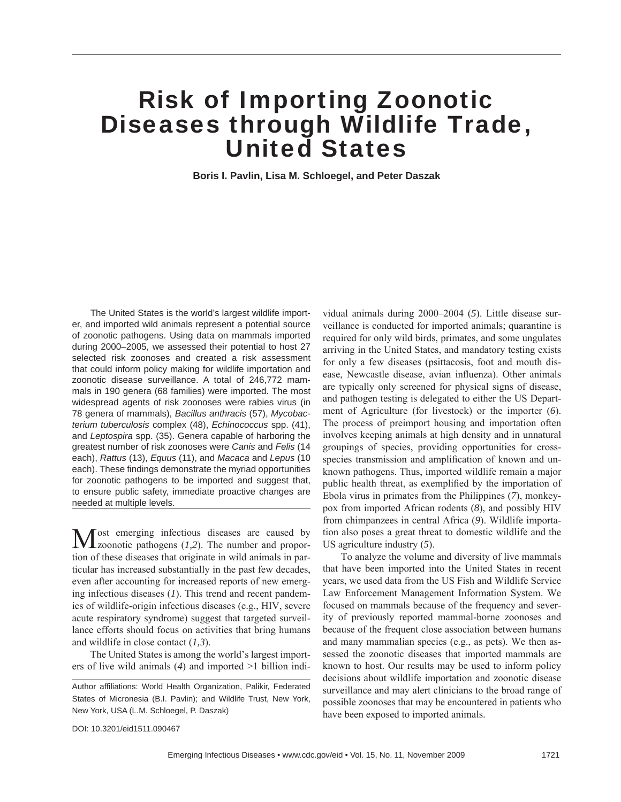## Risk of Importing Zoonotic Diseases through Wildlife Trade, United States

**Boris I. Pavlin, Lisa M. Schloegel, and Peter Daszak**

The United States is the world's largest wildlife importer, and imported wild animals represent a potential source of zoonotic pathogens. Using data on mammals imported during 2000–2005, we assessed their potential to host 27 selected risk zoonoses and created a risk assessment that could inform policy making for wildlife importation and zoonotic disease surveillance. A total of 246,772 mammals in 190 genera (68 families) were imported. The most widespread agents of risk zoonoses were rabies virus (in 78 genera of mammals), *Bacillus anthracis* (57), *Mycobacterium tuberculosis* complex (48), *Echinococcus* spp. (41), and *Leptospira* spp. (35). Genera capable of harboring the greatest number of risk zoonoses were *Canis* and *Felis* (14 each), *Rattus* (13), *Equus* (11), and *Macaca* and *Lepus* (10 each). These findings demonstrate the myriad opportunities for zoonotic pathogens to be imported and suggest that, to ensure public safety, immediate proactive changes are needed at multiple levels.

Most emerging infectious diseases are caused by zoonotic pathogens (*1,2*). The number and proportion of these diseases that originate in wild animals in particular has increased substantially in the past few decades, even after accounting for increased reports of new emerging infectious diseases (*1*). This trend and recent pandemics of wildlife-origin infectious diseases (e.g., HIV, severe acute respiratory syndrome) suggest that targeted surveillance efforts should focus on activities that bring humans and wildlife in close contact (*1,3*).

The United States is among the world's largest importers of live wild animals (*4*) and imported >1 billion individual animals during 2000–2004 (*5*). Little disease surveillance is conducted for imported animals; quarantine is required for only wild birds, primates, and some ungulates arriving in the United States, and mandatory testing exists for only a few diseases (psittacosis, foot and mouth disease, Newcastle disease, avian influenza). Other animals are typically only screened for physical signs of disease, and pathogen testing is delegated to either the US Department of Agriculture (for livestock) or the importer (*6*). The process of preimport housing and importation often involves keeping animals at high density and in unnatural groupings of species, providing opportunities for crossspecies transmission and amplification of known and unknown pathogens. Thus, imported wildlife remain a major public health threat, as exemplified by the importation of Ebola virus in primates from the Philippines (*7*), monkeypox from imported African rodents (*8*), and possibly HIV from chimpanzees in central Africa (*9*). Wildlife importation also poses a great threat to domestic wildlife and the US agriculture industry (*5*).

To analyze the volume and diversity of live mammals that have been imported into the United States in recent years, we used data from the US Fish and Wildlife Service Law Enforcement Management Information System. We focused on mammals because of the frequency and severity of previously reported mammal-borne zoonoses and because of the frequent close association between humans and many mammalian species (e.g., as pets). We then assessed the zoonotic diseases that imported mammals are known to host. Our results may be used to inform policy decisions about wildlife importation and zoonotic disease surveillance and may alert clinicians to the broad range of possible zoonoses that may be encountered in patients who have been exposed to imported animals.

DOI: 10.3201/eid1511.090467

Author affiliations: World Health Organization, Palikir, Federated States of Micronesia (B.I. Pavlin); and Wildlife Trust, New York, New York, USA (L.M. Schloegel, P. Daszak)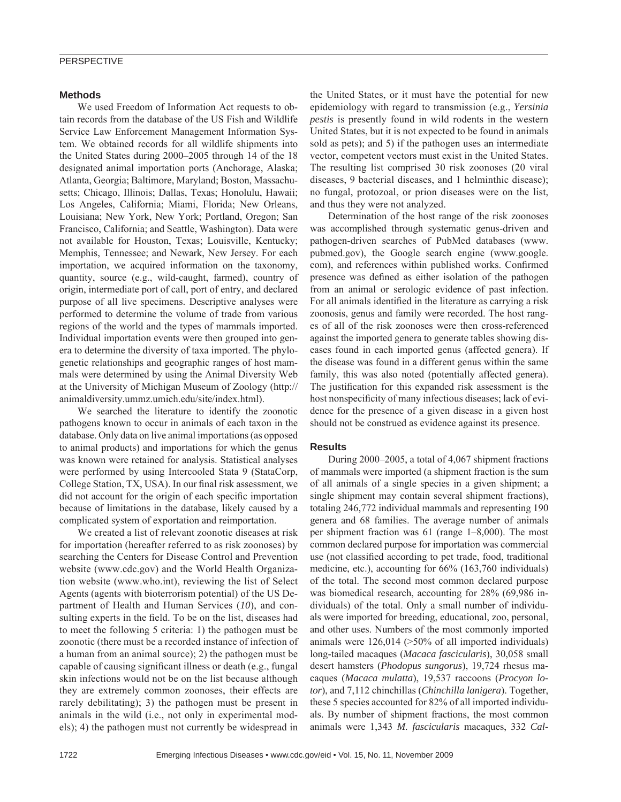## **PERSPECTIVE**

#### **Methods**

We used Freedom of Information Act requests to obtain records from the database of the US Fish and Wildlife Service Law Enforcement Management Information System. We obtained records for all wildlife shipments into the United States during 2000–2005 through 14 of the 18 designated animal importation ports (Anchorage, Alaska; Atlanta, Georgia; Baltimore, Maryland; Boston, Massachusetts; Chicago, Illinois; Dallas, Texas; Honolulu, Hawaii; Los Angeles, California; Miami, Florida; New Orleans, Louisiana; New York, New York; Portland, Oregon; San Francisco, California; and Seattle, Washington). Data were not available for Houston, Texas; Louisville, Kentucky; Memphis, Tennessee; and Newark, New Jersey. For each importation, we acquired information on the taxonomy, quantity, source (e.g., wild-caught, farmed), country of origin, intermediate port of call, port of entry, and declared purpose of all live specimens. Descriptive analyses were performed to determine the volume of trade from various regions of the world and the types of mammals imported. Individual importation events were then grouped into genera to determine the diversity of taxa imported. The phylogenetic relationships and geographic ranges of host mammals were determined by using the Animal Diversity Web at the University of Michigan Museum of Zoology (http:// animaldiversity.ummz.umich.edu/site/index.html).

We searched the literature to identify the zoonotic pathogens known to occur in animals of each taxon in the database. Only data on live animal importations (as opposed to animal products) and importations for which the genus was known were retained for analysis. Statistical analyses were performed by using Intercooled Stata 9 (StataCorp, College Station, TX, USA). In our final risk assessment, we did not account for the origin of each specific importation because of limitations in the database, likely caused by a complicated system of exportation and reimportation.

We created a list of relevant zoonotic diseases at risk for importation (hereafter referred to as risk zoonoses) by searching the Centers for Disease Control and Prevention website (www.cdc.gov) and the World Health Organization website (www.who.int), reviewing the list of Select Agents (agents with bioterrorism potential) of the US Department of Health and Human Services (*10*), and consulting experts in the field. To be on the list, diseases had to meet the following 5 criteria: 1) the pathogen must be zoonotic (there must be a recorded instance of infection of a human from an animal source); 2) the pathogen must be capable of causing significant illness or death (e.g., fungal skin infections would not be on the list because although they are extremely common zoonoses, their effects are rarely debilitating); 3) the pathogen must be present in animals in the wild (i.e., not only in experimental models); 4) the pathogen must not currently be widespread in

the United States, or it must have the potential for new epidemiology with regard to transmission (e.g., *Yersinia pestis* is presently found in wild rodents in the western United States, but it is not expected to be found in animals sold as pets); and 5) if the pathogen uses an intermediate vector, competent vectors must exist in the United States. The resulting list comprised 30 risk zoonoses (20 viral diseases, 9 bacterial diseases, and 1 helminthic disease); no fungal, protozoal, or prion diseases were on the list, and thus they were not analyzed.

Determination of the host range of the risk zoonoses was accomplished through systematic genus-driven and pathogen-driven searches of PubMed databases (www. pubmed.gov), the Google search engine (www.google. com), and references within published works. Confirmed presence was defined as either isolation of the pathogen from an animal or serologic evidence of past infection. For all animals identified in the literature as carrying a risk zoonosis, genus and family were recorded. The host ranges of all of the risk zoonoses were then cross-referenced against the imported genera to generate tables showing diseases found in each imported genus (affected genera). If the disease was found in a different genus within the same family, this was also noted (potentially affected genera). The justification for this expanded risk assessment is the host nonspecificity of many infectious diseases; lack of evidence for the presence of a given disease in a given host should not be construed as evidence against its presence.

#### **Results**

During 2000–2005, a total of 4,067 shipment fractions of mammals were imported (a shipment fraction is the sum of all animals of a single species in a given shipment; a single shipment may contain several shipment fractions), totaling 246,772 individual mammals and representing 190 genera and 68 families. The average number of animals per shipment fraction was 61 (range 1–8,000). The most common declared purpose for importation was commercial use (not classified according to pet trade, food, traditional medicine, etc.), accounting for 66% (163,760 individuals) of the total. The second most common declared purpose was biomedical research, accounting for 28% (69,986 individuals) of the total. Only a small number of individuals were imported for breeding, educational, zoo, personal, and other uses. Numbers of the most commonly imported animals were 126,014 (>50% of all imported individuals) long-tailed macaques (*Macaca fascicularis*), 30,058 small desert hamsters (*Phodopus sungorus*), 19,724 rhesus macaques (*Macaca mulatta*), 19,537 raccoons (*Procyon lotor*), and 7,112 chinchillas (*Chinchilla lanigera*). Together, these 5 species accounted for 82% of all imported individuals. By number of shipment fractions, the most common animals were 1,343 *M. fascicularis* macaques, 332 *Cal-*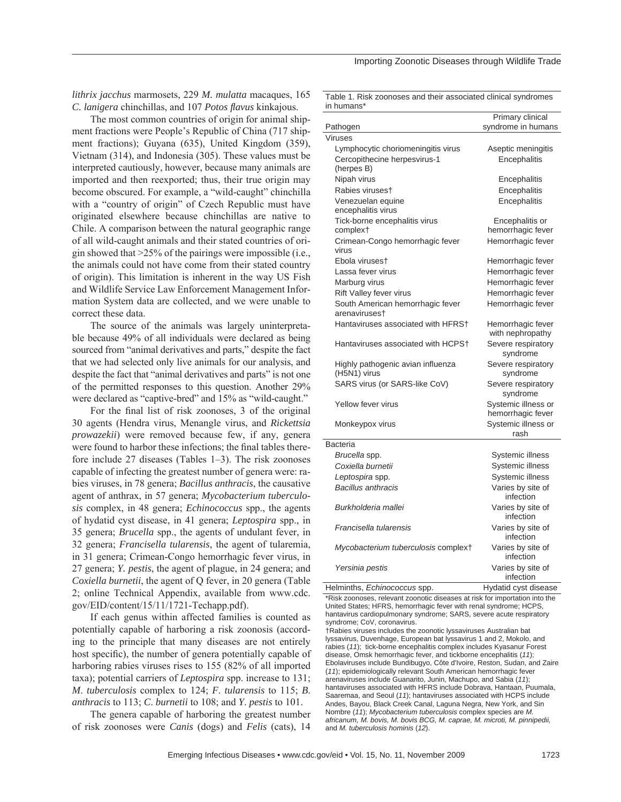*lithrix jacchus* marmosets, 229 *M. mulatta* macaques, 165 *C. lanigera* chinchillas, and 107 *Potos fl avus* kinkajous.

The most common countries of origin for animal shipment fractions were People's Republic of China (717 shipment fractions); Guyana (635), United Kingdom (359), Vietnam (314), and Indonesia (305). These values must be interpreted cautiously, however, because many animals are imported and then reexported; thus, their true origin may become obscured. For example, a "wild-caught" chinchilla with a "country of origin" of Czech Republic must have originated elsewhere because chinchillas are native to Chile. A comparison between the natural geographic range of all wild-caught animals and their stated countries of origin showed that >25% of the pairings were impossible (i.e., the animals could not have come from their stated country of origin). This limitation is inherent in the way US Fish and Wildlife Service Law Enforcement Management Information System data are collected, and we were unable to correct these data.

The source of the animals was largely uninterpretable because 49% of all individuals were declared as being sourced from "animal derivatives and parts," despite the fact that we had selected only live animals for our analysis, and despite the fact that "animal derivatives and parts" is not one of the permitted responses to this question. Another 29% were declared as "captive-bred" and 15% as "wild-caught."

For the final list of risk zoonoses, 3 of the original 30 agents (Hendra virus, Menangle virus, and *Rickettsia prowazekii*) were removed because few, if any, genera were found to harbor these infections; the final tables therefore include 27 diseases (Tables 1–3). The risk zoonoses capable of infecting the greatest number of genera were: rabies viruses, in 78 genera; *Bacillus anthracis*, the causative agent of anthrax, in 57 genera; *Mycobacterium tuberculosis* complex, in 48 genera; *Echinococcus* spp., the agents of hydatid cyst disease, in 41 genera; *Leptospira* spp., in 35 genera; *Brucella* spp., the agents of undulant fever, in 32 genera; *Francisella tularensis*, the agent of tularemia, in 31 genera; Crimean-Congo hemorrhagic fever virus, in 27 genera; *Y. pestis*, the agent of plague, in 24 genera; and *Coxiella burnetii*, the agent of Q fever, in 20 genera (Table 2; online Technical Appendix, available from www.cdc. gov/EID/content/15/11/1721-Techapp.pdf).

If each genus within affected families is counted as potentially capable of harboring a risk zoonosis (according to the principle that many diseases are not entirely host specific), the number of genera potentially capable of harboring rabies viruses rises to 155 (82% of all imported taxa); potential carriers of *Leptospira* spp. increase to 131; *M*. *tuberculosis* complex to 124; *F*. *tularensis* to 115; *B*. *anthracis* to 113; *C*. *burnetii* to 108; and *Y*. *pestis* to 101.

The genera capable of harboring the greatest number of risk zoonoses were *Canis* (dogs) and *Felis* (cats), 14 Table 1. Risk zoonoses and their associated clinical syndromes in humans\*

| <u></u>                             |                                        |
|-------------------------------------|----------------------------------------|
| Pathogen                            | Primary clinical<br>syndrome in humans |
| <b>Viruses</b>                      |                                        |
| Lymphocytic choriomeningitis virus  | Aseptic meningitis                     |
| Cercopithecine herpesvirus-1        | Encephalitis                           |
| (herpes B)                          |                                        |
| Nipah virus                         | Encephalitis                           |
| Rabies viruses†                     | Encephalitis                           |
| Venezuelan equine                   | Encephalitis                           |
| encephalitis virus                  |                                        |
| Tick-borne encephalitis virus       | Encephalitis or                        |
| complex†                            | hemorrhagic fever                      |
| Crimean-Congo hemorrhagic fever     | Hemorrhagic fever                      |
| virus                               |                                        |
| Ebola viruses†                      | Hemorrhagic fever                      |
| Lassa fever virus                   | Hemorrhagic fever                      |
| Marburg virus                       | Hemorrhagic fever                      |
| Rift Valley fever virus             | Hemorrhagic fever                      |
| South American hemorrhagic fever    | Hemorrhagic fever                      |
| arenavirusest                       |                                        |
| Hantaviruses associated with HFRS+  | Hemorrhagic fever                      |
|                                     | with nephropathy                       |
| Hantaviruses associated with HCPS+  | Severe respiratory<br>syndrome         |
| Highly pathogenic avian influenza   | Severe respiratory                     |
| (H5N1) virus                        | syndrome                               |
| SARS virus (or SARS-like CoV)       | Severe respiratory                     |
|                                     | syndrome                               |
| Yellow fever virus                  | Systemic illness or                    |
|                                     | hemorrhagic fever                      |
| Monkeypox virus                     | Systemic illness or<br>rash            |
| <b>Bacteria</b>                     |                                        |
| Brucella spp.                       | Systemic illness                       |
| Coxiella burnetii                   | Systemic illness                       |
| Leptospira spp.                     | Systemic illness                       |
| <b>Bacillus anthracis</b>           | Varies by site of                      |
|                                     | infection                              |
| Burkholderia mallei                 | Varies by site of                      |
|                                     | infection                              |
| Francisella tularensis              | Varies by site of                      |
|                                     | infection                              |
| Mycobacterium tuberculosis complex† | Varies by site of                      |
|                                     | infection                              |
| Yersinia pestis                     | Varies by site of                      |
|                                     | infection                              |
| Helminths. Echinococcus spp.        | Hydatid cyst disease                   |

\*Risk zoonoses, relevant zoonotic diseases at risk for importation into the United States; HFRS, hemorrhagic fever with renal syndrome; HCPS, hantavirus cardiopulmonary syndrome; SARS, severe acute respiratory syndrome; CoV, coronavirus.

†Rabies viruses includes the zoonotic lyssaviruses Australian bat lyssavirus, Duvenhage, European bat lyssavirus 1 and 2, Mokolo, and rabies (*11*); tick-borne encephalitis complex includes Kyasanur Forest disease, Omsk hemorrhagic fever, and tickborne encephalitis (*11*); Ebolaviruses include Bundibugyo, Côte d'Ivoire, Reston, Sudan, and Zaire (*11*); epidemiologically relevant South American hemorrhagic fever arenaviruses include Guanarito, Junin, Machupo, and Sabia (*11*); hantaviruses associated with HFRS include Dobrava, Hantaan, Puumala, Saaremaa, and Seoul (*11*); hantaviruses associated with HCPS include Andes, Bayou, Black Creek Canal, Laguna Negra, New York, and Sin Nombre (*11*); *Mycobacterium tuberculosis* complex species are *M. africanum, M. bovis, M. bovis BCG, M. caprae, M. microti, M. pinnipedii,* and *M. tuberculosis hominis* (*12*).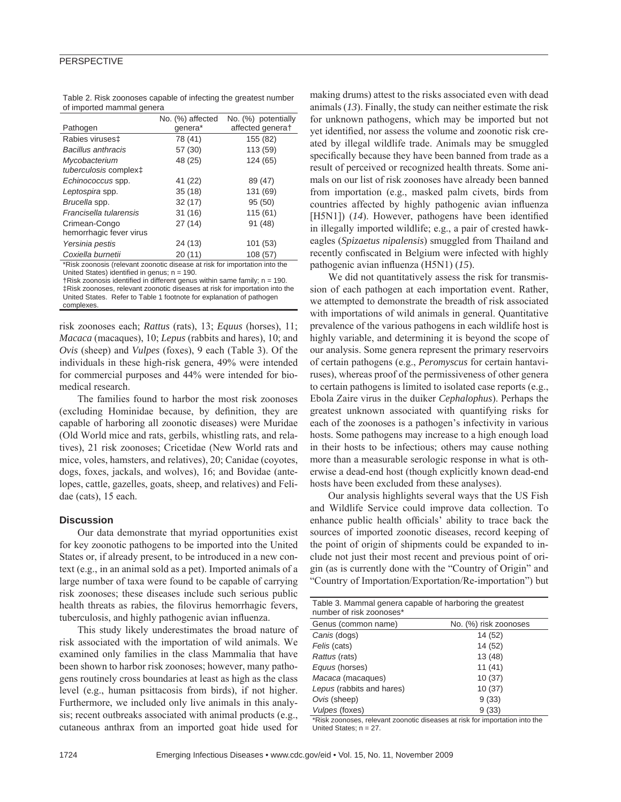## **PERSPECTIVE**

|                                                                            | No. (%) affected | No. (%) potentially |
|----------------------------------------------------------------------------|------------------|---------------------|
| Pathogen                                                                   | genera*          | affected generat    |
| Rabies viruses <sup>+</sup>                                                | 78 (41)          | 155 (82)            |
| <b>Bacillus anthracis</b>                                                  | 57 (30)          | 113 (59)            |
| Mycobacterium                                                              | 48 (25)          | 124 (65)            |
| tuberculosis complex‡                                                      |                  |                     |
| Echinococcus spp.                                                          | 41 (22)          | 89 (47)             |
| Leptospira spp.                                                            | 35(18)           | 131 (69)            |
| Brucella spp.                                                              | 32(17)           | 95(50)              |
| Francisella tularensis                                                     | 31(16)           | 115 (61)            |
| Crimean-Congo                                                              | 27(14)           | 91 (48)             |
| hemorrhagic fever virus                                                    |                  |                     |
| Yersinia pestis                                                            | 24 (13)          | 101 (53)            |
| Coxiella burnetii                                                          | 20 (11)          | 108 (57)            |
| *Risk zoonosis (relevant zoonotic disease at risk for importation into the |                  |                     |

Table 2. Risk zoonoses capable of infecting the greatest number of imported mammal genera

United States) identified in genus; n = 190.

†Risk zoonosis identified in different genus within same family; n = 190. ‡Risk zoonoses, relevant zoonotic diseases at risk for importation into the United States. Refer to Table 1 footnote for explanation of pathogen complexes.

risk zoonoses each; *Rattus* (rats), 13; *Equus* (horses), 11; *Macaca* (macaques), 10; *Lepus* (rabbits and hares), 10; and *Ovis* (sheep) and *Vulpes* (foxes), 9 each (Table 3). Of the individuals in these high-risk genera, 49% were intended for commercial purposes and 44% were intended for biomedical research.

The families found to harbor the most risk zoonoses (excluding Hominidae because, by definition, they are capable of harboring all zoonotic diseases) were Muridae (Old World mice and rats, gerbils, whistling rats, and relatives), 21 risk zoonoses; Cricetidae (New World rats and mice, voles, hamsters, and relatives), 20; Canidae (coyotes, dogs, foxes, jackals, and wolves), 16; and Bovidae (antelopes, cattle, gazelles, goats, sheep, and relatives) and Felidae (cats), 15 each.

#### **Discussion**

Our data demonstrate that myriad opportunities exist for key zoonotic pathogens to be imported into the United States or, if already present, to be introduced in a new context (e.g., in an animal sold as a pet). Imported animals of a large number of taxa were found to be capable of carrying risk zoonoses; these diseases include such serious public health threats as rabies, the filovirus hemorrhagic fevers, tuberculosis, and highly pathogenic avian influenza.

This study likely underestimates the broad nature of risk associated with the importation of wild animals. We examined only families in the class Mammalia that have been shown to harbor risk zoonoses; however, many pathogens routinely cross boundaries at least as high as the class level (e.g., human psittacosis from birds), if not higher. Furthermore, we included only live animals in this analysis; recent outbreaks associated with animal products (e.g., cutaneous anthrax from an imported goat hide used for making drums) attest to the risks associated even with dead animals (*13*). Finally, the study can neither estimate the risk for unknown pathogens, which may be imported but not yet identified, nor assess the volume and zoonotic risk created by illegal wildlife trade. Animals may be smuggled specifically because they have been banned from trade as a result of perceived or recognized health threats. Some animals on our list of risk zoonoses have already been banned from importation (e.g., masked palm civets, birds from countries affected by highly pathogenic avian influenza [H5N1]) (14). However, pathogens have been identified in illegally imported wildlife; e.g., a pair of crested hawkeagles (*Spizaetus nipalensis*) smuggled from Thailand and recently confiscated in Belgium were infected with highly pathogenic avian influenza (H5N1) (15).

We did not quantitatively assess the risk for transmission of each pathogen at each importation event. Rather, we attempted to demonstrate the breadth of risk associated with importations of wild animals in general. Quantitative prevalence of the various pathogens in each wildlife host is highly variable, and determining it is beyond the scope of our analysis. Some genera represent the primary reservoirs of certain pathogens (e.g., *Peromyscus* for certain hantaviruses), whereas proof of the permissiveness of other genera to certain pathogens is limited to isolated case reports (e.g., Ebola Zaire virus in the duiker *Cephalophus*). Perhaps the greatest unknown associated with quantifying risks for each of the zoonoses is a pathogen's infectivity in various hosts. Some pathogens may increase to a high enough load in their hosts to be infectious; others may cause nothing more than a measurable serologic response in what is otherwise a dead-end host (though explicitly known dead-end hosts have been excluded from these analyses).

Our analysis highlights several ways that the US Fish and Wildlife Service could improve data collection. To enhance public health officials' ability to trace back the sources of imported zoonotic diseases, record keeping of the point of origin of shipments could be expanded to include not just their most recent and previous point of origin (as is currently done with the "Country of Origin" and "Country of Importation/Exportation/Re-importation") but

| Table 3. Mammal genera capable of harboring the greatest<br>number of risk zoonoses* |                       |
|--------------------------------------------------------------------------------------|-----------------------|
| Genus (common name)                                                                  | No. (%) risk zoonoses |
| Canis (dogs)                                                                         | 14 (52)               |
| Felis (cats)                                                                         | 14 (52)               |
| Rattus (rats)                                                                        | 13 (48)               |
| Equus (horses)                                                                       | 11(41)                |
| Macaca (macaques)                                                                    | 10 (37)               |
| Lepus (rabbits and hares)                                                            | 10 (37)               |
| Ovis (sheep)                                                                         | 9(33)                 |
| Vulpes (foxes)                                                                       | 9(33)                 |

\*Risk zoonoses, relevant zoonotic diseases at risk for importation into the United States:  $n = 27$ .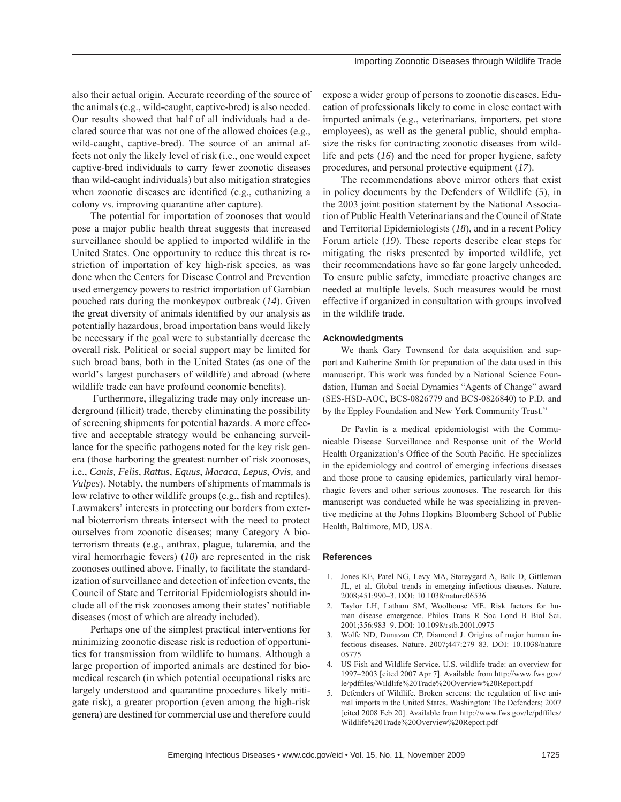also their actual origin. Accurate recording of the source of the animals (e.g., wild-caught, captive-bred) is also needed. Our results showed that half of all individuals had a declared source that was not one of the allowed choices (e.g., wild-caught, captive-bred). The source of an animal affects not only the likely level of risk (i.e., one would expect captive-bred individuals to carry fewer zoonotic diseases than wild-caught individuals) but also mitigation strategies when zoonotic diseases are identified (e.g., euthanizing a colony vs. improving quarantine after capture).

The potential for importation of zoonoses that would pose a major public health threat suggests that increased surveillance should be applied to imported wildlife in the United States. One opportunity to reduce this threat is restriction of importation of key high-risk species, as was done when the Centers for Disease Control and Prevention used emergency powers to restrict importation of Gambian pouched rats during the monkeypox outbreak (*14*). Given the great diversity of animals identified by our analysis as potentially hazardous, broad importation bans would likely be necessary if the goal were to substantially decrease the overall risk. Political or social support may be limited for such broad bans, both in the United States (as one of the world's largest purchasers of wildlife) and abroad (where wildlife trade can have profound economic benefits).

 Furthermore, illegalizing trade may only increase underground (illicit) trade, thereby eliminating the possibility of screening shipments for potential hazards. A more effective and acceptable strategy would be enhancing surveillance for the specific pathogens noted for the key risk genera (those harboring the greatest number of risk zoonoses, i.e., *Canis, Felis*, *Rattus*, *Equus*, *Macaca*, *Lepus*, *Ovis,* and *Vulpes*). Notably, the numbers of shipments of mammals is low relative to other wildlife groups (e.g., fish and reptiles). Lawmakers' interests in protecting our borders from external bioterrorism threats intersect with the need to protect ourselves from zoonotic diseases; many Category A bioterrorism threats (e.g., anthrax, plague, tularemia, and the viral hemorrhagic fevers) (*10*) are represented in the risk zoonoses outlined above. Finally, to facilitate the standardization of surveillance and detection of infection events, the Council of State and Territorial Epidemiologists should include all of the risk zoonoses among their states' notifiable diseases (most of which are already included).

Perhaps one of the simplest practical interventions for minimizing zoonotic disease risk is reduction of opportunities for transmission from wildlife to humans. Although a large proportion of imported animals are destined for biomedical research (in which potential occupational risks are largely understood and quarantine procedures likely mitigate risk), a greater proportion (even among the high-risk genera) are destined for commercial use and therefore could expose a wider group of persons to zoonotic diseases. Education of professionals likely to come in close contact with imported animals (e.g., veterinarians, importers, pet store employees), as well as the general public, should emphasize the risks for contracting zoonotic diseases from wildlife and pets (*16*) and the need for proper hygiene, safety procedures, and personal protective equipment (*17*).

The recommendations above mirror others that exist in policy documents by the Defenders of Wildlife (*5*), in the 2003 joint position statement by the National Association of Public Health Veterinarians and the Council of State and Territorial Epidemiologists (*18*), and in a recent Policy Forum article (*19*). These reports describe clear steps for mitigating the risks presented by imported wildlife, yet their recommendations have so far gone largely unheeded. To ensure public safety, immediate proactive changes are needed at multiple levels. Such measures would be most effective if organized in consultation with groups involved in the wildlife trade.

#### **Acknowledgments**

We thank Gary Townsend for data acquisition and support and Katherine Smith for preparation of the data used in this manuscript. This work was funded by a National Science Foundation, Human and Social Dynamics "Agents of Change" award (SES-HSD-AOC, BCS-0826779 and BCS-0826840) to P.D. and by the Eppley Foundation and New York Community Trust."

Dr Pavlin is a medical epidemiologist with the Communicable Disease Surveillance and Response unit of the World Health Organization's Office of the South Pacific. He specializes in the epidemiology and control of emerging infectious diseases and those prone to causing epidemics, particularly viral hemorrhagic fevers and other serious zoonoses. The research for this manuscript was conducted while he was specializing in preventive medicine at the Johns Hopkins Bloomberg School of Public Health, Baltimore, MD, USA.

#### **References**

- 1. Jones KE, Patel NG, Levy MA, Storeygard A, Balk D, Gittleman JL, et al. Global trends in emerging infectious diseases. Nature. 2008;451:990–3. DOI: 10.1038/nature06536
- 2. Taylor LH, Latham SM, Woolhouse ME. Risk factors for human disease emergence. Philos Trans R Soc Lond B Biol Sci. 2001;356:983–9. DOI: 10.1098/rstb.2001.0975
- 3. Wolfe ND, Dunavan CP, Diamond J. Origins of major human infectious diseases. Nature. 2007;447:279–83. DOI: 10.1038/nature 05775
- 4. US Fish and Wildlife Service. U.S. wildlife trade: an overview for 1997–2003 [cited 2007 Apr 7]. Available from http://www.fws.gov/ le/pdffi les/Wildlife%20Trade%20Overview%20Report.pdf
- 5. Defenders of Wildlife. Broken screens: the regulation of live animal imports in the United States. Washington: The Defenders; 2007 [cited 2008 Feb 20]. Available from http://www.fws.gov/le/pdffiles/ Wildlife%20Trade%20Overview%20Report.pdf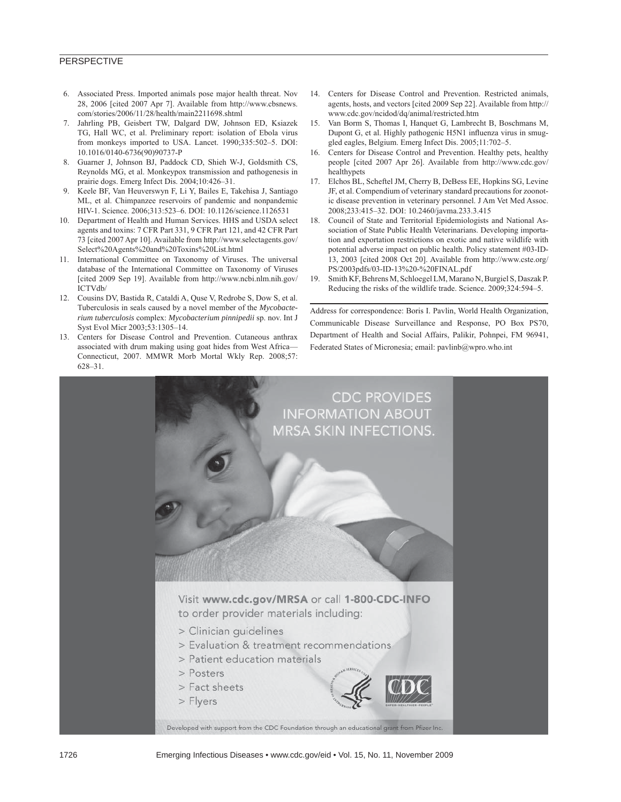## **PERSPECTIVE**

- 6. Associated Press. Imported animals pose major health threat. Nov 28, 2006 [cited 2007 Apr 7]. Available from http://www.cbsnews. com/stories/2006/11/28/health/main2211698.shtml
- 7. Jahrling PB, Geisbert TW, Dalgard DW, Johnson ED, Ksiazek TG, Hall WC, et al. Preliminary report: isolation of Ebola virus from monkeys imported to USA. Lancet. 1990;335:502–5. DOI: 10.1016/0140-6736(90)90737-P
- 8. Guarner J, Johnson BJ, Paddock CD, Shieh W-J, Goldsmith CS, Reynolds MG, et al. Monkeypox transmission and pathogenesis in prairie dogs. Emerg Infect Dis. 2004;10:426–31.
- 9. Keele BF, Van Heuverswyn F, Li Y, Bailes E, Takehisa J, Santiago ML, et al. Chimpanzee reservoirs of pandemic and nonpandemic HIV-1. Science. 2006;313:523–6. DOI: 10.1126/science.1126531
- 10. Department of Health and Human Services. HHS and USDA select agents and toxins: 7 CFR Part 331, 9 CFR Part 121, and 42 CFR Part 73 [cited 2007 Apr 10]. Available from http://www.selectagents.gov/ Select%20Agents%20and%20Toxins%20List.html
- 11. International Committee on Taxonomy of Viruses. The universal database of the International Committee on Taxonomy of Viruses [cited 2009 Sep 19]. Available from http://www.ncbi.nlm.nih.gov/ ICTVdb/
- 12. Cousins DV, Bastida R, Cataldi A, Quse V, Redrobe S, Dow S, et al. Tuberculosis in seals caused by a novel member of the *Mycobacterium tuberculosis* complex: *Mycobacterium pinnipedii* sp. nov. Int J Syst Evol Micr 2003;53:1305–14.
- 13. Centers for Disease Control and Prevention. Cutaneous anthrax associated with drum making using goat hides from West Africa— Connecticut, 2007. MMWR Morb Mortal Wkly Rep. 2008;57: 628–31.
- 14. Centers for Disease Control and Prevention. Restricted animals, agents, hosts, and vectors [cited 2009 Sep 22]. Available from http:// www.cdc.gov/ncidod/dq/animal/restricted.htm
- 15. Van Borm S, Thomas I, Hanquet G, Lambrecht B, Boschmans M, Dupont G, et al. Highly pathogenic H5N1 influenza virus in smuggled eagles, Belgium. Emerg Infect Dis. 2005;11:702–5.
- Centers for Disease Control and Prevention. Healthy pets, healthy people [cited 2007 Apr 26]. Available from http://www.cdc.gov/ healthypets
- 17. Elchos BL, Scheftel JM, Cherry B, DeBess EE, Hopkins SG, Levine JF, et al. Compendium of veterinary standard precautions for zoonotic disease prevention in veterinary personnel. J Am Vet Med Assoc. 2008;233:415–32. DOI: 10.2460/javma.233.3.415
- 18. Council of State and Territorial Epidemiologists and National Association of State Public Health Veterinarians. Developing importation and exportation restrictions on exotic and native wildlife with potential adverse impact on public health. Policy statement #03-ID-13, 2003 [cited 2008 Oct 20]. Available from http://www.cste.org/ PS/2003pdfs/03-ID-13%20-%20FINAL.pdf
- 19. Smith KF, Behrens M, Schloegel LM, Marano N, Burgiel S, Daszak P. Reducing the risks of the wildlife trade. Science. 2009;324:594–5.

Address for correspondence: Boris I. Pavlin, World Health Organization, Communicable Disease Surveillance and Response, PO Box PS70, Department of Health and Social Affairs, Palikir, Pohnpei, FM 96941, Federated States of Micronesia; email: pavlinb@wpro.who.int

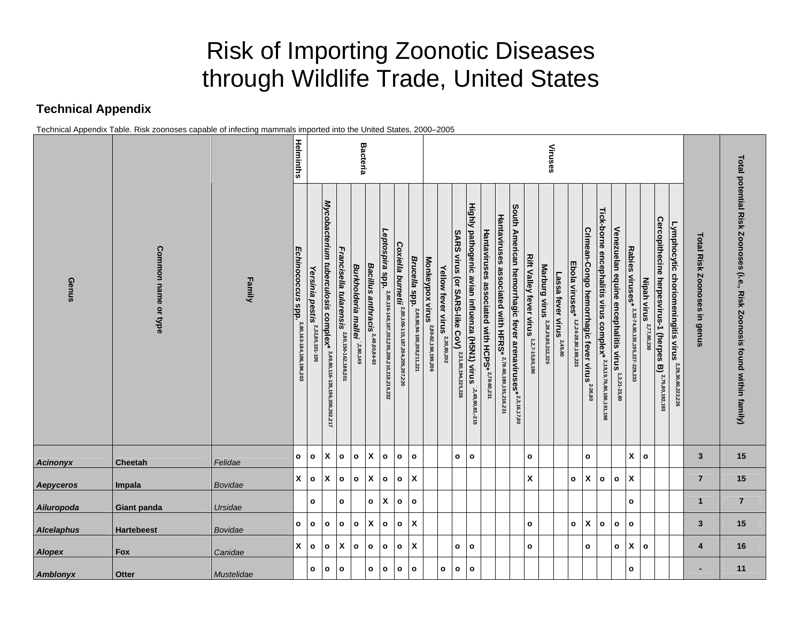# Risk of Importing Zoonotic Diseases through Wildlife Trade, United States

## **Technical Appendix**

Technical Appendix Table. Risk zoonoses capable of infecting mammals imported into the United States, 2000–2005

|               | i echnical Appendix Table. Risk zoonoses capable of infecting mammals imported into the United States, 2000–2005 |                |                                               |                                 |                                                                            |                                                        |                                          |                                             |                                                                    |                                                               |                                          |                                     |                                |                                                              |                                                                            |                                                |                                                           |                                                           |                                         |                                  |                           |                                     |                                                          |                                                                  |                                                   |                                                |                                    |                                                         |                                                       |                              |                                                                         |
|---------------|------------------------------------------------------------------------------------------------------------------|----------------|-----------------------------------------------|---------------------------------|----------------------------------------------------------------------------|--------------------------------------------------------|------------------------------------------|---------------------------------------------|--------------------------------------------------------------------|---------------------------------------------------------------|------------------------------------------|-------------------------------------|--------------------------------|--------------------------------------------------------------|----------------------------------------------------------------------------|------------------------------------------------|-----------------------------------------------------------|-----------------------------------------------------------|-----------------------------------------|----------------------------------|---------------------------|-------------------------------------|----------------------------------------------------------|------------------------------------------------------------------|---------------------------------------------------|------------------------------------------------|------------------------------------|---------------------------------------------------------|-------------------------------------------------------|------------------------------|-------------------------------------------------------------------------|
|               |                                                                                                                  |                | Helminths                                     |                                 |                                                                            |                                                        | Bacteria                                 |                                             |                                                                    |                                                               |                                          |                                     |                                |                                                              |                                                                            |                                                |                                                           |                                                           |                                         | Viruses                          |                           |                                     |                                                          |                                                                  |                                                   |                                                |                                    |                                                         |                                                       |                              |                                                                         |
| Genus         | Common name or type                                                                                              | Family         | Echinococcus spp.<br>2,80,163-184,186,196,203 | Yersinia pestis 2,32,80,101-105 | Mycobacterium tuberculosis complex* <sup>2,49,80,116-135,196,200,217</sup> | Francisella tularensis <sup>2,80,150-162,188,201</sup> | Burkholderia mallei <sup>`2,80,149</sup> | Bacillus anthracis <sup>2,49,80,84-93</sup> | $Leptospira$ spp. $^{2,80,136+48,187,202,205,209,210,218,219,232}$ | Coxiella burnetii <sup>2,80,106-115,187,204,205,207,220</sup> | Brucella spp. 2,49,80,94-100,208,211,221 | Monkeypox virus 2,80-82,198,199,206 | Yellow fever virus 2,20,80,202 | SARS virus (or SARS-like CoV) <sup>2,31,80,194,225,226</sup> | Highly pathogenic avian influenza (H5N1) virus <sup>`2,49,80,83,-215</sup> | Hantaviruses associated with HCPS* 2.78-80,231 | Hantaviruses associated with HFRS* 278-80.190.191.216.231 | South American hemorrhagic fever arenaviruses*23.16.17.80 | Rift Valley fever virus 1,2,7-15,80,190 | Marburg virus 2,28,29,80,212,225 | Lassa fever virus 2,49,80 | Ebola viruses* 1.2,24-28,80,189,223 | Crimean-Congo hemorrhagic fever virus <sup>2-26,80</sup> | Tick-borne encephalitis virus complex* 2.18.19.78.80.186.191.198 | Venezuelan equine encephalitis virus 1,2,21,23,80 | Rabies viruses* 2,32-74,80,135,195,227-229,233 | Nipah virus <sup>2,77,80,230</sup> | Cercopithecine herpesvirus-1 (herpes B) 2.75,80,192,199 | Lymphocytic choriomeningitis virus 2,29,30,80,222,226 | Total Risk Zoonoses in genus | Total potential Risk Zoonoses (i.e., Risk Zoonosis found within family) |
| Acinonyx      | Cheetah                                                                                                          | Felidae        | o                                             | $\mathbf{o}$                    | χ                                                                          | $\mathbf{o}$                                           | $\circ$                                  | X                                           | o                                                                  | $\mathbf{o}$                                                  | $\mathbf{o}$                             |                                     |                                | $\bullet$                                                    | $\mathbf{o}$                                                               |                                                |                                                           |                                                           | $\mathbf{o}$                            |                                  |                           |                                     | $\mathbf{o}$                                             |                                                                  |                                                   | $\boldsymbol{\mathsf{x}}$                      | $\mathbf{o}$                       |                                                         |                                                       | $\mathbf{3}$                 | 15                                                                      |
| Aepyceros     | Impala                                                                                                           | Bovidae        | X                                             | $\mathbf{o}$                    | $\pmb{\mathsf{x}}$                                                         | $\mathbf{o}$                                           | $\mathbf{o}$                             | $\pmb{\mathsf{x}}$                          | $\bullet$                                                          | $\mathbf{o}$                                                  | $\pmb{\mathsf{x}}$                       |                                     |                                |                                                              |                                                                            |                                                |                                                           |                                                           | $\pmb{\chi}$                            |                                  |                           | $\mathbf{o}$                        | $\pmb{\mathsf{X}}$                                       | $\mathbf{o}$                                                     | $\mathbf{o}$                                      | $\mathbf{x}$                                   |                                    |                                                         |                                                       | $\overline{7}$               | 15                                                                      |
| Ailuropoda    | <b>Giant panda</b>                                                                                               | Ursidae        |                                               | $\mathbf{o}$                    |                                                                            | $\mathbf{o}$                                           |                                          | $\mathbf{o}$                                | $\pmb{\chi}$                                                       | $\circ$                                                       | $\mathbf{o}$                             |                                     |                                |                                                              |                                                                            |                                                |                                                           |                                                           |                                         |                                  |                           |                                     |                                                          |                                                                  |                                                   | $\mathbf{o}$                                   |                                    |                                                         |                                                       | $\mathbf{1}$                 | $\overline{7}$                                                          |
| Alcelaphus    | <b>Hartebeest</b>                                                                                                | <b>Bovidae</b> | o                                             | $\mathbf{o}$                    | o                                                                          | $\mathbf{o}$                                           | $\circ$                                  | X                                           | $\bullet$                                                          | $\mathbf{o}$                                                  | X                                        |                                     |                                |                                                              |                                                                            |                                                |                                                           |                                                           | $\mathbf{o}$                            |                                  |                           | $\mathbf{o}$                        | X                                                        | $\bullet$                                                        | $\mathbf{o}$                                      | $\mathbf{o}$                                   |                                    |                                                         |                                                       | $\mathbf{3}$                 | 15                                                                      |
| <b>Alopex</b> | Fox                                                                                                              | Canidae        | X                                             | $\mathbf{o}$                    | $\bullet$                                                                  | X                                                      | $\circ$                                  | $\mathbf{o}$                                | $\bullet$                                                          | $\mathbf{o}$                                                  | $\pmb{\mathsf{x}}$                       |                                     |                                | $\mathbf{o}$                                                 | $\mathbf{o}$                                                               |                                                |                                                           |                                                           | $\mathbf{o}$                            |                                  |                           |                                     | $\mathbf{o}$                                             |                                                                  | $\mathbf{o}$                                      | $\boldsymbol{\mathsf{x}}$                      | $\mathbf{o}$                       |                                                         |                                                       | $\overline{\mathbf{4}}$      | 16                                                                      |
| Amblonyx      | Otter                                                                                                            | Mustelidae     |                                               | $\mathbf{o}$                    | $\mathbf{o}$                                                               | $\mathbf{o}$                                           |                                          | $\mathbf{o}$                                | $\bullet$                                                          | $\circ$                                                       | $\mathbf{o}$                             |                                     | $\mathbf{o}$                   | $\mathbf{o}$                                                 | $\mathbf{o}$                                                               |                                                |                                                           |                                                           |                                         |                                  |                           |                                     |                                                          |                                                                  |                                                   | $\mathbf{o}$                                   |                                    |                                                         |                                                       |                              | 11                                                                      |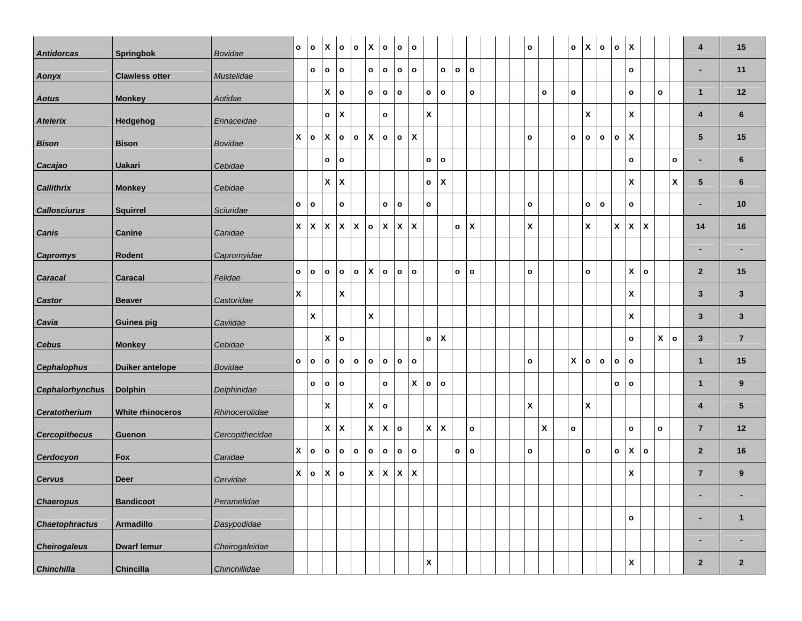| <b>Antidorcas</b>     | <b>Springbok</b>        | Bovidae         | $\bullet$    | $\mathbf{o}$       | X                  | $\mathbf{o}$ | $\circ$                   | $\mathbf{x}$ | $\bullet$    | $\circ$      | $\mathbf{o}$ |                           |                           |              |                    |  | $\circ$      |   | $\mathbf{o}$ | X                  | $\mathbf{o}$ | $\mathbf{o}$ | $\mathsf{I} \mathsf{X}$ |              |                    |              | 4               | 15               |
|-----------------------|-------------------------|-----------------|--------------|--------------------|--------------------|--------------|---------------------------|--------------|--------------|--------------|--------------|---------------------------|---------------------------|--------------|--------------------|--|--------------|---|--------------|--------------------|--------------|--------------|-------------------------|--------------|--------------------|--------------|-----------------|------------------|
| Aonyx                 | <b>Clawless otter</b>   | Mustelidae      |              | $\mathbf{o}$       | $\circ$            | $\mathbf{o}$ |                           | $\mathbf{o}$ | $\circ$      | $\bullet$    | $\mathbf{o}$ |                           | $\mathbf{o}$              | $\mathbf{o}$ | $\mathbf{o}$       |  |              |   |              |                    |              |              | $\mathbf{o}$            |              |                    |              | ٠               | 11               |
| <b>A</b> otus         | <b>Monkey</b>           | Aotidae         |              |                    | X                  | $\mathbf{o}$ |                           | $\mathbf{o}$ | $\mathbf{o}$ | $\mathbf{o}$ |              | $\mathbf{o}$              | $\mathbf{o}$              |              | $\mathbf{o}$       |  |              | o | $\mathbf{o}$ |                    |              |              | $\mathbf{o}$            |              | $\mathbf{o}$       |              | $\mathbf{1}$    | 12               |
| <b>Atelerix</b>       | Hedgehog                | Erinaceidae     |              |                    | $\mathbf{o}$       | X            |                           |              | o            |              |              | $\boldsymbol{\mathsf{x}}$ |                           |              |                    |  |              |   |              | X                  |              |              | $\pmb{\chi}$            |              |                    |              | 4               | 6                |
| <b>Bison</b>          | <b>Bison</b>            | Bovidae         | $\mathbf{x}$ | $\circ$            | X                  | $\mathbf{o}$ | $\mathbf{o}$              | X            | $\mathbf{o}$ | $\circ$      | $\pmb{\chi}$ |                           |                           |              |                    |  | $\mathbf{o}$ |   | $\bullet$    | o                  | $\mathbf{o}$ | $\mathbf{o}$ | X                       |              |                    |              | $5\phantom{.0}$ | 15               |
| Cacajao               | <b>Uakari</b>           | Cebidae         |              |                    | $\mathbf{o}$       | $\mathbf{o}$ |                           |              |              |              |              | $\mathbf{o}$              | $\mathbf{o}$              |              |                    |  |              |   |              |                    |              |              | $\mathbf{o}$            |              |                    | $\mathbf{o}$ | ۰               | 6                |
| <b>Callithrix</b>     | <b>Monkey</b>           | Cebidae         |              |                    | X                  | $\pmb{\chi}$ |                           |              |              |              |              | $\mathbf{o}$              | $\boldsymbol{\mathsf{x}}$ |              |                    |  |              |   |              |                    |              |              | $\boldsymbol{x}$        |              |                    | X            | 5               | 6                |
| <b>Callosciurus</b>   | <b>Squirrel</b>         | Sciuridae       | $\mathbf{o}$ | $\mathbf{o}$       |                    | $\mathbf{o}$ |                           |              | $\mathbf{o}$ | $\circ$      |              | $\mathbf{o}$              |                           |              |                    |  | $\circ$      |   |              | $\mathbf{o}$       | $\mathbf{o}$ |              | $\mathbf{o}$            |              |                    |              | ٠               | 10               |
| <b>Canis</b>          | Canine                  | Canidae         | X            | X                  | x                  | X            | $\boldsymbol{\mathsf{x}}$ | $\mathbf{o}$ | X            | $\mathbf{x}$ | X            |                           |                           | $\mathbf{o}$ | $\pmb{\mathsf{X}}$ |  | $\pmb{\chi}$ |   |              | X                  |              | X            | Χ                       | X            |                    |              | 14              | 16               |
| <b>Capromys</b>       | <b>Rodent</b>           | Capromyidae     |              |                    |                    |              |                           |              |              |              |              |                           |                           |              |                    |  |              |   |              |                    |              |              |                         |              |                    |              | -               |                  |
| <b>Caracal</b>        | <b>Caracal</b>          | Felidae         | $\bullet$    | $\mathbf{o}$       | $\mathbf{o}$       | $\mathbf{o}$ | $\circ$                   | X            | $\mathbf{o}$ | $\bullet$    | $\mathbf{o}$ |                           |                           | $\mathbf{o}$ | $\mathbf{o}$       |  | $\circ$      |   |              | $\mathbf{o}$       |              |              | $\pmb{\mathsf{X}}$      | $\mathbf{o}$ |                    |              | $\overline{2}$  | 15               |
| <b>Castor</b>         | <b>Beaver</b>           | Castoridae      | X            |                    |                    | X            |                           |              |              |              |              |                           |                           |              |                    |  |              |   |              |                    |              |              | X                       |              |                    |              | $\mathbf{3}$    | $\mathbf{3}$     |
| Cavia                 | Guinea pig              | Caviidae        |              | $\pmb{\mathsf{x}}$ |                    |              |                           | X            |              |              |              |                           |                           |              |                    |  |              |   |              |                    |              |              | $\pmb{\chi}$            |              |                    |              | $\mathbf{3}$    | $\mathbf{3}$     |
| <b>Cebus</b>          | <b>Monkey</b>           | Cebidae         |              |                    | X                  | $\mathbf{o}$ |                           |              |              |              |              | $\mathbf{o}$              | X                         |              |                    |  |              |   |              |                    |              |              | $\mathbf{o}$            |              | $\pmb{\mathsf{X}}$ | $\bullet$    | $\mathbf{3}$    | $\overline{7}$   |
| <b>Cephalophus</b>    | <b>Duiker antelope</b>  | Bovidae         | $\mathbf{o}$ | $\mathbf{o}$       | o                  | $\mathbf{o}$ | $\circ$                   | $\mathbf{o}$ | $\mathbf{o}$ | $\mathbf{o}$ | $\mathbf{o}$ |                           |                           |              |                    |  | $\mathbf{o}$ |   | X            | o                  | $\mathbf{o}$ | $\mathbf{o}$ | $\mathbf{o}$            |              |                    |              | $\mathbf{1}$    | 15               |
| Cephalorhynchus       | <b>Dolphin</b>          | Delphinidae     |              | $\mathbf{o}$       | $\circ$            | o            |                           |              | $\mathbf{o}$ |              | X            | $\bullet$                 | $\mathbf{o}$              |              |                    |  |              |   |              |                    |              | o            | $\circ$                 |              |                    |              | $\mathbf{1}$    | 9                |
| Ceratotherium         | <b>White rhinoceros</b> | Rhinocerotidae  |              |                    | X                  |              |                           | X            | $\mathbf{o}$ |              |              |                           |                           |              |                    |  | $\pmb{\chi}$ |   |              | $\pmb{\mathsf{X}}$ |              |              |                         |              |                    |              | 4               | $5\phantom{.0}$  |
| <b>Cercopithecus</b>  | Guenon                  | Cercopithecidae |              |                    | $\pmb{\mathsf{X}}$ | $\pmb{\chi}$ |                           | $\mathbf{x}$ | $\pmb{\chi}$ | $\bullet$    |              | $\mathbf{x}$              | $\pmb{\mathsf{X}}$        |              | $\mathbf{o}$       |  |              | X | $\bullet$    |                    |              |              | $\mathbf{o}$            |              | $\mathbf{o}$       |              | $\overline{7}$  | 12               |
| Cerdocyon             | <b>Fox</b>              | Canidae         | X            | $\mathbf{o}$       | $\mathbf{o}$       | $\mathbf{o}$ | $\circ$                   | $\mathbf{o}$ | $\bullet$    | $\mathbf{o}$ | $\mathbf{o}$ |                           |                           | $\mathbf{o}$ | $\mathbf{o}$       |  | $\mathbf{o}$ |   |              | $\mathbf{o}$       |              | $\mathbf{o}$ | X                       | $\mathbf{o}$ |                    |              | $\mathbf{2}$    | 16               |
| <b>Cervus</b>         | <b>Deer</b>             | Cervidae        | $\mathbf{x}$ | $\mathbf{o}$       | χ                  | $\mathbf{o}$ |                           | X            | $\mathbf{x}$ | $\mathbf{x}$ | $\pmb{\chi}$ |                           |                           |              |                    |  |              |   |              |                    |              |              | X                       |              |                    |              | $\overline{7}$  | $\boldsymbol{9}$ |
| Chaeropus             | <b>Bandicoot</b>        | Peramelidae     |              |                    |                    |              |                           |              |              |              |              |                           |                           |              |                    |  |              |   |              |                    |              |              |                         |              |                    |              | ٠               | ٠                |
| <b>Chaetophractus</b> | <b>Armadillo</b>        | Dasypodidae     |              |                    |                    |              |                           |              |              |              |              |                           |                           |              |                    |  |              |   |              |                    |              |              | $\mathbf{o}$            |              |                    |              | ۰               | $\mathbf{1}$     |
| <b>Cheirogaleus</b>   | <b>Dwarf lemur</b>      | Cheirogaleidae  |              |                    |                    |              |                           |              |              |              |              |                           |                           |              |                    |  |              |   |              |                    |              |              |                         |              |                    |              | ٠               | $\blacksquare$   |
| <b>Chinchilla</b>     | Chincilla               | Chinchillidae   |              |                    |                    |              |                           |              |              |              |              | $\pmb{\mathsf{X}}$        |                           |              |                    |  |              |   |              |                    |              |              | $\pmb{\chi}$            |              |                    |              | $\mathbf{2}$    | $\mathbf{2}$     |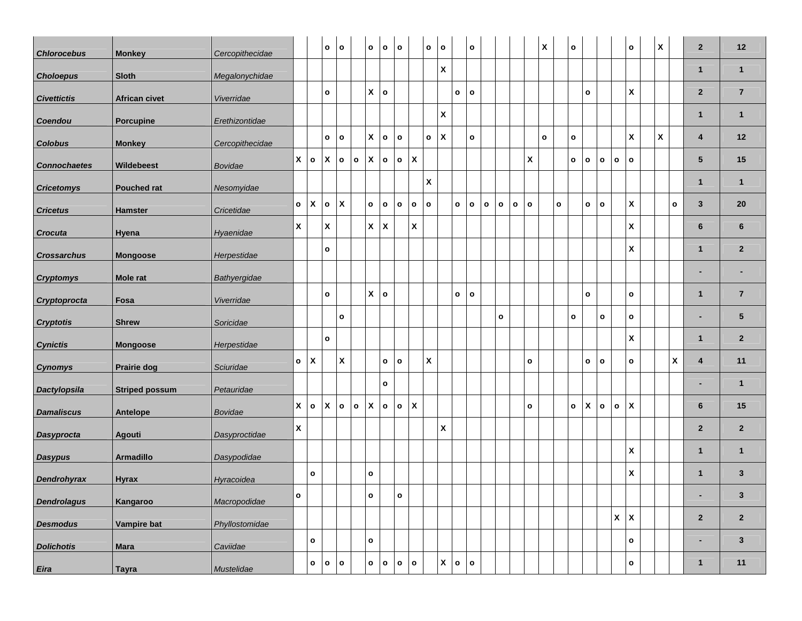| <b>Chlorocebus</b>  | <b>Monkey</b>         | Cercopithecidae |                    |                    | $\mathbf{o}$ | $\mathbf{o}$       |         | $\mathbf{o}$ | $\bullet$    | $\bullet$    |              | $\mathbf{o}$       | $\mathbf{o}$       |              | $\mathbf{o}$ |              |              |           |                    | X            |              | $\mathbf{o}$ |              |              |              | $\mathbf{o}$              | $\pmb{\mathsf{X}}$ |              | $\overline{2}$ | 12              |
|---------------------|-----------------------|-----------------|--------------------|--------------------|--------------|--------------------|---------|--------------|--------------|--------------|--------------|--------------------|--------------------|--------------|--------------|--------------|--------------|-----------|--------------------|--------------|--------------|--------------|--------------|--------------|--------------|---------------------------|--------------------|--------------|----------------|-----------------|
| <b>Choloepus</b>    | <b>Sloth</b>          | Megalonychidae  |                    |                    |              |                    |         |              |              |              |              |                    | X                  |              |              |              |              |           |                    |              |              |              |              |              |              |                           |                    |              | $\mathbf{1}$   | $\mathbf{1}$    |
| <b>Civettictis</b>  | African civet         | Viverridae      |                    |                    | $\mathbf{o}$ |                    |         | X            | $\circ$      |              |              |                    |                    | $\mathbf{o}$ | $\mathbf{o}$ |              |              |           |                    |              |              |              | $\mathbf{o}$ |              |              | $\pmb{\mathsf{X}}$        |                    |              | $\mathbf{2}$   | $\overline{7}$  |
| Coendou             | Porcupine             | Erethizontidae  |                    |                    |              |                    |         |              |              |              |              |                    | $\pmb{\mathsf{X}}$ |              |              |              |              |           |                    |              |              |              |              |              |              |                           |                    |              | $\mathbf{1}$   | $\mathbf{1}$    |
| <b>Colobus</b>      | <b>Monkey</b>         | Cercopithecidae |                    |                    | $\mathbf{o}$ | $\mathbf{o}$       |         | X            | $\mathbf{o}$ | $\circ$      |              | $\mathbf{o}$       | X                  |              | $\mathbf{o}$ |              |              |           |                    | $\mathbf{o}$ |              | $\mathbf{o}$ |              |              |              | $\pmb{\mathsf{x}}$        | $\pmb{\mathsf{x}}$ |              | 4              | 12              |
| <b>Connochaetes</b> | Wildebeest            | Bovidae         | X                  | $\mathbf{o}$       | χ            | $\mathbf{o}$       | $\circ$ | X            | o            | $\mathbf{o}$ | $\pmb{\chi}$ |                    |                    |              |              |              |              |           | $\pmb{\mathsf{x}}$ |              |              | $\mathbf{o}$ | o            | o            | $\mathbf{o}$ | $\mathbf{o}$              |                    |              | 5              | 15              |
| <b>Cricetomys</b>   | Pouched rat           | Nesomyidae      |                    |                    |              |                    |         |              |              |              |              | $\pmb{\mathsf{x}}$ |                    |              |              |              |              |           |                    |              |              |              |              |              |              |                           |                    |              | $\mathbf{1}$   | $\mathbf{1}$    |
| <b>Cricetus</b>     | <b>Hamster</b>        | Cricetidae      | $\mathbf{o}$       | X                  | $\mathbf{o}$ | $\pmb{\chi}$       |         | $\mathbf{o}$ | $\mathbf{o}$ | $\mathbf{o}$ | $\mathbf{o}$ | $\bullet$          |                    | $\mathbf{o}$ | $\bullet$    | $\mathbf{o}$ | $\bullet$    | $\bullet$ | $\mathbf{o}$       |              | $\mathbf{o}$ |              | $\mathbf{o}$ | $\mathbf{o}$ |              | $\pmb{\chi}$              |                    | $\mathbf{o}$ | $\mathbf{3}$   | 20              |
| Crocuta             | Hyena                 | Hyaenidae       | $\pmb{\mathsf{x}}$ |                    | X            |                    |         | $\mathbf{x}$ | $\pmb{\chi}$ |              | X            |                    |                    |              |              |              |              |           |                    |              |              |              |              |              |              | X                         |                    |              | 6              | 6               |
| <b>Crossarchus</b>  | <b>Mongoose</b>       | Herpestidae     |                    |                    | $\bullet$    |                    |         |              |              |              |              |                    |                    |              |              |              |              |           |                    |              |              |              |              |              |              | $\pmb{\mathsf{x}}$        |                    |              | $\mathbf 1$    | $\overline{2}$  |
| <b>Cryptomys</b>    | <b>Mole rat</b>       | Bathyergidae    |                    |                    |              |                    |         |              |              |              |              |                    |                    |              |              |              |              |           |                    |              |              |              |              |              |              |                           |                    |              |                | $\blacksquare$  |
| Cryptoprocta        | Fosa                  | Viverridae      |                    |                    | $\bullet$    |                    |         | $\mathbf{x}$ | $\mathbf{o}$ |              |              |                    |                    | $\mathbf{o}$ | $\mathbf{o}$ |              |              |           |                    |              |              |              | $\mathbf{o}$ |              |              | $\mathbf{o}$              |                    |              | 1              | $\overline{7}$  |
| <b>Cryptotis</b>    | <b>Shrew</b>          | Soricidae       |                    |                    |              | $\mathbf{o}$       |         |              |              |              |              |                    |                    |              |              |              | $\mathbf{o}$ |           |                    |              |              | $\mathbf{o}$ |              | $\mathbf{o}$ |              | $\mathbf{o}$              |                    |              |                | $5\phantom{.0}$ |
| <b>Cynictis</b>     | <b>Mongoose</b>       | Herpestidae     |                    |                    | $\mathbf{o}$ |                    |         |              |              |              |              |                    |                    |              |              |              |              |           |                    |              |              |              |              |              |              | $\pmb{\mathsf{x}}$        |                    |              | $\mathbf{1}$   | $\overline{2}$  |
| <b>Cynomys</b>      | Prairie dog           | Sciuridae       | $\mathbf{o}$       | $\pmb{\mathsf{X}}$ |              | $\pmb{\mathsf{x}}$ |         |              | $\mathbf{o}$ | $\circ$      |              | $\pmb{\mathsf{x}}$ |                    |              |              |              |              |           | $\mathbf{o}$       |              |              |              | $\mathbf{o}$ | $\mathbf{o}$ |              | $\mathbf{o}$              |                    | X            | 4              | 11              |
| <b>Dactylopsila</b> | <b>Striped possum</b> | Petauridae      |                    |                    |              |                    |         |              | $\mathbf{o}$ |              |              |                    |                    |              |              |              |              |           |                    |              |              |              |              |              |              |                           |                    |              | -              | $\mathbf{1}$    |
| <b>Damaliscus</b>   | Antelope              | Bovidae         | $\mathsf{x}$       | $\mathbf{o}$       | X            | $\mathbf{o}$       | $\circ$ | X            | $\mathbf{o}$ | $\mathbf{o}$ | X            |                    |                    |              |              |              |              |           | $\mathbf{o}$       |              |              | $\mathbf{o}$ | X            | $\mathbf{o}$ | $\mathbf{o}$ | $\boldsymbol{\mathsf{x}}$ |                    |              | 6              | 15              |
| <b>Dasyprocta</b>   | Agouti                | Dasyproctidae   | X                  |                    |              |                    |         |              |              |              |              |                    | $\pmb{\mathsf{X}}$ |              |              |              |              |           |                    |              |              |              |              |              |              |                           |                    |              | $\overline{2}$ | $\overline{2}$  |
| <b>Dasypus</b>      | <b>Armadillo</b>      | Dasypodidae     |                    |                    |              |                    |         |              |              |              |              |                    |                    |              |              |              |              |           |                    |              |              |              |              |              |              | $\pmb{\chi}$              |                    |              | $\mathbf 1$    | $\mathbf{1}$    |
| Dendrohyrax         | <b>Hyrax</b>          | Hyracoidea      |                    | $\mathbf{o}$       |              |                    |         | $\bullet$    |              |              |              |                    |                    |              |              |              |              |           |                    |              |              |              |              |              |              | $\pmb{\chi}$              |                    |              | $\mathbf{1}$   | $\mathbf{3}$    |
| <b>Dendrolagus</b>  | Kangaroo              | Macropodidae    | $\mathbf{o}$       |                    |              |                    |         | $\mathbf{o}$ |              | $\mathbf{o}$ |              |                    |                    |              |              |              |              |           |                    |              |              |              |              |              |              |                           |                    |              | ٠              | $\mathbf{3}$    |
| <b>Desmodus</b>     | Vampire bat           | Phyllostomidae  |                    |                    |              |                    |         |              |              |              |              |                    |                    |              |              |              |              |           |                    |              |              |              |              |              | $x \mid x$   |                           |                    |              | $\overline{2}$ | $\mathbf{2}$    |
| <b>Dolichotis</b>   | <b>Mara</b>           | Caviidae        |                    | $\mathbf{o}$       |              |                    |         | $\mathbf{o}$ |              |              |              |                    |                    |              |              |              |              |           |                    |              |              |              |              |              |              | $\mathbf{o}$              |                    |              | ٠              | $\mathbf{3}$    |
| Eira                | <b>Tayra</b>          | Mustelidae      |                    | $\mathbf{o}$       | l o          | $\mathbf{o}$       |         | $\mathbf{o}$ | $\circ$      | $\bullet$    | $\bullet$    |                    | $ X $ o            |              | $\mathbf{o}$ |              |              |           |                    |              |              |              |              |              |              | $\mathbf{o}$              |                    |              | $\mathbf{1}$   | $11$            |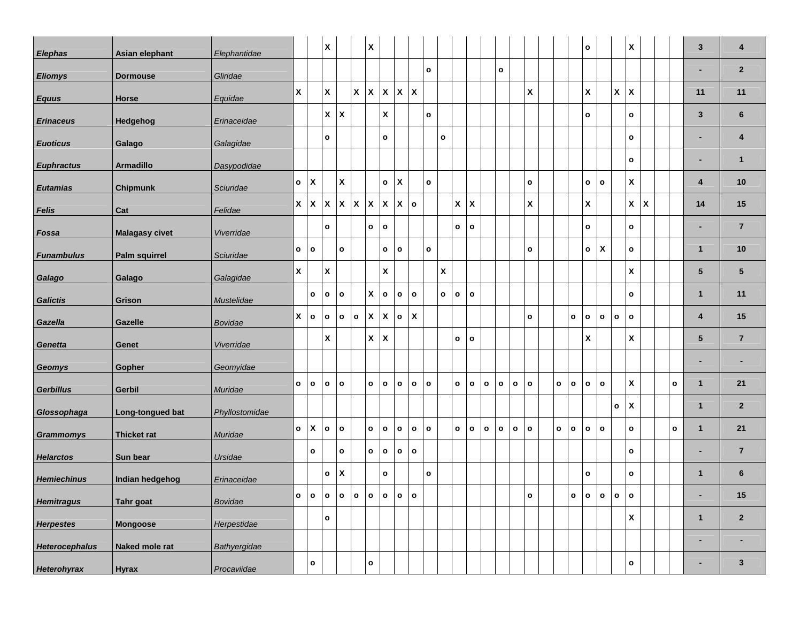| Elephas           | Asian elephant        | Elephantidae   |                  |              | X            |                    |                         | X            |                    |                    |              |              |                    |                    |              |              |              |              |              |              |              | $\mathbf{o}$       |              |              | $\boldsymbol{\mathsf{X}}$ |                    |              | $\mathbf{3}$    | 4               |
|-------------------|-----------------------|----------------|------------------|--------------|--------------|--------------------|-------------------------|--------------|--------------------|--------------------|--------------|--------------|--------------------|--------------------|--------------|--------------|--------------|--------------|--------------|--------------|--------------|--------------------|--------------|--------------|---------------------------|--------------------|--------------|-----------------|-----------------|
| <b>Eliomys</b>    | <b>Dormouse</b>       | Gliridae       |                  |              |              |                    |                         |              |                    |                    |              | $\mathbf{o}$ |                    |                    |              |              | $\mathbf{o}$ |              |              |              |              |                    |              |              |                           |                    |              | -               | $\overline{2}$  |
| Equus             | Horse                 | Equidae        | X                |              | X            |                    | $\pmb{\chi}$            | X            | X                  | $\pmb{\mathsf{X}}$ | $\pmb{\chi}$ |              |                    |                    |              |              |              |              | $\pmb{\chi}$ |              |              | $\pmb{\mathsf{X}}$ |              | X            | $\boldsymbol{\mathsf{x}}$ |                    |              | 11              | 11              |
| <b>Erinaceus</b>  | Hedgehog              | Erinaceidae    |                  |              | X            | $\pmb{\chi}$       |                         |              | $\boldsymbol{x}$   |                    |              | $\mathbf{o}$ |                    |                    |              |              |              |              |              |              |              | $\mathbf{o}$       |              |              | $\mathbf{o}$              |                    |              | $\mathbf{3}$    | 6               |
| <b>Euoticus</b>   | Galago                | Galagidae      |                  |              | $\bullet$    |                    |                         |              | $\mathbf{o}$       |                    |              |              | $\mathbf{o}$       |                    |              |              |              |              |              |              |              |                    |              |              | $\mathbf{o}$              |                    |              | ٠               | 4               |
| <b>Euphractus</b> | Armadillo             | Dasypodidae    |                  |              |              |                    |                         |              |                    |                    |              |              |                    |                    |              |              |              |              |              |              |              |                    |              |              | $\mathbf{o}$              |                    |              | -               | $\mathbf{1}$    |
| <b>Eutamias</b>   | <b>Chipmunk</b>       | Sciuridae      | $\mathbf{o}$     | X            |              | $\pmb{\mathsf{X}}$ |                         |              | $\mathbf{o}$       | $\pmb{\chi}$       |              | $\mathbf{o}$ |                    |                    |              |              |              |              | $\mathbf{o}$ |              |              | $\mathbf{o}$       | $\mathbf{o}$ |              | X                         |                    |              | 4               | 10              |
| Felis             | Cat                   | Felidae        | $\boldsymbol{X}$ | X            | X            | X                  | $\mathsf{I} \mathsf{X}$ | X            | $\pmb{\chi}$       | $\mathbf{x}$       | $\circ$      |              |                    | $\pmb{\mathsf{X}}$ | $\pmb{\chi}$ |              |              |              | $\pmb{\chi}$ |              |              | X                  |              |              | $\boldsymbol{x}$          | $\pmb{\mathsf{X}}$ |              | 14              | 15              |
| Fossa             | <b>Malagasy civet</b> | Viverridae     |                  |              | $\bullet$    |                    |                         | $\mathbf{o}$ | $\mathbf{o}$       |                    |              |              |                    | $\mathbf{o}$       | $\mathbf{o}$ |              |              |              |              |              |              | $\mathbf{o}$       |              |              | $\mathbf{o}$              |                    |              | -               | $\overline{7}$  |
| Funambulus        | Palm squirrel         | Sciuridae      | $\mathbf{o}$     | $\mathbf{o}$ |              | $\mathbf{o}$       |                         |              | $\mathbf{o}$       | $\circ$            |              | $\mathbf{o}$ |                    |                    |              |              |              |              | $\mathbf{o}$ |              |              | $\mathbf{o}$       | χ            |              | $\mathbf{o}$              |                    |              | $\mathbf{1}$    | 10              |
| Galago            | Galago                | Galagidae      | X                |              | X            |                    |                         |              | $\pmb{\mathsf{x}}$ |                    |              |              | $\pmb{\mathsf{X}}$ |                    |              |              |              |              |              |              |              |                    |              |              | $\pmb{\mathsf{x}}$        |                    |              | 5               | $5\phantom{.0}$ |
| <b>Galictis</b>   | Grison                | Mustelidae     |                  | $\mathbf{o}$ | o            | $\mathbf{o}$       |                         | X            | o                  | $\mathbf{o}$       | $\mathbf{o}$ |              | $\mathbf{o}$       | $\mathbf{o}$       | $\mathbf{o}$ |              |              |              |              |              |              |                    |              |              | $\mathbf{o}$              |                    |              | $\mathbf{1}$    | 11              |
| Gazella           | <b>Gazelle</b>        | Bovidae        | X                | $\mathbf{o}$ | $\mathbf{o}$ | $\mathbf{o}$       | $\circ$                 | X            | X                  | $\mathbf{o}$       | $\pmb{\chi}$ |              |                    |                    |              |              |              |              | $\mathbf{o}$ |              | $\circ$      | $\mathbf{o}$       | $\mathbf{o}$ | $\mathbf{o}$ | $\mathbf{o}$              |                    |              | 4               | 15              |
| Genetta           | Genet                 | Viverridae     |                  |              | X            |                    |                         | $\mathbf{x}$ | $\pmb{\chi}$       |                    |              |              |                    | $\mathbf{o}$       | $\mathbf{o}$ |              |              |              |              |              |              | X                  |              |              | $\pmb{\mathsf{x}}$        |                    |              | $5\phantom{.0}$ | $\overline{7}$  |
| Geomys            | Gopher                | Geomyidae      |                  |              |              |                    |                         |              |                    |                    |              |              |                    |                    |              |              |              |              |              |              |              |                    |              |              |                           |                    |              |                 | $\blacksquare$  |
| Gerbillus         | Gerbil                | Muridae        | $\mathbf{o}$     | $\mathbf{o}$ | $\mathbf{o}$ | $\mathbf{o}$       |                         | $\mathbf{o}$ | $\circ$            | $\mathbf{o}$       | $\mathbf{o}$ | $\mathbf{o}$ |                    | $\mathbf{o}$       | $\mathbf{o}$ | $\mathbf{o}$ | $\mathbf{o}$ | $\mathbf{o}$ | $\mathbf{o}$ | o            | o            | $\mathbf{o}$       | $\mathbf{o}$ |              | X                         |                    | $\mathbf{o}$ | $\mathbf 1$     | 21              |
| Glossophaga       | Long-tongued bat      | Phyllostomidae |                  |              |              |                    |                         |              |                    |                    |              |              |                    |                    |              |              |              |              |              |              |              |                    |              | $\mathbf{o}$ | X                         |                    |              | $\mathbf{1}$    | $\overline{2}$  |
| Grammomys         | <b>Thicket rat</b>    | Muridae        | $\bullet$        | X            | $\mathbf{o}$ | $\mathbf{o}$       |                         | $\mathbf{o}$ | $\mathbf{o}$       | $\mathbf{o}$       | $\mathbf{o}$ | $\bullet$    |                    | $\mathbf{o}$       | $\mathbf{o}$ | $\mathbf{o}$ | $\mathbf{o}$ | $\mathbf{o}$ | $\mathbf{o}$ | $\mathbf{o}$ | $\mathbf{o}$ | $\mathbf{o}$       | $\mathbf{o}$ |              | $\mathbf{o}$              |                    | $\mathbf{o}$ | $\mathbf{1}$    | 21              |
| <b>Helarctos</b>  | Sun bear              | Ursidae        |                  | $\mathbf{o}$ |              | $\mathbf{o}$       |                         | $\mathbf{o}$ | $\mathbf{o}$       | $\mathbf{o}$       | $\mathbf{o}$ |              |                    |                    |              |              |              |              |              |              |              |                    |              |              | $\mathbf{o}$              |                    |              | ٠               | $\overline{7}$  |
| Hemiechinus       | Indian hedgehog       | Erinaceidae    |                  |              | $\mathbf{o}$ | X                  |                         |              | o                  |                    |              | $\mathbf{o}$ |                    |                    |              |              |              |              |              |              |              | $\mathbf{o}$       |              |              | $\mathbf{o}$              |                    |              | $\mathbf{1}$    | 6               |
| Hemitragus        | Tahr goat             | Bovidae        | 0                |              | $  \circ$    | $  \circ  $        | $  \circ  $             | $  \circ  $  | 0 0                |                    |              |              |                    |                    |              |              |              |              | $\mathbf{o}$ |              | $\mathbf{o}$ | $  \circ  $        | 0            |              | $  \circ$                 |                    |              | ٠               | 15              |
| <b>Herpestes</b>  | <b>Mongoose</b>       | Herpestidae    |                  |              | $\mathbf{o}$ |                    |                         |              |                    |                    |              |              |                    |                    |              |              |              |              |              |              |              |                    |              |              | $\pmb{\chi}$              |                    |              | $\mathbf{1}$    | $\mathbf{2}$    |
| Heterocephalus    | Naked mole rat        | Bathyergidae   |                  |              |              |                    |                         |              |                    |                    |              |              |                    |                    |              |              |              |              |              |              |              |                    |              |              |                           |                    |              |                 |                 |
| Heterohyrax       | Hyrax                 | Procaviidae    |                  | $\mathbf{o}$ |              |                    |                         | $\mathbf{o}$ |                    |                    |              |              |                    |                    |              |              |              |              |              |              |              |                    |              |              | $\mathbf{o}$              |                    |              | ٠               | $\mathbf 3$     |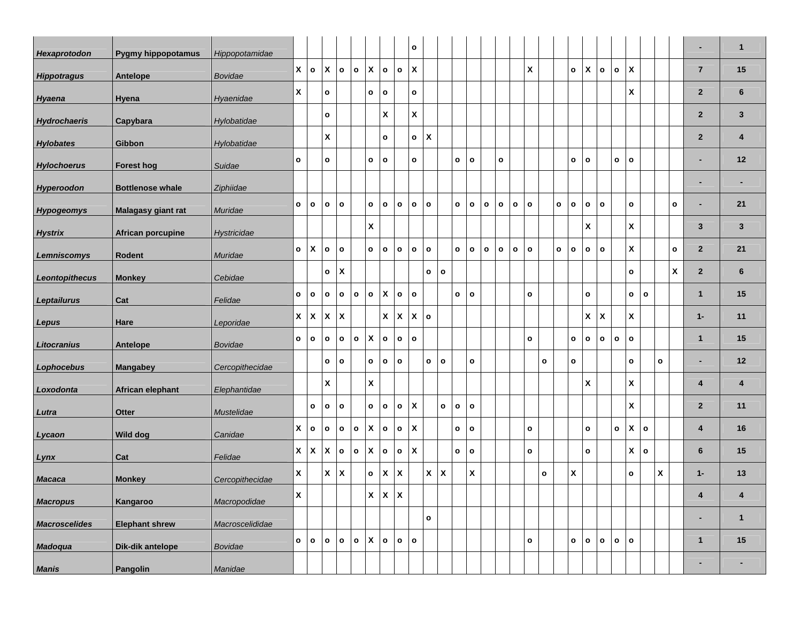| Hexaprotodon         | Pygmy hippopotamus      | Hippopotamidae  |                    |              |              |                  |              |                           |                   |                           | $\mathbf{o}$       |                           |                    |              |                    |              |              |              |                    |              |              |              |                    |              |              |              |              |              |              | -                       | $\mathbf{1}$   |
|----------------------|-------------------------|-----------------|--------------------|--------------|--------------|------------------|--------------|---------------------------|-------------------|---------------------------|--------------------|---------------------------|--------------------|--------------|--------------------|--------------|--------------|--------------|--------------------|--------------|--------------|--------------|--------------------|--------------|--------------|--------------|--------------|--------------|--------------|-------------------------|----------------|
| <b>Hippotragus</b>   | <b>Antelope</b>         | Bovidae         | $X$ o              |              | $\mathsf{x}$ | $\mathbf{o}$     | $\mathbf{o}$ | <b>X</b>                  | $\mathbf{o}$      | $\bullet$                 | X                  |                           |                    |              |                    |              |              |              | $\pmb{\mathsf{X}}$ |              |              | $\mathbf{o}$ | X                  | $\mathbf{o}$ | $\mathbf{o}$ | X            |              |              |              | $\overline{7}$          | 15             |
| Hyaena               | Hyena                   | Hyaenidae       | X                  |              | $\mathbf{o}$ |                  |              | $\bullet$                 | $\mathbf{o}$      |                           | $\mathbf{o}$       |                           |                    |              |                    |              |              |              |                    |              |              |              |                    |              |              | X            |              |              |              | $\mathbf{2}$            | 6              |
| Hydrochaeris         | Capybara                | Hylobatidae     |                    |              | $\mathbf{o}$ |                  |              |                           | X                 |                           | $\pmb{\mathsf{X}}$ |                           |                    |              |                    |              |              |              |                    |              |              |              |                    |              |              |              |              |              |              | $\overline{2}$          | $\mathbf{3}$   |
| Hylobates            | Gibbon                  | Hylobatidae     |                    |              | X            |                  |              |                           | $\mathbf{o}$      |                           | $\mathbf{o}$       | $\boldsymbol{\mathsf{x}}$ |                    |              |                    |              |              |              |                    |              |              |              |                    |              |              |              |              |              |              | $\overline{2}$          | 4              |
| Hylochoerus          | <b>Forest hog</b>       | Suidae          | $\mathbf{o}$       |              | o            |                  |              | $\bullet$                 | $\mathbf{o}$      |                           | $\mathbf{o}$       |                           |                    | $\mathbf{o}$ | $\mathbf{o}$       |              | $\mathbf{o}$ |              |                    |              |              | o            | o                  |              | $\mathbf{o}$ | $\mathbf{o}$ |              |              |              | ٠                       | 12             |
| Hyperoodon           | <b>Bottlenose whale</b> | Ziphiidae       |                    |              |              |                  |              |                           |                   |                           |                    |                           |                    |              |                    |              |              |              |                    |              |              |              |                    |              |              |              |              |              |              | -                       |                |
| Hypogeomys           | Malagasy giant rat      | Muridae         | $\mathbf{o}$       | $\mathbf{o}$ | $\mathbf{o}$ | $\bullet$        |              | $\mathbf{o}$              | $\mathbf{o}$      | $\mathbf{o}$              | $\mathbf{o}$       | $\mathbf{o}$              |                    | $\mathbf{o}$ | $\mathbf{o}$       | $\mathbf{o}$ | $\bullet$    | $\mathbf{o}$ | $\mathbf{o}$       |              | $\mathbf{o}$ | o            | o                  | $\mathbf{o}$ |              | $\mathbf{o}$ |              |              | $\mathbf{o}$ | ۰                       | 21             |
| <b>Hystrix</b>       | African porcupine       | Hystricidae     |                    |              |              |                  |              | $\boldsymbol{\mathsf{X}}$ |                   |                           |                    |                           |                    |              |                    |              |              |              |                    |              |              |              | X                  |              |              | X            |              |              |              | 3                       | $\mathbf{3}$   |
| Lemniscomys          | Rodent                  | Muridae         | $\mathbf{o}$       | X            | o            | $\mathbf{o}$     |              | $\mathbf{o}$              | $\mathbf{o}$      | $\mathbf{o}$              | $\mathbf{o}$       | $\mathbf{o}$              |                    | $\mathbf{o}$ | $\mathbf{o}$       | $\mathbf{o}$ | $\mathbf{o}$ | $\mathbf{o}$ | o                  |              | o            | $\mathbf{o}$ | $\mathbf{o}$       | $\mathbf{o}$ |              | X            |              |              | $\mathbf{o}$ | $\overline{2}$          | 21             |
| Leontopithecus       | <b>Monkey</b>           | Cebidae         |                    |              | $\mathbf{o}$ | X                |              |                           |                   |                           |                    | $\mathbf{o}$              | $\mathbf{o}$       |              |                    |              |              |              |                    |              |              |              |                    |              |              | $\mathbf{o}$ |              |              | X            | $\overline{2}$          | 6              |
| Leptailurus          | Cat                     | Felidae         | $\mathbf{o}$       | o            | o            | $\mathbf{o}$     | $\bullet$    | $\circ$                   | X                 | $\mathbf{o}$              | $\mathbf{o}$       |                           |                    | $\mathbf{o}$ | $\bullet$          |              |              |              | o                  |              |              |              | $\mathbf{o}$       |              |              | $\mathbf{o}$ | $\mathbf{o}$ |              |              | $\mathbf{1}$            | 15             |
| Lepus                | Hare                    | Leporidae       | X                  | X            | x            | X                |              |                           | X                 | $\pmb{\chi}$              | X                  | $\mathbf{o}$              |                    |              |                    |              |              |              |                    |              |              |              | $\pmb{\mathsf{X}}$ | X            |              | X            |              |              |              | $1 -$                   | 11             |
| Litocranius          | Antelope                | Bovidae         | $\mathbf{o}$       | $\mathbf{o}$ | $\mathbf{o}$ | $\bullet$        | $\bullet$    | X                         | $\mathbf{o}$      | $\mathbf{o}$              | $\circ$            |                           |                    |              |                    |              |              |              | $\bullet$          |              |              | $\mathbf{o}$ | o                  | $\mathbf{o}$ | $\mathbf{o}$ | $\mathbf{o}$ |              |              |              | $\mathbf{1}$            | 15             |
| Lophocebus           | Mangabey                | Cercopithecidae |                    |              | $\mathbf{o}$ | $\mathbf{o}$     |              | $\mathbf{o}$              | $\bullet$         | $\mathbf{o}$              |                    | $\mathbf{o}$              | $\bullet$          |              | $\mathbf{o}$       |              |              |              |                    | $\mathbf{o}$ |              | o            |                    |              |              | $\mathbf{o}$ |              | $\mathbf{o}$ |              |                         | 12             |
| Loxodonta            | African elephant        | Elephantidae    |                    |              | X            |                  |              | X                         |                   |                           |                    |                           |                    |              |                    |              |              |              |                    |              |              |              | $\pmb{\chi}$       |              |              | X            |              |              |              | 4                       | 4              |
| <b>Lutra</b>         | <b>Otter</b>            | Mustelidae      |                    | $\mathbf{o}$ | o            | $\bullet$        |              | $\mathbf{o}$              | $\mathbf{o}$      | $\mathbf{o}$              | X                  |                           | $\mathbf{o}$       | $\mathbf{o}$ | $\mathbf{o}$       |              |              |              |                    |              |              |              |                    |              |              | X            |              |              |              | $\mathbf{2}$            | 11             |
| Lycaon               | Wild dog                | Canidae         | $\mathbf{x}$       | $\mathbf{o}$ | $\mathbf{o}$ | $\mathbf{o}$     | $\mathbf{o}$ | X                         | $\mathbf{o}$      | $\mathbf{o}$              | X                  |                           |                    | $\mathbf{o}$ | $\mathbf{o}$       |              |              |              | o                  |              |              |              | $\mathbf{o}$       |              | $\mathbf{o}$ | X            | $\mathbf{o}$ |              |              | 4                       | 16             |
| Lynx                 | Cat                     | Felidae         | X                  | X            | x            | $\mathbf{o}$     | $\mathbf{o}$ | X                         | $\mathbf{o}$      | $\mathbf{o}$              | X                  |                           |                    | $\mathbf{o}$ | $\mathbf{o}$       |              |              |              | $\bullet$          |              |              |              | $\mathbf{o}$       |              |              | X            | $\mathbf{o}$ |              |              | 6                       | 15             |
| <b>Macaca</b>        | <b>Monkey</b>           | Cercopithecidae | X                  |              | X            | $\boldsymbol{X}$ |              | $\mathbf{o}$              | X                 | $\boldsymbol{\mathsf{X}}$ |                    | $\mathbf{x}$              | $\pmb{\mathsf{x}}$ |              | $\pmb{\mathsf{X}}$ |              |              |              |                    | $\bullet$    |              | X            |                    |              |              | $\mathbf{o}$ |              | X            |              | $1 -$                   | 13             |
| <b>Macropus</b>      | Kangaroo                | Macropodidae    | $\pmb{\mathsf{x}}$ |              |              |                  |              |                           | $x \mid x \mid x$ |                           |                    |                           |                    |              |                    |              |              |              |                    |              |              |              |                    |              |              |              |              |              |              | $\overline{\mathbf{4}}$ | $\pmb{4}$      |
| <b>Macroscelides</b> | <b>Elephant shrew</b>   | Macroscelididae |                    |              |              |                  |              |                           |                   |                           |                    | $\mathbf{o}$              |                    |              |                    |              |              |              |                    |              |              |              |                    |              |              |              |              |              |              | ٠                       | $\mathbf{1}$   |
| Madoqua              | Dik-dik antelope        | Bovidae         | $0$ 0              |              | $\bullet$    | $\bullet$        | $\bullet$    | Ιx.                       | $\circ$           | $\circ$                   | $\circ$            |                           |                    |              |                    |              |              |              | $\bullet$          |              |              | $0$ 0        |                    | $\bullet$    | $\mathbf{o}$ | ۱o           |              |              |              | $\mathbf{1}$            | 15             |
| <b>Manis</b>         | Pangolin                | Manidae         |                    |              |              |                  |              |                           |                   |                           |                    |                           |                    |              |                    |              |              |              |                    |              |              |              |                    |              |              |              |              |              |              | ٠                       | $\blacksquare$ |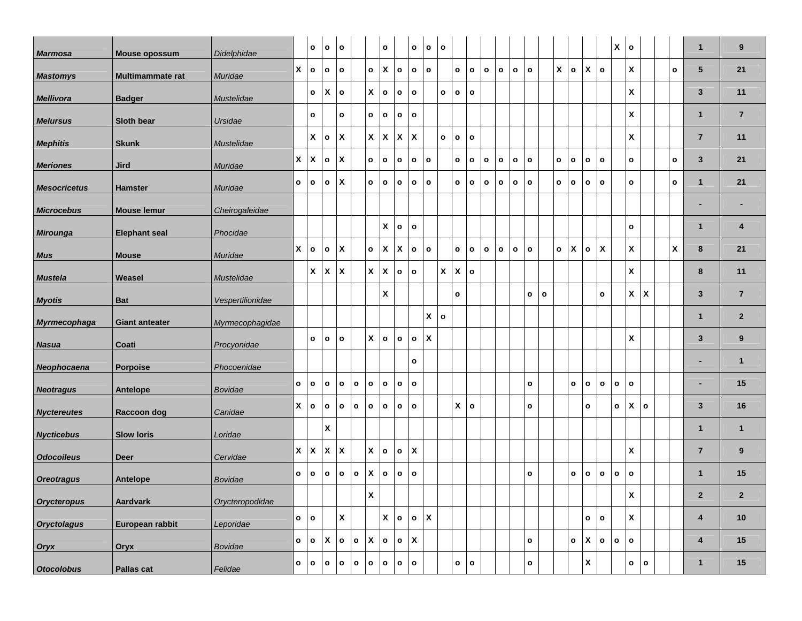| <b>Marmosa</b>      | <b>Mouse opossum</b>    | Didelphidae      |              | $\mathbf{o}$ | $\mathbf{o}$       | $\mathbf{o}$ |              |                    | $\bullet$                 |              | $\mathbf{o}$ | $\circ$            | $\mathbf{o}$       |              |              |              |              |              |              |              |              |              |                    |                          | X            | $\mathbf{o}$       |              |                    | $\mathbf{1}$            | 9                |
|---------------------|-------------------------|------------------|--------------|--------------|--------------------|--------------|--------------|--------------------|---------------------------|--------------|--------------|--------------------|--------------------|--------------|--------------|--------------|--------------|--------------|--------------|--------------|--------------|--------------|--------------------|--------------------------|--------------|--------------------|--------------|--------------------|-------------------------|------------------|
| <b>Mastomys</b>     | <b>Multimammate rat</b> | Muridae          | X            | $\mathbf{o}$ | $\mathbf{o}$       | $\bullet$    |              | $\mathbf{o}$       | X                         | $\mathbf{o}$ | $\mathbf{o}$ | $\bullet$          |                    | $\mathbf{o}$ | $\bullet$    | $\mathbf{o}$ | $\mathbf{o}$ | $\mathbf{o}$ | $\mathbf{o}$ |              | $\mathsf{x}$ | $\bullet$    | X                  | $\mathbf{o}$             |              | X                  |              | $\mathbf{o}$       | 5                       | 21               |
| Mellivora           | <b>Badger</b>           | Mustelidae       |              | o            | χ                  | $\mathbf{o}$ |              | X                  | $\mathbf{o}$              | $\mathbf{o}$ | $\mathbf{o}$ |                    | $\mathbf{o}$       | $\mathbf{o}$ | $\mathbf{o}$ |              |              |              |              |              |              |              |                    |                          |              | X                  |              |                    | 3                       | 11               |
| <b>Melursus</b>     | Sloth bear              | Ursidae          |              | o            |                    | $\mathbf{o}$ |              | $\mathbf{o}$       | $\mathbf{o}$              | $\mathbf{o}$ | $\mathbf{o}$ |                    |                    |              |              |              |              |              |              |              |              |              |                    |                          |              | $\pmb{\mathsf{X}}$ |              |                    | $\mathbf{1}$            | $\overline{7}$   |
| <b>Mephitis</b>     | <b>Skunk</b>            | Mustelidae       |              | X            | $\mathbf{o}$       | X            |              | X                  | X                         | X            | X            |                    | $\mathbf{o}$       | $\mathbf{o}$ | $\mathbf{o}$ |              |              |              |              |              |              |              |                    |                          |              | X                  |              |                    | $\overline{7}$          | 11               |
| <b>Meriones</b>     | Jird                    | Muridae          | χ            | χ            | o                  | X            |              | $\mathbf{o}$       | $\mathbf{o}$              | $\mathbf{o}$ | $\mathbf{o}$ | $\bullet$          |                    | $\mathbf{o}$ | $\mathbf{o}$ | $\mathbf{o}$ | $\mathbf{o}$ | $\mathbf{o}$ | $\mathbf{o}$ |              | o            | o            | o                  | $\mathbf{o}$             |              | $\bullet$          |              | $\mathbf{o}$       | $\mathbf{3}$            | 21               |
| <b>Mesocricetus</b> | <b>Hamster</b>          | Muridae          | $\mathbf{o}$ | o            | о                  | Χ            |              | $\mathbf{o}$       | $\circ$                   | $\mathbf{o}$ | $\mathbf{o}$ | $\circ$            |                    | $\mathbf{o}$ | $\mathbf{o}$ | $\mathbf{o}$ | $\mathbf{o}$ | $\circ$      | $\mathbf{o}$ |              | o            | $\mathbf{o}$ | о                  | $\mathbf{o}$             |              | $\mathbf{o}$       |              | $\mathbf{o}$       | $\mathbf{1}$            | 21               |
| <b>Microcebus</b>   | <b>Mouse lemur</b>      | Cheirogaleidae   |              |              |                    |              |              |                    |                           |              |              |                    |                    |              |              |              |              |              |              |              |              |              |                    |                          |              |                    |              |                    | -                       |                  |
| <b>Mirounga</b>     | <b>Elephant seal</b>    | Phocidae         |              |              |                    |              |              |                    | X                         | $\mathbf{o}$ | $\mathbf{o}$ |                    |                    |              |              |              |              |              |              |              |              |              |                    |                          |              | $\bullet$          |              |                    | 1                       | 4                |
| <b>Mus</b>          | <b>Mouse</b>            | Muridae          | X            | o            | о                  | X            |              | $\mathbf{o}$       | X                         | X            | $\mathbf{o}$ | $\bullet$          |                    | $\mathbf{o}$ | $\mathbf{o}$ | $\mathbf{o}$ | $\mathbf{o}$ | $\circ$      | $\mathbf{o}$ |              | o            | χ            | $\mathbf{o}$       | X                        |              | X                  |              | $\pmb{\mathsf{X}}$ | 8                       | 21               |
| <b>Mustela</b>      | Weasel                  | Mustelidae       |              | X            | X                  | X            |              | X                  | $\boldsymbol{\mathsf{X}}$ | $\mathbf{o}$ | $\mathbf{o}$ |                    | $\pmb{\mathsf{X}}$ | X            | $\mathbf{o}$ |              |              |              |              |              |              |              |                    |                          |              | $\mathsf{x}$       |              |                    | 8                       | 11               |
| <b>Myotis</b>       | <b>Bat</b>              | Vespertilionidae |              |              |                    |              |              |                    | X                         |              |              |                    |                    | $\mathbf{o}$ |              |              |              |              | $\mathbf{o}$ | $\mathbf{o}$ |              |              |                    | $\mathbf{o}$             |              | $x \mid x$         |              |                    | $\mathbf{3}$            | $\overline{7}$   |
| Myrmecophaga        | <b>Giant anteater</b>   | Myrmecophagidae  |              |              |                    |              |              |                    |                           |              |              | X                  | $\mathbf{o}$       |              |              |              |              |              |              |              |              |              |                    |                          |              |                    |              |                    | 1                       | $\mathbf{2}$     |
| <b>Nasua</b>        | Coati                   | Procyonidae      |              | $\mathbf{o}$ | o                  | $\mathbf{o}$ |              | X                  | $\mathbf{o}$              | $\mathbf{o}$ | $\mathbf{o}$ | $\pmb{\mathsf{X}}$ |                    |              |              |              |              |              |              |              |              |              |                    |                          |              | $\mathsf{x}$       |              |                    | $\mathbf{3}$            | $\boldsymbol{9}$ |
| Neophocaena         | <b>Porpoise</b>         | Phocoenidae      |              |              |                    |              |              |                    |                           |              | $\mathbf{o}$ |                    |                    |              |              |              |              |              |              |              |              |              |                    |                          |              |                    |              |                    | ۰                       | $\mathbf{1}$     |
| <b>Neotragus</b>    | Antelope                | Bovidae          | $\mathbf{o}$ | o            | o                  | $\mathbf{o}$ | $\mathbf{o}$ | $\mathbf{o}$       | $\mathbf{o}$              | $\mathbf{o}$ | $\mathbf{o}$ |                    |                    |              |              |              |              |              | $\mathbf{o}$ |              |              | o            | o                  | o                        | $\mathbf{o}$ | $\mathbf{o}$       |              |                    | -                       | 15               |
| <b>Nyctereutes</b>  | Raccoon dog             | Canidae          | $\mathsf{x}$ | o            | o                  | o            | $\bullet$    | $\mathbf{o}$       | $\bullet$                 | $\mathbf{o}$ | $\mathbf{o}$ |                    |                    | X            | $\mathbf{o}$ |              |              |              | $\mathbf{o}$ |              |              |              | $\mathbf{o}$       |                          | $\mathbf{o}$ | X                  | $\mathbf{o}$ |                    | $\mathbf{3}$            | 16               |
| <b>Nycticebus</b>   | <b>Slow loris</b>       | Loridae          |              |              | X                  |              |              |                    |                           |              |              |                    |                    |              |              |              |              |              |              |              |              |              |                    |                          |              |                    |              |                    | $\mathbf{1}$            | $\mathbf{1}$     |
| <b>Odocoileus</b>   | <b>Deer</b>             | Cervidae         | X            | X            | χ                  | X            |              | X                  | $\circ$                   | $\mathbf{o}$ | X            |                    |                    |              |              |              |              |              |              |              |              |              |                    |                          |              | X                  |              |                    | $\overline{7}$          | 9                |
| <b>Oreotragus</b>   | Antelope                | Bovidae          | $\mathbf{o}$ | О            | o                  | $\mathbf{o}$ | $\mathbf{o}$ | X                  | $\mathbf{o}$              | $\mathbf{o}$ | $\mathbf{o}$ |                    |                    |              |              |              |              |              | $\mathbf{o}$ |              |              | o            | o                  | o                        | $\mathbf{o}$ | $\mathbf{o}$       |              |                    | $\mathbf{1}$            | 15               |
| <b>Orycteropus</b>  | Aardvark                | Orycteropodidae  |              |              |                    |              |              | $\pmb{\mathsf{X}}$ |                           |              |              |                    |                    |              |              |              |              |              |              |              |              |              |                    |                          |              | $\pmb{\mathsf{X}}$ |              |                    | $\mathbf{2}$            | $\mathbf{2}$     |
| <b>Oryctolagus</b>  | European rabbit         | Leporidae        | $\bullet$    | $\mathbf{o}$ |                    | $\mathbf{x}$ |              |                    | $\pmb{\mathsf{x}}$        | $\circ$      | $\circ$      | $\mathbf{x}$       |                    |              |              |              |              |              |              |              |              |              | $\mathbf{o}$       | $\overline{\phantom{a}}$ |              | $\mathbf{x}$       |              |                    | $\overline{\mathbf{4}}$ | $10$             |
| Oryx                | Oryx                    | Bovidae          | o   o        |              | $\pmb{\mathsf{X}}$ | $\circ$      | $\mathbf{o}$ | $\mathbf{x}$       | $\circ$                   | $\circ$      | $\mathbf{x}$ |                    |                    |              |              |              |              |              | $\bullet$    |              |              | o X          |                    | $\mathbf{o}$             | $\mathbf{o}$ | $\mathbf{o}$       |              |                    | $\overline{\mathbf{4}}$ | 15               |
| <b>Otocolobus</b>   | Pallas cat              | Felidae          | $0$ 0        |              | $\mathbf{o}$       | $\bullet$    | $\mathbf{o}$ | $\circ$            | $\bullet$                 | $\bullet$    | $\bullet$    |                    |                    | $\mathbf{o}$ | $\mathbf{o}$ |              |              |              | $\mathbf{o}$ |              |              |              | $\pmb{\mathsf{X}}$ |                          |              | $\circ$   $\circ$  |              |                    | $\mathbf{1}$            | $15$             |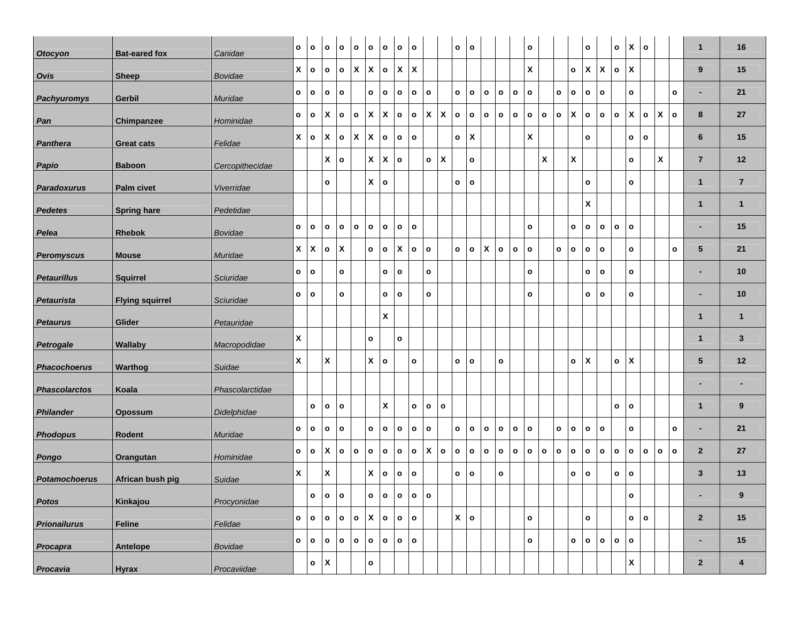| Otocyon         | <b>Bat-eared fox</b>   | Canidae         | $\mathbf{o}$       | $\bullet$    | $\mathbf{o}$              | $\mathbf{o}$ | $\mathbf{o}$ | $\mathbf{o}$              | $\mathbf{o}$ | $\mathbf{o}$ | $\mathbf{o}$      |                           |                    | $\mathbf{o}$ | $\circ$      |              |              |              | $\mathbf{o}$ |              |              |              | $\mathbf{o}$ |              | $\bullet$    | X            | $\mathbf{o}$ |              |              | $\mathbf{1}$   | 16             |
|-----------------|------------------------|-----------------|--------------------|--------------|---------------------------|--------------|--------------|---------------------------|--------------|--------------|-------------------|---------------------------|--------------------|--------------|--------------|--------------|--------------|--------------|--------------|--------------|--------------|--------------|--------------|--------------|--------------|--------------|--------------|--------------|--------------|----------------|----------------|
| Ovis            | <b>Sheep</b>           | Bovidae         | X                  | $\mathbf{o}$ | $\mathbf{o}$              | $\mathbf{o}$ | Χ            | $\mathbf{x}$              | $\bullet$    | $\mathbf{x}$ | X                 |                           |                    |              |              |              |              |              | X            |              |              | $\mathbf{o}$ | X            | X            | $\mathbf{o}$ | X            |              |              |              | 9              | 15             |
| Pachyuromys     | Gerbil                 | Muridae         | $\mathbf{o}$       | $\mathbf{o}$ | o                         | $\mathbf{o}$ |              | $\bullet$                 | $\mathbf{o}$ | $\mathbf{o}$ | $\mathbf{o}$      | $\mathbf{o}$              |                    | o            | $\mathbf{o}$ | $\mathbf{o}$ | $\mathbf{o}$ | $\mathbf{o}$ | $\mathbf{o}$ |              | o            | o            | О            | o            |              | $\mathbf{o}$ |              |              | $\mathbf{o}$ | ٠              | 21             |
| Pan             | Chimpanzee             | Hominidae       | $\mathbf{o}$       | $\mathbf{o}$ | X                         | $\mathbf{o}$ | $\mathbf{o}$ | X                         | X            | $\mathbf{o}$ | $\mathbf{o}$      | $\boldsymbol{\mathsf{X}}$ | X                  | $\mathbf{o}$ | $\mathbf{o}$ | $\mathbf{o}$ | $\mathbf{o}$ | $\mathbf{o}$ | $\mathbf{o}$ | $\mathbf{o}$ | o            | X            | o            | o            | $\mathbf{o}$ | X            | $\mathbf{o}$ | X            | $\mathbf{o}$ | 8              | 27             |
| Panthera        | <b>Great cats</b>      | Felidae         | $X$ o              |              | Χ                         | $\mathbf{o}$ | X            | $\boldsymbol{\mathsf{x}}$ | $\mathbf{o}$ | $\circ$      | $\mathbf{o}$      |                           |                    | $\mathbf{o}$ | X            |              |              |              | X            |              |              |              | $\mathbf{o}$ |              |              | $\mathbf{o}$ | $\mathbf{o}$ |              |              | 6              | 15             |
| Papio           | <b>Baboon</b>          | Cercopithecidae |                    |              | Χ                         | $\mathbf{o}$ |              | X                         | X            | $\mathbf{o}$ |                   | $\bullet$                 | $\pmb{\mathsf{x}}$ |              | $\mathbf{o}$ |              |              |              |              | X            |              | X            |              |              |              | $\mathbf{o}$ |              | X            |              | $\overline{7}$ | 12             |
| Paradoxurus     | Palm civet             | Viverridae      |                    |              | $\mathbf{o}$              |              |              | X                         | $\mathbf{o}$ |              |                   |                           |                    | $\mathbf{o}$ | $\mathbf{o}$ |              |              |              |              |              |              |              | $\mathbf{o}$ |              |              | $\mathbf{o}$ |              |              |              | $\mathbf{1}$   | $\overline{7}$ |
| Pedetes         | <b>Spring hare</b>     | Pedetidae       |                    |              |                           |              |              |                           |              |              |                   |                           |                    |              |              |              |              |              |              |              |              |              | X            |              |              |              |              |              |              | $\mathbf{1}$   | $\mathbf{1}$   |
| Pelea           | <b>Rhebok</b>          | Bovidae         | $\mathbf{o}$       | $\mathbf{o}$ | o                         | $\mathbf{o}$ | $\mathbf{o}$ | $\bullet$                 | $\mathbf{o}$ | $\mathbf{o}$ | $\mathbf{o}$      |                           |                    |              |              |              |              |              | $\mathbf{o}$ |              |              | o            | о            | o            | $\mathbf{o}$ | $\mathbf{o}$ |              |              |              | ٠              | 15             |
| Peromyscus      | <b>Mouse</b>           | Muridae         | X                  | X            | $\mathbf{o}$              | Χ            |              | $\mathbf{o}$              | $\mathbf{o}$ | X            | $\mathbf{o}$      | $\circ$                   |                    | $\mathbf{o}$ | $\mathbf{o}$ | Χ            | $\mathbf{o}$ | $\mathbf o$  | $\mathbf{o}$ |              | o            | $\mathbf{o}$ | о            | o            |              | $\mathbf{o}$ |              |              | $\mathbf{o}$ | 5              | 21             |
| Petaurillus     | <b>Squirrel</b>        | Sciuridae       | $\mathbf{o}$       | $\mathbf{o}$ |                           | $\mathbf{o}$ |              |                           | $\mathbf{o}$ | $\circ$      |                   | $\mathbf{o}$              |                    |              |              |              |              |              | $\mathbf{o}$ |              |              |              | $\mathbf{o}$ | $\mathbf{o}$ |              | $\mathbf{o}$ |              |              |              |                | 10             |
| Petaurista      | <b>Flying squirrel</b> | Sciuridae       | $\mathbf{o}$       | $\mathbf{o}$ |                           | $\mathbf{o}$ |              |                           | $\mathbf{o}$ | $\mathbf{o}$ |                   | $\mathbf{o}$              |                    |              |              |              |              |              | $\mathbf{o}$ |              |              |              | o            | $\mathbf{o}$ |              | $\mathbf{o}$ |              |              |              | ٠              | 10             |
| <b>Petaurus</b> | Glider                 | Petauridae      |                    |              |                           |              |              |                           | X            |              |                   |                           |                    |              |              |              |              |              |              |              |              |              |              |              |              |              |              |              |              | $\mathbf{1}$   | $\mathbf{1}$   |
| Petrogale       | Wallaby                | Macropodidae    | $\pmb{\mathsf{x}}$ |              |                           |              |              | $\mathbf{o}$              |              | $\mathbf{o}$ |                   |                           |                    |              |              |              |              |              |              |              |              |              |              |              |              |              |              |              |              | $\mathbf{1}$   | $\mathbf{3}$   |
| Phacochoerus    | Warthog                | Suidae          | X                  |              | X                         |              |              | X                         | $\mathbf{o}$ |              | $\mathbf{o}$      |                           |                    | $\mathbf{o}$ | $\mathbf{o}$ |              | $\mathbf{o}$ |              |              |              |              | o            | χ            |              | $\mathbf{o}$ | X            |              |              |              | 5              | 12             |
| Phascolarctos   | Koala                  | Phascolarctidae |                    |              |                           |              |              |                           |              |              |                   |                           |                    |              |              |              |              |              |              |              |              |              |              |              |              |              |              |              |              | ٠              |                |
| Philander       | <b>Opossum</b>         | Didelphidae     |                    | $\mathbf{o}$ | $\mathbf{o}$              | $\mathbf{o}$ |              |                           | X            |              | $\mathbf{o}$      | $\circ$                   | $\mathbf{o}$       |              |              |              |              |              |              |              |              |              |              |              | $\mathbf{o}$ | $\mathbf{o}$ |              |              |              | $\mathbf{1}$   | 9              |
| Phodopus        | <b>Rodent</b>          | Muridae         | $\mathbf{o}$       | $\mathbf{o}$ | $\mathbf{o}$              | $\mathbf{o}$ |              | $\mathbf{o}$              | $\mathbf{o}$ | $\mathbf{o}$ | $\mathbf{o}$      | $\circ$                   |                    | $\mathbf{o}$ | $\mathbf{o}$ | o            | $\mathbf{o}$ | $\mathbf{o}$ | $\mathbf{o}$ |              | o            | o            | о            | o            |              | $\mathbf{o}$ |              |              | $\mathbf{o}$ | ٠              | 21             |
| Pongo           | Orangutan              | Hominidae       | $\mathbf{o}$       | $\mathbf{o}$ | χ                         | $\mathbf{o}$ | $\mathbf{o}$ | $\mathbf{o}$              | $\mathbf{o}$ | $\mathbf{o}$ | $\circ$           | X                         | $\mathbf{o}$       | $\mathbf{o}$ | $\mathbf{o}$ | o            | $\mathbf{o}$ | $\mathbf{o}$ | $\mathbf{o}$ | $\mathbf{o}$ | $\mathbf{o}$ | $\mathbf{o}$ | o            | o            | $\mathbf{o}$ | $\mathbf{o}$ | $\mathbf{o}$ | $\mathbf{o}$ | $\mathbf{o}$ | $\mathbf{2}$   | 27             |
| Potamochoerus   | African bush pig       | Suidae          | X                  |              | X                         |              |              | X                         | $\mathbf{o}$ | $\mathbf{o}$ | $\mathbf{o}$      |                           |                    | $\mathbf{o}$ | $\mathbf{o}$ |              | $\mathbf{o}$ |              |              |              |              | $\mathbf{o}$ | o            |              | $\mathbf{o}$ | $\mathbf{o}$ |              |              |              | $\mathbf{3}$   | 13             |
| Potos           | Kinkajou               | Procyonidae     |                    | $\mathbf{o}$ | $\overline{\phantom{a}}$  | $  \circ$    |              | $\mathbf{o}$              | $  \circ  $  | $\bullet$    | $\circ$   $\circ$ |                           |                    |              |              |              |              |              |              |              |              |              |              |              |              | $\mathbf{o}$ |              |              |              | ٠              | $\pmb{9}$      |
| Prionailurus    | Feline                 | Felidae         | $\mathbf{o}$       | $\bullet$    | $\mathbf{o}$              | $\mathbf{o}$ | $\mathbf{o}$ | $\mathbf{x}$              | $\bullet$    | $\circ$      | $\circ$           |                           |                    | $\mathbf{x}$ | $\mathbf{o}$ |              |              |              | $\mathbf{o}$ |              |              |              | $\mathbf{o}$ |              |              | $\bullet$    | $  \circ$    |              |              | $\mathbf{2}$   | 15             |
| Procapra        | Antelope               | Bovidae         | $\mathbf{o}$       | $\circ$      | $\circ$                   | $\mathbf{o}$ | $\mathbf{o}$ | $\circ$                   | $\mathbf{o}$ | $\circ$      | $\mathbf{o}$      |                           |                    |              |              |              |              |              | $\mathbf{o}$ |              |              | $o$   $o$    |              | $\mathbf{o}$ | $\mathbf{o}$ | $\mathbf{o}$ |              |              |              | ٠              | 15             |
| Procavia        | <b>Hyrax</b>           | Procaviidae     |                    | $\mathbf{o}$ | $\boldsymbol{\mathsf{X}}$ |              |              | $\mathbf{o}$              |              |              |                   |                           |                    |              |              |              |              |              |              |              |              |              |              |              |              | $\mathsf{x}$ |              |              |              | $\mathbf{2}$   | 4              |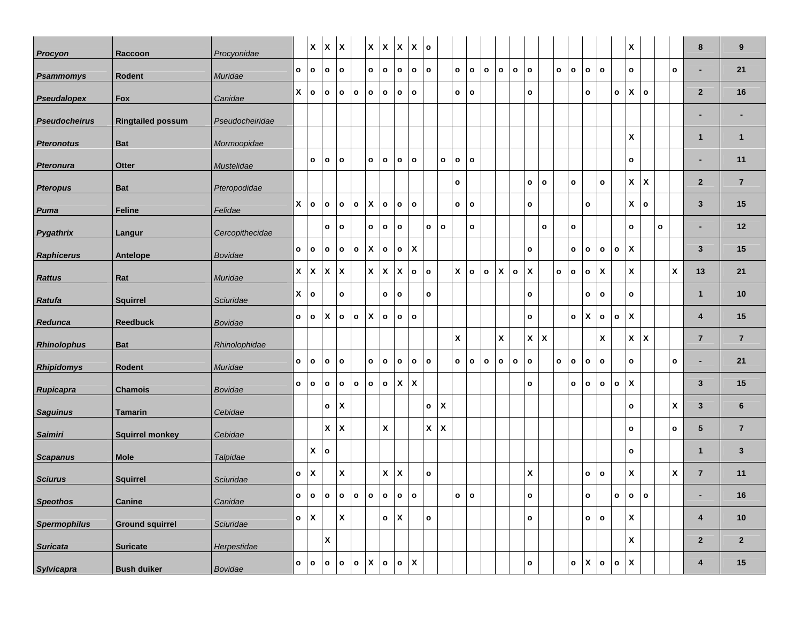| Procyon           | Raccoon                  | Procyonidae     |              | $\mathbf{x}$       | $\boldsymbol{\mathsf{x}}$ | $\mathbf{x}$              |              | $\mathbf{x}$              | $\mathbf{x}$       | $\mathbf{x}$              | $\mathbf{x}$ | $\bullet$          |                    |                    |              |              |              |              |              |              |              |              |              |                    |              | X                  |                         |              |                    | 8                       | 9              |
|-------------------|--------------------------|-----------------|--------------|--------------------|---------------------------|---------------------------|--------------|---------------------------|--------------------|---------------------------|--------------|--------------------|--------------------|--------------------|--------------|--------------|--------------|--------------|--------------|--------------|--------------|--------------|--------------|--------------------|--------------|--------------------|-------------------------|--------------|--------------------|-------------------------|----------------|
| Psammomys         | Rodent                   | Muridae         | $\circ$      | $\circ$            | $\mathbf{o}$              | $\mathbf{o}$              |              | $\mathbf{o}$              | $\mathbf{o}$       | $\mathbf{o}$              | $\mathbf{o}$ | $\mathbf{o}$       |                    | $\mathbf{o}$       | $\mathbf{o}$ | $\mathbf{o}$ | $\mathbf{o}$ | $\mathbf{o}$ | $\mathbf{o}$ |              | $\mathbf{o}$ | $\bullet$    | $\mathbf{o}$ | $\mathbf{o}$       |              | $\mathbf{o}$       |                         |              | $\mathbf{o}$       | ٠                       | 21             |
| Pseudalopex       | Fox                      | Canidae         | X            | o                  | o                         | $\mathbf{o}$              | $\mathbf{o}$ | $\mathbf{o}$              | $\mathbf{o}$       | $\mathbf{o}$              | $\circ$      |                    |                    | $\mathbf{o}$       | $\mathbf{o}$ |              |              |              | o            |              |              |              | $\mathbf{o}$ |                    | $\mathbf{o}$ | Χ                  | $\mathbf{o}$            |              |                    | $\mathbf{2}$            | 16             |
| Pseudocheirus     | <b>Ringtailed possum</b> | Pseudocheiridae |              |                    |                           |                           |              |                           |                    |                           |              |                    |                    |                    |              |              |              |              |              |              |              |              |              |                    |              |                    |                         |              |                    | -                       |                |
| <b>Pteronotus</b> | <b>Bat</b>               | Mormoopidae     |              |                    |                           |                           |              |                           |                    |                           |              |                    |                    |                    |              |              |              |              |              |              |              |              |              |                    |              | X                  |                         |              |                    | $\mathbf{1}$            | $\mathbf{1}$   |
| Pteronura         | Otter                    | Mustelidae      |              | $\bullet$          | o                         | $\mathbf{o}$              |              | $\bullet$                 | $\mathbf{o}$       | $\mathbf{o}$              | $\mathbf{o}$ |                    | $\mathbf{o}$       | $\mathbf{o}$       | $\mathbf{o}$ |              |              |              |              |              |              |              |              |                    |              | $\bullet$          |                         |              |                    | -                       | 11             |
| <b>Pteropus</b>   | <b>Bat</b>               | Pteropodidae    |              |                    |                           |                           |              |                           |                    |                           |              |                    |                    | $\mathbf{o}$       |              |              |              |              | $\mathbf{o}$ | $\mathbf{o}$ |              | $\mathbf{o}$ |              | $\mathbf{o}$       |              | X                  | $\mathsf{I} \mathsf{X}$ |              |                    | $\overline{2}$          | $\overline{7}$ |
| Puma              | Feline                   | Felidae         | $X$ o        |                    | o                         | $\mathbf{o}$              | $\mathbf{o}$ | X                         | $\bullet$          | $\mathbf{o}$              | $\mathbf{o}$ |                    |                    | $\mathbf{o}$       | $\mathbf{o}$ |              |              |              | o            |              |              |              | $\mathbf{o}$ |                    |              | X                  | $\mathbf{o}$            |              |                    | $\mathbf{3}$            | 15             |
| Pygathrix         | Langur                   | Cercopithecidae |              |                    | o                         | $\mathbf{o}$              |              | $\mathbf{o}$              | $\mathbf{o}$       | $\mathbf{o}$              |              | $\mathbf{o}$       | $\bullet$          |                    | $\mathbf{o}$ |              |              |              |              | $\mathbf{o}$ |              | o            |              |                    |              | $\bullet$          |                         | $\mathbf{o}$ |                    | $\blacksquare$          | 12             |
| Raphicerus        | Antelope                 | Bovidae         | $\mathbf{o}$ | $\mathbf{o}$       | o                         | $\mathbf{o}$              | $\circ$      | X                         | $\mathbf{o}$       | $\mathbf{o}$              | X            |                    |                    |                    |              |              |              |              | o            |              |              | o            | o            | $\mathbf{o}$       | $\mathbf{o}$ | X                  |                         |              |                    | $\mathbf{3}$            | 15             |
| Rattus            | Rat                      | Muridae         | $\mathsf{x}$ | X                  | X                         | X                         |              | $\boldsymbol{\mathsf{X}}$ | X                  | $\boldsymbol{\mathsf{X}}$ | $\mathbf{o}$ | $\mathbf{o}$       |                    | $\pmb{\mathsf{X}}$ | $\mathbf{o}$ | $\mathbf{o}$ | X            | $\mathbf{o}$ | X            |              | o            | $\mathbf{o}$ | $\mathbf{o}$ | X                  |              | X                  |                         |              | $\pmb{\mathsf{x}}$ | 13                      | 21             |
| Ratufa            | Squirrel                 | Sciuridae       | X            | $\mathbf{o}$       |                           | $\mathbf{o}$              |              |                           | $\mathbf{o}$       | $\circ$                   |              | $\mathbf{o}$       |                    |                    |              |              |              |              | $\bullet$    |              |              |              | o            | $\mathbf{o}$       |              | $\bullet$          |                         |              |                    | $\mathbf{1}$            | 10             |
| Redunca           | <b>Reedbuck</b>          | Bovidae         | $\mathbf{o}$ | $\mathbf{o}$       | χ                         | $\mathbf{o}$              | $\mathbf{o}$ | X                         | $\mathbf{o}$       | $\mathbf{o}$              | $\mathbf{o}$ |                    |                    |                    |              |              |              |              | $\mathbf{o}$ |              |              | $\mathbf{o}$ | X            | o                  | $\mathbf{o}$ | X                  |                         |              |                    | 4                       | 15             |
| Rhinolophus       | <b>Bat</b>               | Rhinolophidae   |              |                    |                           |                           |              |                           |                    |                           |              |                    |                    | $\pmb{\mathsf{X}}$ |              |              | $\pmb{\chi}$ |              |              | $x \mid x$   |              |              |              | $\pmb{\mathsf{X}}$ |              | $x \mid x$         |                         |              |                    | $\overline{7}$          | $\overline{7}$ |
| <b>Rhipidomys</b> | <b>Rodent</b>            | Muridae         | $\mathbf{o}$ | $\mathbf{o}$       | $\mathbf{o}$              | $\mathbf{o}$              |              | $\mathbf{o}$              | $\mathbf{o}$       | $\mathbf{o}$              | $\mathbf{o}$ | $\mathbf{o}$       |                    | $\mathbf{o}$       | $\mathbf{o}$ | $\mathbf{o}$ | $\mathbf{o}$ | $\mathbf{o}$ | o            |              | $\mathbf{o}$ | $\mathbf{o}$ | o            | $\mathbf{o}$       |              | $\bullet$          |                         |              | $\mathbf{o}$       |                         | 21             |
| Rupicapra         | <b>Chamois</b>           | Bovidae         | $\mathbf{o}$ | $\mathbf{o}$       | o                         | $\mathbf{o}$              | $\mathbf{o}$ | $\circ$                   | $\mathbf{o}$       | $\boldsymbol{\mathsf{x}}$ | X            |                    |                    |                    |              |              |              |              | o            |              |              | o            | o            | $\mathbf{o}$       | $\mathbf{o}$ | X                  |                         |              |                    | $\mathbf{3}$            | 15             |
| <b>Saguinus</b>   | <b>Tamarin</b>           | Cebidae         |              |                    | o                         | X                         |              |                           |                    |                           |              | $\mathbf{o}$       | X                  |                    |              |              |              |              |              |              |              |              |              |                    |              | $\mathbf{o}$       |                         |              | X                  | $\mathbf{3}$            | 6              |
| Saimiri           | <b>Squirrel monkey</b>   | Cebidae         |              |                    | $\mathbf{x}$              | $\boldsymbol{\mathsf{X}}$ |              |                           | X                  |                           |              | $\pmb{\mathsf{X}}$ | $\pmb{\mathsf{x}}$ |                    |              |              |              |              |              |              |              |              |              |                    |              | $\mathbf{o}$       |                         |              | $\mathbf{o}$       | 5                       | $\overline{7}$ |
| <b>Scapanus</b>   | <b>Mole</b>              | Talpidae        |              | $\pmb{\mathsf{x}}$ | $\mathbf{o}$              |                           |              |                           |                    |                           |              |                    |                    |                    |              |              |              |              |              |              |              |              |              |                    |              | $\mathbf{o}$       |                         |              |                    | $\mathbf{1}$            | $\mathbf{3}$   |
| <b>Sciurus</b>    | Squirrel                 | Sciuridae       | $\mathbf{o}$ | X                  |                           | $\pmb{\mathsf{x}}$        |              |                           | $\pmb{\mathsf{X}}$ | $\mathbf x$               |              | $\mathbf{o}$       |                    |                    |              |              |              |              | X            |              |              |              | $\mathbf{o}$ | $\bullet$          |              | X                  |                         |              | X                  | $\overline{7}$          | 11             |
| <b>Speothos</b>   | Canine                   | Canidae         | 0            |                    | $  \circ  $               | $  \circ  $               | $  \circ$    | $\circ$                   | $\circ$            | 0                         |              |                    |                    | $o$   $o$          |              |              |              |              | $\mathbf{o}$ |              |              |              | $\mathbf{o}$ |                    | $\mathbf{o}$ | o                  | $  \circ$               |              |                    | ٠                       | $16$           |
| Spermophilus      | <b>Ground squirrel</b>   | Sciuridae       | $\mathbf{o}$ | $\pmb{\mathsf{x}}$ |                           | $\pmb{\mathsf{X}}$        |              |                           | $\bullet$          | $\boldsymbol{\mathsf{x}}$ |              | $\mathbf{o}$       |                    |                    |              |              |              |              | $\bullet$    |              |              |              | $\mathbf{o}$ | ۱o                 |              | $\pmb{\mathsf{x}}$ |                         |              |                    | 4                       | $10$           |
| <b>Suricata</b>   | <b>Suricate</b>          | Herpestidae     |              |                    | $\pmb{\mathsf{X}}$        |                           |              |                           |                    |                           |              |                    |                    |                    |              |              |              |              |              |              |              |              |              |                    |              | $\pmb{\mathsf{x}}$ |                         |              |                    | $\mathbf{2}$            | $\mathbf{2}$   |
| Sylvicapra        | <b>Bush duiker</b>       | Bovidae         | 0            |                    | $\mathbf{o}$              | $\circ$                   | $\mathbf{o}$ | $\mathbf{x}$              | $\bullet$          | $\bullet$                 | $\mathbf{x}$ |                    |                    |                    |              |              |              |              | $\mathbf{o}$ |              |              | $\bullet$    | $X$ o        |                    | $\mathbf{o}$ | $\pmb{\mathsf{X}}$ |                         |              |                    | $\overline{\mathbf{4}}$ | 15             |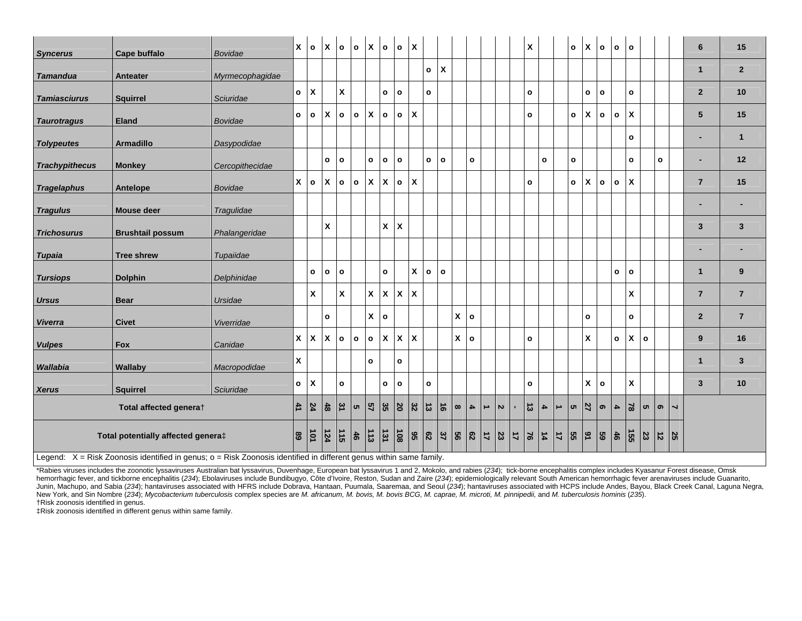| <b>Syncerus</b>       | Cape buffalo                                    | <b>Bovidae</b>                                                  | $X$ o        |                           | X                         | $\bullet$     | $\bullet$     | $X$ o           |                         | $\mathbf{o}$ | $\boldsymbol{\mathsf{x}}$ |              |                           |              |                  |                  |              |                         | X                       |                  |                  | $\mathbf{o}$ | $\mathbf{x}$              | $\mathbf{o}$ | $\bullet$        | $\mathbf{o}$ |               |              |                      | 6               | 15             |
|-----------------------|-------------------------------------------------|-----------------------------------------------------------------|--------------|---------------------------|---------------------------|---------------|---------------|-----------------|-------------------------|--------------|---------------------------|--------------|---------------------------|--------------|------------------|------------------|--------------|-------------------------|-------------------------|------------------|------------------|--------------|---------------------------|--------------|------------------|--------------|---------------|--------------|----------------------|-----------------|----------------|
| <b>Tamandua</b>       | Anteater                                        | Myrmecophagidae                                                 |              |                           |                           |               |               |                 |                         |              |                           | $\circ$      | $\boldsymbol{\mathsf{X}}$ |              |                  |                  |              |                         |                         |                  |                  |              |                           |              |                  |              |               |              |                      | $\mathbf{1}$    | 2 <sup>2</sup> |
| <b>Tamiasciurus</b>   | <b>Squirrel</b>                                 | Sciuridae                                                       | $\circ$      | $\boldsymbol{\mathsf{x}}$ |                           | X             |               |                 | $\mathbf{o}$            | $\mathbf{o}$ |                           | $\mathbf{o}$ |                           |              |                  |                  |              |                         | $\mathbf{o}$            |                  |                  |              | $\mathbf{o}$              | $\mathbf{o}$ |                  | $\bullet$    |               |              |                      | $\overline{2}$  | 10             |
| <b>Taurotragus</b>    | Eland                                           | <b>Bovidae</b>                                                  | $\mathbf{o}$ | $\mathbf{o}$              | X                         | $\mathbf{o}$  | $\bullet$     | $\mathsf{x}$    | $\mathbf{o}$            | $\mathbf{o}$ | $\pmb{\chi}$              |              |                           |              |                  |                  |              |                         | $\mathbf{o}$            |                  |                  | $\mathbf{o}$ | X                         | $\mathbf{o}$ | $\mathbf{o}$     | X            |               |              |                      | $5\phantom{.0}$ | 15             |
| <b>Tolypeutes</b>     | Armadillo                                       | Dasypodidae                                                     |              |                           |                           |               |               |                 |                         |              |                           |              |                           |              |                  |                  |              |                         |                         |                  |                  |              |                           |              |                  | $\mathbf{o}$ |               |              |                      |                 | $\mathbf{1}$   |
| <b>Trachypithecus</b> | <b>Monkey</b>                                   | Cercopithecidae                                                 |              |                           | $\mathbf{o}$              | $\mathbf{o}$  |               | $\mathbf{o}$    | $\circ$                 | $\mathbf{o}$ |                           | $\mathbf{o}$ | $\mathbf{o}$              |              | $\mathbf{o}$     |                  |              |                         |                         | $\mathbf{o}$     |                  | $\mathbf{o}$ |                           |              |                  | $\mathbf{o}$ |               | $\mathbf{o}$ |                      |                 | 12             |
| <b>Tragelaphus</b>    | Antelope                                        | <b>Bovidae</b>                                                  | x o          |                           | X                         | $\mathbf{o}$  | $\mathbf{o}$  | X               | $\mathsf{I} \mathsf{X}$ | $\mathbf{o}$ | $\mathbf{x}$              |              |                           |              |                  |                  |              |                         | $\mathbf{o}$            |                  |                  | $\mathbf{o}$ | X                         | $\mathbf{o}$ | $\mathbf{o}$     | X            |               |              |                      | $\overline{7}$  | 15             |
| <b>Tragulus</b>       | <b>Mouse deer</b>                               | Tragulidae                                                      |              |                           |                           |               |               |                 |                         |              |                           |              |                           |              |                  |                  |              |                         |                         |                  |                  |              |                           |              |                  |              |               |              |                      | -               |                |
| <b>Trichosurus</b>    | <b>Brushtail possum</b>                         | Phalangeridae                                                   |              |                           | $\boldsymbol{\mathsf{x}}$ |               |               |                 | Ιx.                     | $\mathbf{x}$ |                           |              |                           |              |                  |                  |              |                         |                         |                  |                  |              |                           |              |                  |              |               |              |                      | $\mathbf{3}$    | $\mathbf{3}$   |
| <b>Tupaia</b>         | <b>Tree shrew</b>                               | Tupaiidae                                                       |              |                           |                           |               |               |                 |                         |              |                           |              |                           |              |                  |                  |              |                         |                         |                  |                  |              |                           |              |                  |              |               |              |                      | -               |                |
| <b>Tursiops</b>       | <b>Dolphin</b>                                  | Delphinidae                                                     |              | $\mathbf{o}$              | $\mathbf{o}$              | $\mathbf{o}$  |               |                 | $\mathbf{o}$            |              | $\pmb{\chi}$              | $\circ$      | $\mathbf{o}$              |              |                  |                  |              |                         |                         |                  |                  |              |                           |              | $\mathbf{o}$     | $\mathbf{o}$ |               |              |                      | $\mathbf{1}$    | 9              |
| <b>Ursus</b>          | <b>Bear</b>                                     | Ursidae                                                         |              | $\pmb{\chi}$              |                           | X             |               | $x \mid x$      |                         | X            | $\boldsymbol{\mathsf{x}}$ |              |                           |              |                  |                  |              |                         |                         |                  |                  |              |                           |              |                  | X            |               |              |                      | $\overline{7}$  | $\overline{7}$ |
| <b>Viverra</b>        | <b>Civet</b>                                    | Viverridae                                                      |              |                           | $\mathbf{o}$              |               |               | $x _o$          |                         |              |                           |              |                           | $\mathbf{x}$ | $\mathbf{o}$     |                  |              |                         |                         |                  |                  |              | $\mathbf{o}$              |              |                  | $\mathbf{o}$ |               |              |                      | $\overline{2}$  | $\overline{7}$ |
| <b>Vulpes</b>         | <b>Fox</b>                                      | Canidae                                                         |              | $x \mid x$                | X                         | $\bullet$     | $\circ$       | $\mathbf{o}$    | $\mathbf{x}$            | X            | $\mathbf{x}$              |              |                           | $\mathbf{x}$ | $\mathbf{o}$     |                  |              |                         | $\mathbf{o}$            |                  |                  |              | $\pmb{\mathsf{X}}$        |              | $\mathbf{o}$     | X            | $\mathbf{o}$  |              |                      | 9               | 16             |
| Wallabia              | Wallaby                                         | Macropodidae                                                    | X            |                           |                           |               |               | $\mathbf{o}$    |                         | $\mathbf{o}$ |                           |              |                           |              |                  |                  |              |                         |                         |                  |                  |              |                           |              |                  |              |               |              |                      | $\mathbf{1}$    | $\mathbf{3}$   |
| <b>Xerus</b>          | <b>Squirrel</b>                                 | Sciuridae                                                       |              | $o \mid X$                |                           | $\mathbf{o}$  |               |                 | $\mathbf{o}$            | $\circ$      |                           | $\mathbf{o}$ |                           |              |                  |                  |              |                         | $\mathbf{o}$            |                  |                  |              | $\boldsymbol{\mathsf{x}}$ | $\mathbf{o}$ |                  | X            |               |              |                      | $\mathbf{3}$    | 10             |
|                       | Total affected generat                          |                                                                 | 41           | $\frac{24}{3}$            | $\frac{4}{8}$             | ಜ             | <b>ຕາ</b>     | 57              | ွ္တ                     | <b>SO</b>    | $\frac{8}{2}$             | $ \vec{v} $  | $\vec{e}$                 | $\infty$     | $\blacktriangle$ | $\blacktriangle$ | $\mathbf{v}$ |                         | $\frac{1}{3}$           | $\blacktriangle$ | $\blacktriangle$ | <b>ຕາ</b>    | $\overline{z}$            | ග            | $\blacktriangle$ | $\approx$    | ပာ            | $\bullet$    | $\blacktriangleleft$ |                 |                |
|                       | Total potentially affected genera‡              |                                                                 | 8            | $\overline{5}$            | $\frac{124}{12}$          | $\frac{1}{2}$ | $\frac{4}{5}$ | $\frac{113}{2}$ | $\frac{131}{2}$         |              | ္တ                        | $\sqrt{2}$   | $\frac{3}{2}$             | ဌ            | 8                | $\frac{1}{2}$    | 23           | $\overline{\mathsf{L}}$ | $\overline{\mathbf{e}}$ | $\frac{1}{4}$    | $\overline{1}$   | 95           | ೨                         | မွ           | $\frac{4}{5}$    | 35           | $\frac{2}{3}$ | $ \vec{v} $  | ಜ                    |                 |                |
|                       | Logond: V. Diel: Zeenesis identified in genus o | Diel: Zeonegie identified in different genue within come family |              |                           |                           |               |               |                 |                         |              |                           |              |                           |              |                  |                  |              |                         |                         |                  |                  |              |                           |              |                  |              |               |              |                      |                 |                |

Legend: X = Risk Zoonosis identified in genus; o = Risk Zoonosis identified in different genus within same family.

\*Rabies viruses includes the zoonotic lyssaviruses Australian bat lyssavirus, Duvenhage, European bat lyssavirus 1 and 2, Mokolo, and rabies (234); tick-borne encephalitis complex includes Kyasanur Forest disease, Omsk hemorrhagic fever, and tickborne encephalitis (234); Ebolaviruses include Bundibugyo, Côte d'Ivoire, Reston, Sudan and Zaire (234); epidemiologically relevant South American hemorrhagic fever arenaviruses include Guanarito Junin, Machupo, and Sabia (234); hantaviruses associated with HFRS include Dobrava, Hantaan, Puumala, Saaremaa, and Seoul (234); hantaviruses associated with HCPS include Andes, Bayou, Black Creek Canal, Laguna Negra, New York, and Sin Nombre (*234*); *Mycobacterium tuberculosis* complex species are *M. africanum, M. bovis, M. bovis BCG, M. caprae, M. microti, M. pinnipedii,* and *M. tuberculosis hominis* (*235*). †Risk zoonosis identified in genus.

‡Risk zoonosis identified in different genus within same family.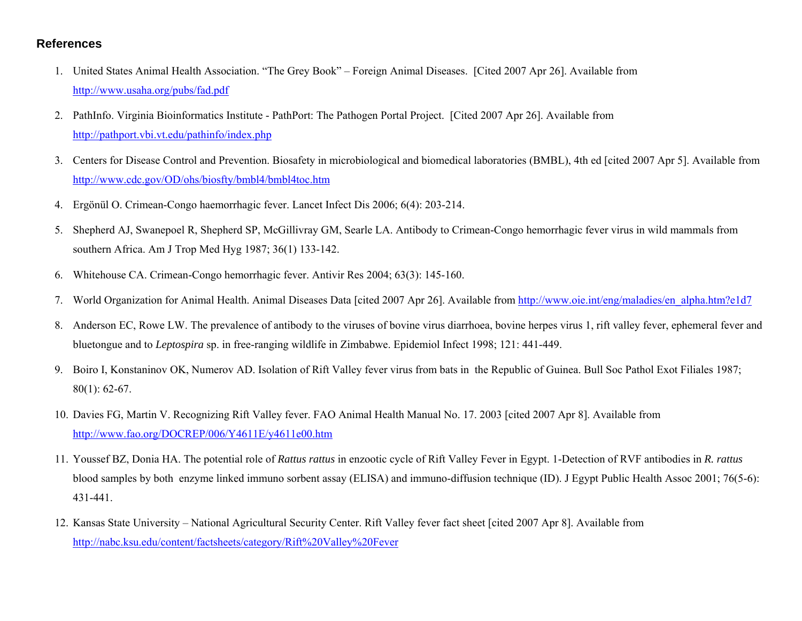## **References**

- 1. United States Animal Health Association. "The Grey Book" Foreign Animal Diseases. [Cited 2007 Apr 26]. Available from <http://www.usaha.org/pubs/fad.pdf>
- 2. PathInfo. Virginia Bioinformatics Institute PathPort: The Pathogen Portal Project. [Cited 2007 Apr 26]. Available from <http://pathport.vbi.vt.edu/pathinfo/index.php>
- 3. Centers for Disease Control and Prevention. Biosafety in microbiological and biomedical laboratories (BMBL), 4th ed [cited 2007 Apr 5]. Available from <http://www.cdc.gov/OD/ohs/biosfty/bmbl4/bmbl4toc.htm>
- 4. Ergönül O. Crimean-Congo haemorrhagic fever. Lancet Infect Dis 2006; 6(4): 203-214.
- 5. Shepherd AJ, Swanepoel R, Shepherd SP, McGillivray GM, Searle LA. Antibody to Crimean-Congo hemorrhagic fever virus in wild mammals from southern Africa. Am J Trop Med Hyg 1987; 36(1) 133-142.
- 6.Whitehouse CA. Crimean-Congo hemorrhagic fever. Antivir Res 2004; 63(3): 145-160.
- 7.World Organization for Animal Health. Animal Diseases Data [cited 2007 Apr 26]. Available from [http://www.oie.int/eng/maladies/en\\_alpha.htm?e1d7](http://www.oie.int/eng/maladies/en_alpha.htm?e1d7)
- 8. Anderson EC, Rowe LW. The prevalence of antibody to the viruses of bovine virus diarrhoea, bovine herpes virus 1, rift valley fever, ephemeral fever and bluetongue and to *Leptospira* sp. in free-ranging wildlife in Zimbabwe. Epidemiol Infect 1998; 121: 441-449.
- 9. Boiro I, Konstaninov OK, Numerov AD. Isolation of Rift Valley fever virus from bats in the Republic of Guinea. Bull Soc Pathol Exot Filiales 1987; 80(1): 62-67.
- 10. Davies FG, Martin V. Recognizing Rift Valley fever. FAO Animal Health Manual No. 17. 2003 [cited 2007 Apr 8]. Available from <http://www.fao.org/DOCREP/006/Y4611E/y4611e00.htm>
- 11. Youssef BZ, Donia HA. The potential role of *Rattus rattus* in enzootic cycle of Rift Valley Fever in Egypt. 1-Detection of RVF antibodies in *R. rattus*  blood samples by both enzyme linked immuno sorbent assay (ELISA) and immuno-diffusion technique (ID). J Egypt Public Health Assoc 2001; 76(5-6): 431-441.
- 12. Kansas State University National Agricultural Security Center. Rift Valley fever fact sheet [cited 2007 Apr 8]. Available from [http://nabc.ksu.edu/content/factsheets/category/Rift%20Valley%20Fever](http://nabc.ksu.edu/content/factsheets/category/Rift Valley Fever)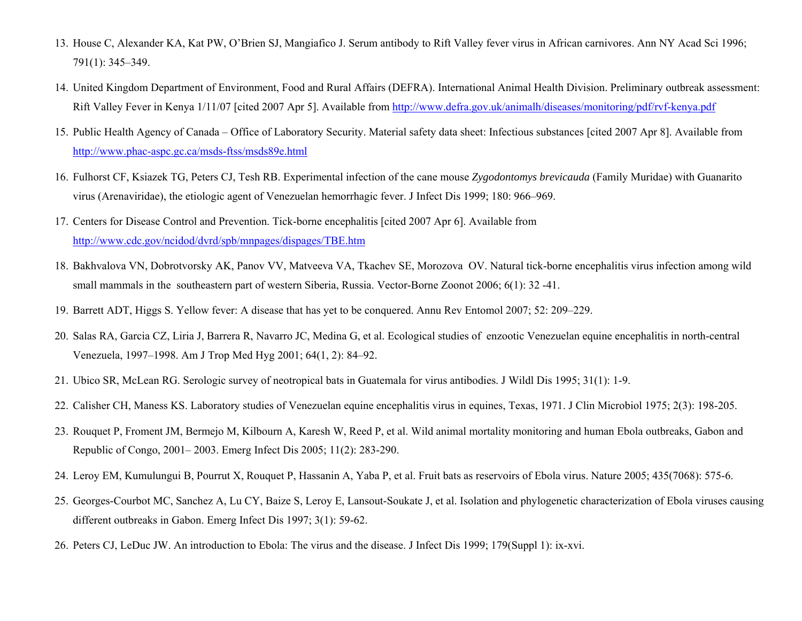- 13. House C, Alexander KA, Kat PW, O'Brien SJ, Mangiafico J. Serum antibody to Rift Valley fever virus in African carnivores. Ann NY Acad Sci 1996; 791(1): 345–349.
- 14. United Kingdom Department of Environment, Food and Rural Affairs (DEFRA). International Animal Health Division. Preliminary outbreak assessment: Rift Valley Fever in Kenya 1/11/07 [cited 2007 Apr 5]. Available from<http://www.defra.gov.uk/animalh/diseases/monitoring/pdf/rvf-kenya.pdf>
- 15. Public Health Agency of Canada Office of Laboratory Security. Material safety data sheet: Infectious substances [cited 2007 Apr 8]. Available from <http://www.phac-aspc.gc.ca/msds-ftss/msds89e.html>
- 16. Fulhorst CF, Ksiazek TG, Peters CJ, Tesh RB. Experimental infection of the cane mouse *Zygodontomys brevicauda* (Family Muridae) with Guanarito virus (Arenaviridae), the etiologic agent of Venezuelan hemorrhagic fever. J Infect Dis 1999; 180: 966–969.
- 17. Centers for Disease Control and Prevention. Tick-borne encephalitis [cited 2007 Apr 6]. Available from <http://www.cdc.gov/ncidod/dvrd/spb/mnpages/dispages/TBE.htm>
- 18. Bakhvalova VN, Dobrotvorsky AK, Panov VV, Matveeva VA, Tkachev SE, Morozova OV. Natural tick-borne encephalitis virus infection among wild small mammals in the southeastern part of western Siberia, Russia. Vector-Borne Zoonot 2006; 6(1): 32 -41.
- 19. Barrett ADT, Higgs S. Yellow fever: A disease that has yet to be conquered. Annu Rev Entomol 2007; 52: 209–229.
- 20. Salas RA, Garcia CZ, Liria J, Barrera R, Navarro JC, Medina G, et al. Ecological studies of enzootic Venezuelan equine encephalitis in north-central Venezuela, 1997–1998. Am J Trop Med Hyg 2001; 64(1, 2): 84–92.
- 21. Ubico SR, McLean RG. Serologic survey of neotropical bats in Guatemala for virus antibodies. J Wildl Dis 1995; 31(1): 1-9.
- 22. Calisher CH, Maness KS. Laboratory studies of Venezuelan equine encephalitis virus in equines, Texas, 1971. J Clin Microbiol 1975; 2(3): 198-205.
- 23. Rouquet P, Froment JM, Bermejo M, Kilbourn A, Karesh W, Reed P, et al. Wild animal mortality monitoring and human Ebola outbreaks, Gabon and Republic of Congo, 2001– 2003. Emerg Infect Dis 2005; 11(2): 283-290.
- 24. Leroy EM, Kumulungui B, Pourrut X, Rouquet P, Hassanin A, Yaba P, et al. Fruit bats as reservoirs of Ebola virus. Nature 2005; 435(7068): 575-6.
- 25. Georges-Courbot MC, Sanchez A, Lu CY, Baize S, Leroy E, Lansout-Soukate J, et al. Isolation and phylogenetic characterization of Ebola viruses causing different outbreaks in Gabon. Emerg Infect Dis 1997; 3(1): 59-62.
- 26. Peters CJ, LeDuc JW. An introduction to Ebola: The virus and the disease. J Infect Dis 1999; 179(Suppl 1): ix-xvi.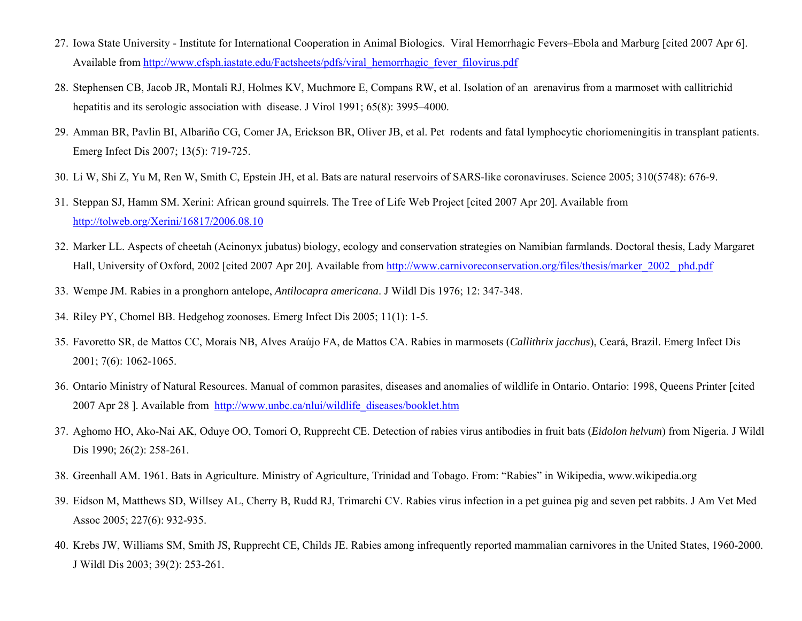- 27. Iowa State University Institute for International Cooperation in Animal Biologics. Viral Hemorrhagic Fevers–Ebola and Marburg [cited 2007 Apr 6]. Available from [http://www.cfsph.iastate.edu/Factsheets/pdfs/viral\\_hemorrhagic\\_fever\\_filovirus.pdf](http://www.cfsph.iastate.edu/Factsheets/pdfs/viral_hemorrhagic_fever_filovirus.pdf)
- 28. Stephensen CB, Jacob JR, Montali RJ, Holmes KV, Muchmore E, Compans RW, et al. Isolation of an arenavirus from a marmoset with callitrichid hepatitis and its serologic association with disease. J Virol 1991; 65(8): 3995–4000.
- 29. Amman BR, Pavlin BI, Albariño CG, Comer JA, Erickson BR, Oliver JB, et al. Pet rodents and fatal lymphocytic choriomeningitis in transplant patients. Emerg Infect Dis 2007; 13(5): 719-725.
- 30. Li W, Shi Z, Yu M, Ren W, Smith C, Epstein JH, et al. Bats are natural reservoirs of SARS-like coronaviruses. Science 2005; 310(5748): 676-9.
- 31. Steppan SJ, Hamm SM. Xerini: African ground squirrels. The Tree of Life Web Project [cited 2007 Apr 20]. Available from <http://tolweb.org/Xerini/16817/2006.08.10>
- 32. Marker LL. Aspects of cheetah (Acinonyx jubatus) biology, ecology and conservation strategies on Namibian farmlands. Doctoral thesis, Lady Margaret Hall, University of Oxford, 2002 [cited 2007 Apr 20]. Available from http://www.carnivoreconservation.org/files/thesis/marker\_2002\_phd.pdf
- 33. Wempe JM. Rabies in a pronghorn antelope, *Antilocapra americana*. J Wildl Dis 1976; 12: 347-348.
- 34. Riley PY, Chomel BB. Hedgehog zoonoses. Emerg Infect Dis 2005; 11(1): 1-5.
- 35. Favoretto SR, de Mattos CC, Morais NB, Alves Araújo FA, de Mattos CA. Rabies in marmosets (*Callithrix jacchus*), Ceará, Brazil. Emerg Infect Dis 2001; 7(6): 1062-1065.
- 36. Ontario Ministry of Natural Resources. Manual of common parasites, diseases and anomalies of wildlife in Ontario. Ontario: 1998, Queens Printer [cited 2007 Apr 28 ]. Available from [http://www.unbc.ca/nlui/wildlife\\_diseases/booklet.htm](http://www.unbc.ca/nlui/wildlife_diseases/booklet.htm)
- 37. Aghomo HO, Ako-Nai AK, Oduye OO, Tomori O, Rupprecht CE. Detection of rabies virus antibodies in fruit bats (*Eidolon helvum*) from Nigeria. J Wildl Dis 1990; 26(2): 258-261.
- 38. Greenhall AM. 1961. Bats in Agriculture. Ministry of Agriculture, Trinidad and Tobago. From: "Rabies" in Wikipedia, www.wikipedia.org
- 39. Eidson M, Matthews SD, Willsey AL, Cherry B, Rudd RJ, Trimarchi CV. Rabies virus infection in a pet guinea pig and seven pet rabbits. J Am Vet Med Assoc 2005; 227(6): 932-935.
- 40. Krebs JW, Williams SM, Smith JS, Rupprecht CE, Childs JE. Rabies among infrequently reported mammalian carnivores in the United States, 1960-2000. J Wildl Dis 2003; 39(2): 253-261.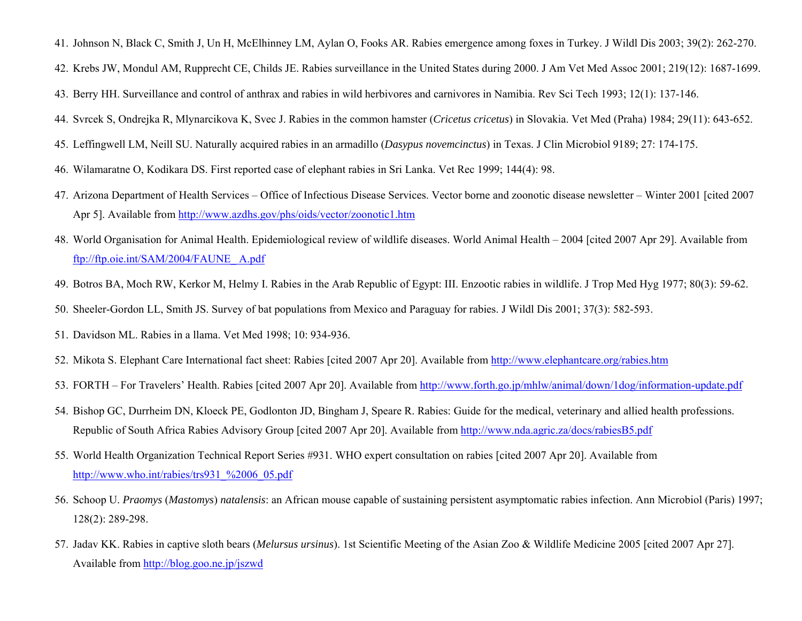- 41. Johnson N, Black C, Smith J, Un H, McElhinney LM, Aylan O, Fooks AR. Rabies emergence among foxes in Turkey. J Wildl Dis 2003; 39(2): 262-270.
- 42. Krebs JW, Mondul AM, Rupprecht CE, Childs JE. Rabies surveillance in the United States during 2000. J Am Vet Med Assoc 2001; 219(12): 1687-1699.
- 43. Berry HH. Surveillance and control of anthrax and rabies in wild herbivores and carnivores in Namibia. Rev Sci Tech 1993; 12(1): 137-146.
- 44. Svrcek S, Ondrejka R, Mlynarcikova K, Svec J. Rabies in the common hamster (*Cricetus cricetus*) in Slovakia. Vet Med (Praha) 1984; 29(11): 643-652.
- 45. Leffingwell LM, Neill SU. Naturally acquired rabies in an armadillo (*Dasypus novemcinctus*) in Texas. J Clin Microbiol 9189; 27: 174-175.
- 46. Wilamaratne O, Kodikara DS. First reported case of elephant rabies in Sri Lanka. Vet Rec 1999; 144(4): 98.
- 47. Arizona Department of Health Services Office of Infectious Disease Services. Vector borne and zoonotic disease newsletter Winter 2001 [cited 2007 Apr 5]. Available from<http://www.azdhs.gov/phs/oids/vector/zoonotic1.htm>
- 48. World Organisation for Animal Health. Epidemiological review of wildlife diseases. World Animal Health 2004 [cited 2007 Apr 29]. Available from [ftp://ftp.oie.int/SAM/2004/FAUNE\\_ A.pdf](ftp://ftp.oie.int/SAM/2004/FAUNE_ A.pdf)
- 49. Botros BA, Moch RW, Kerkor M, Helmy I. Rabies in the Arab Republic of Egypt: III. Enzootic rabies in wildlife. J Trop Med Hyg 1977; 80(3): 59-62.
- 50. Sheeler-Gordon LL, Smith JS. Survey of bat populations from Mexico and Paraguay for rabies. J Wildl Dis 2001; 37(3): 582-593.
- 51. Davidson ML. Rabies in a llama. Vet Med 1998; 10: 934-936.
- 52. Mikota S. Elephant Care International fact sheet: Rabies [cited 2007 Apr 20]. Available from <http://www.elephantcare.org/rabies.htm>
- 53. FORTH For Travelers' Health. Rabies [cited 2007 Apr 20]. Available from <http://www.forth.go.jp/mhlw/animal/down/1dog/information-update.pdf>
- 54. Bishop GC, Durrheim DN, Kloeck PE, Godlonton JD, Bingham J, Speare R. Rabies: Guide for the medical, veterinary and allied health professions. Republic of South Africa Rabies Advisory Group [cited 2007 Apr 20]. Available from<http://www.nda.agric.za/docs/rabiesB5.pdf>
- 55. World Health Organization Technical Report Series #931. WHO expert consultation on rabies [cited 2007 Apr 20]. Available from [http://www.who.int/rabies/trs931\\_%2006\\_05.pdf](http://www.who.int/rabies/trs931_ 06_05.pdf)
- 56. Schoop U. *Praomys* (*Mastomys*) *natalensis*: an African mouse capable of sustaining persistent asymptomatic rabies infection. Ann Microbiol (Paris) 1997; 128(2): 289-298.
- 57. Jadav KK. Rabies in captive sloth bears (*Melursus ursinus*). 1st Scientific Meeting of the Asian Zoo & Wildlife Medicine 2005 [cited 2007 Apr 27]. Available from <http://blog.goo.ne.jp/jszwd>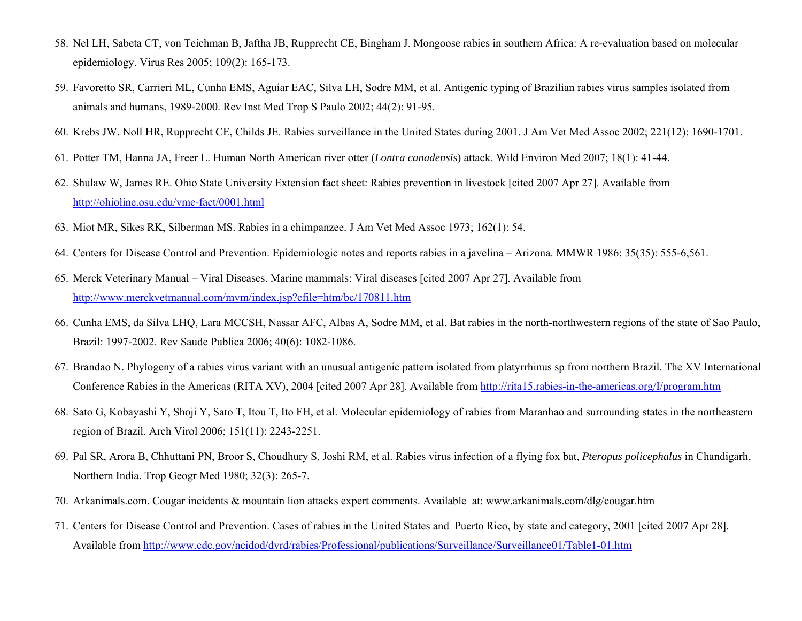- 58. Nel LH, Sabeta CT, von Teichman B, Jaftha JB, Rupprecht CE, Bingham J. Mongoose rabies in southern Africa: A re-evaluation based on molecular epidemiology. Virus Res 2005; 109(2): 165-173.
- 59. Favoretto SR, Carrieri ML, Cunha EMS, Aguiar EAC, Silva LH, Sodre MM, et al. Antigenic typing of Brazilian rabies virus samples isolated from animals and humans, 1989-2000. Rev Inst Med Trop S Paulo 2002; 44(2): 91-95.
- 60. Krebs JW, Noll HR, Rupprecht CE, Childs JE. Rabies surveillance in the United States during 2001. J Am Vet Med Assoc 2002; 221(12): 1690-1701.
- 61. Potter TM, Hanna JA, Freer L. Human North American river otter (*Lontra canadensis*) attack. Wild Environ Med 2007; 18(1): 41-44.
- 62. Shulaw W, James RE. Ohio State University Extension fact sheet: Rabies prevention in livestock [cited 2007 Apr 27]. Available from <http://ohioline.osu.edu/vme-fact/0001.html>
- 63. Miot MR, Sikes RK, Silberman MS. Rabies in a chimpanzee. J Am Vet Med Assoc 1973; 162(1): 54.
- 64. Centers for Disease Control and Prevention. Epidemiologic notes and reports rabies in a javelina Arizona. MMWR 1986; 35(35): 555-6,561.
- 65. Merck Veterinary Manual Viral Diseases. Marine mammals: Viral diseases [cited 2007 Apr 27]. Available from <http://www.merckvetmanual.com/mvm/index.jsp?cfile=htm/bc/170811.htm>
- 66. Cunha EMS, da Silva LHQ, Lara MCCSH, Nassar AFC, Albas A, Sodre MM, et al. Bat rabies in the north-northwestern regions of the state of Sao Paulo, Brazil: 1997-2002. Rev Saude Publica 2006; 40(6): 1082-1086.
- 67. Brandao N. Phylogeny of a rabies virus variant with an unusual antigenic pattern isolated from platyrrhinus sp from northern Brazil. The XV International Conference Rabies in the Americas (RITA XV), 2004 [cited 2007 Apr 28]. Available from<http://rita15.rabies-in-the-americas.org/I/program.htm>
- 68. Sato G, Kobayashi Y, Shoji Y, Sato T, Itou T, Ito FH, et al. Molecular epidemiology of rabies from Maranhao and surrounding states in the northeastern region of Brazil. Arch Virol 2006; 151(11): 2243-2251.
- 69. Pal SR, Arora B, Chhuttani PN, Broor S, Choudhury S, Joshi RM, et al. Rabies virus infection of a flying fox bat, *Pteropus policephalus* in Chandigarh, Northern India. Trop Geogr Med 1980; 32(3): 265-7.
- 70. Arkanimals.com. Cougar incidents & mountain lion attacks expert comments. Available at: www.arkanimals.com/dlg/cougar.htm
- 71. Centers for Disease Control and Prevention. Cases of rabies in the United States and Puerto Rico, by state and category, 2001 [cited 2007 Apr 28]. Available from <http://www.cdc.gov/ncidod/dvrd/rabies/Professional/publications/Surveillance/Surveillance01/Table1-01.htm>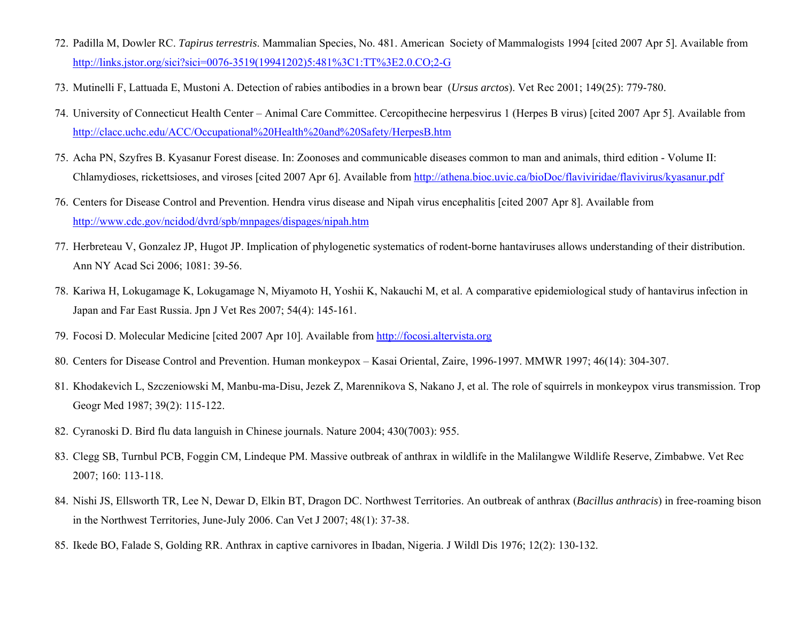- 72. Padilla M, Dowler RC. *Tapirus terrestris*. Mammalian Species, No. 481. American Society of Mammalogists 1994 [cited 2007 Apr 5]. Available from [http://links.jstor.org/sici?sici=0076-3519\(19941202\)5:481%3C1:TT%3E2.0.CO;2-G](http://links.jstor.org/sici?sici=0076-3519(19941202)5:481%3C1:TT%3E2.0.CO;2-G)
- 73. Mutinelli F, Lattuada E, Mustoni A. Detection of rabies antibodies in a brown bear (*Ursus arctos*). Vet Rec 2001; 149(25): 779-780.
- 74. University of Connecticut Health Center Animal Care Committee. Cercopithecine herpesvirus 1 (Herpes B virus) [cited 2007 Apr 5]. Available from [http://clacc.uchc.edu/ACC/Occupational%20Health%20and%20Safety/HerpesB.htm](http://clacc.uchc.edu/ACC/Occupational Health and Safety/HerpesB.htm)
- 75. Acha PN, Szyfres B. Kyasanur Forest disease. In: Zoonoses and communicable diseases common to man and animals, third edition Volume II: Chlamydioses, rickettsioses, and viroses [cited 2007 Apr 6]. Available from <http://athena.bioc.uvic.ca/bioDoc/flaviviridae/flavivirus/kyasanur.pdf>
- 76. Centers for Disease Control and Prevention. Hendra virus disease and Nipah virus encephalitis [cited 2007 Apr 8]. Available from <http://www.cdc.gov/ncidod/dvrd/spb/mnpages/dispages/nipah.htm>
- 77. Herbreteau V, Gonzalez JP, Hugot JP. Implication of phylogenetic systematics of rodent-borne hantaviruses allows understanding of their distribution. Ann NY Acad Sci 2006; 1081: 39-56.
- 78. Kariwa H, Lokugamage K, Lokugamage N, Miyamoto H, Yoshii K, Nakauchi M, et al. A comparative epidemiological study of hantavirus infection in Japan and Far East Russia. Jpn J Vet Res 2007; 54(4): 145-161.
- 79. Focosi D. Molecular Medicine [cited 2007 Apr 10]. Available from [http://focosi.altervista.org](http://focosi.altervista.org/)
- 80. Centers for Disease Control and Prevention. Human monkeypox Kasai Oriental, Zaire, 1996-1997. MMWR 1997; 46(14): 304-307.
- 81. Khodakevich L, Szczeniowski M, Manbu-ma-Disu, Jezek Z, Marennikova S, Nakano J, et al. The role of squirrels in monkeypox virus transmission. Trop Geogr Med 1987; 39(2): 115-122.
- 82. Cyranoski D. Bird flu data languish in Chinese journals. Nature 2004; 430(7003): 955.
- 83. Clegg SB, Turnbul PCB, Foggin CM, Lindeque PM. Massive outbreak of anthrax in wildlife in the Malilangwe Wildlife Reserve, Zimbabwe. Vet Rec 2007; 160: 113-118.
- 84. Nishi JS, Ellsworth TR, Lee N, Dewar D, Elkin BT, Dragon DC. Northwest Territories. An outbreak of anthrax (*Bacillus anthracis*) in free-roaming bison in the Northwest Territories, June-July 2006. Can Vet J 2007; 48(1): 37-38.
- 85. Ikede BO, Falade S, Golding RR. Anthrax in captive carnivores in Ibadan, Nigeria. J Wildl Dis 1976; 12(2): 130-132.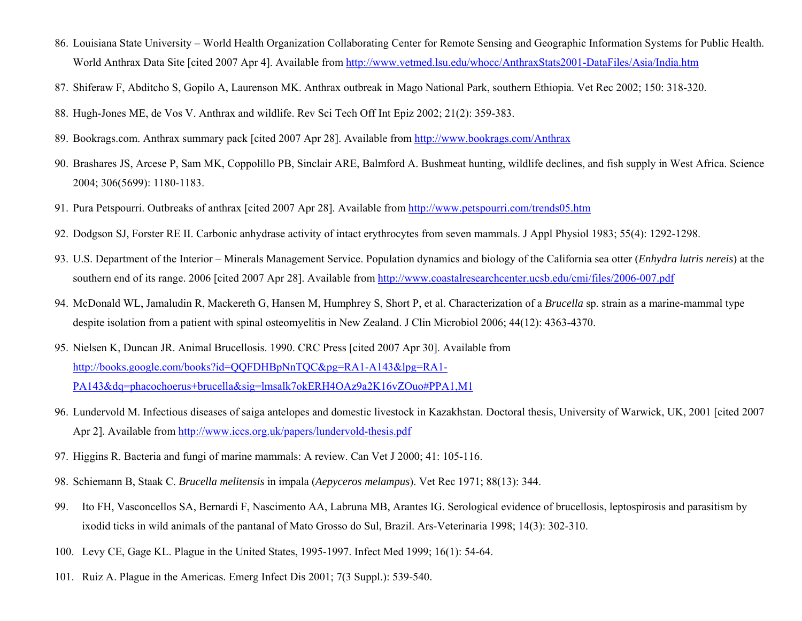- 86. Louisiana State University World Health Organization Collaborating Center for Remote Sensing and Geographic Information Systems for Public Health. World Anthrax Data Site [cited 2007 Apr 4]. Available from <http://www.vetmed.lsu.edu/whocc/AnthraxStats2001-DataFiles/Asia/India.htm>
- 87. Shiferaw F, Abditcho S, Gopilo A, Laurenson MK. Anthrax outbreak in Mago National Park, southern Ethiopia. Vet Rec 2002; 150: 318-320.
- 88. Hugh-Jones ME, de Vos V. Anthrax and wildlife. Rev Sci Tech Off Int Epiz 2002; 21(2): 359-383.
- 89. Bookrags.com. Anthrax summary pack [cited 2007 Apr 28]. Available from<http://www.bookrags.com/Anthrax>
- 90. Brashares JS, Arcese P, Sam MK, Coppolillo PB, Sinclair ARE, Balmford A. Bushmeat hunting, wildlife declines, and fish supply in West Africa. Science 2004; 306(5699): 1180-1183.
- 91. Pura Petspourri. Outbreaks of anthrax [cited 2007 Apr 28]. Available from <u>http://www.petspourri.com/trends05.htm</u>
- 92. Dodgson SJ, Forster RE II. Carbonic anhydrase activity of intact erythrocytes from seven mammals. J Appl Physiol 1983; 55(4): 1292-1298.
- 93. U.S. Department of the Interior Minerals Management Service. Population dynamics and biology of the California sea otter (*Enhydra lutris nereis*) at the southern end of its range. 2006 [cited 2007 Apr 28]. Available from<http://www.coastalresearchcenter.ucsb.edu/cmi/files/2006-007.pdf>
- 94. McDonald WL, Jamaludin R, Mackereth G, Hansen M, Humphrey S, Short P, et al. Characterization of a *Brucella* sp. strain as a marine-mammal type despite isolation from a patient with spinal osteomyelitis in New Zealand. J Clin Microbiol 2006; 44(12): 4363-4370.
- 95. Nielsen K, Duncan JR. Animal Brucellosis. 1990. CRC Press [cited 2007 Apr 30]. Available from [http://books.google.com/books?id=QQFDHBpNnTQC&pg=RA1-A143&lpg=RA1-](http://books.google.com/books?id=QQFDHBpNnTQC&pg=RA1-A143&lpg=RA1-PA143&dq=phacochoerus+brucella&sig=lmsalk7okERH4OAz9a2K16vZOuo#PPA1,M1) [PA143&dq=phacochoerus+brucella&sig=lmsalk7okERH4OAz9a2K16vZOuo#PPA1,M1](http://books.google.com/books?id=QQFDHBpNnTQC&pg=RA1-A143&lpg=RA1-PA143&dq=phacochoerus+brucella&sig=lmsalk7okERH4OAz9a2K16vZOuo#PPA1,M1)
- 96. Lundervold M. Infectious diseases of saiga antelopes and domestic livestock in Kazakhstan. Doctoral thesis, University of Warwick, UK, 2001 [cited 2007 Apr 2]. Available from<http://www.iccs.org.uk/papers/lundervold-thesis.pdf>
- 97. Higgins R. Bacteria and fungi of marine mammals: A review. Can Vet J 2000; 41: 105-116.
- 98. Schiemann B, Staak C. *Brucella melitensis* in impala (*Aepyceros melampus*). Vet Rec 1971; 88(13): 344.
- 99. Ito FH, Vasconcellos SA, Bernardi F, Nascimento AA, Labruna MB, Arantes IG. Serological evidence of brucellosis, leptospirosis and parasitism by ixodid ticks in wild animals of the pantanal of Mato Grosso do Sul, Brazil. Ars-Veterinaria 1998; 14(3): 302-310.
- 100. Levy CE, Gage KL. Plague in the United States, 1995-1997. Infect Med 1999; 16(1): 54-64.
- 101. Ruiz A. Plague in the Americas. Emerg Infect Dis 2001; 7(3 Suppl.): 539-540.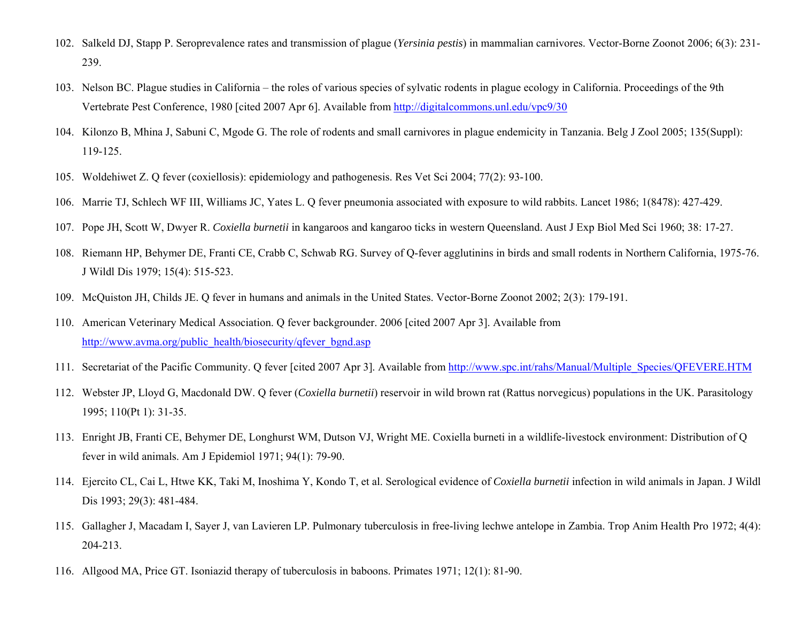- 102. Salkeld DJ, Stapp P. Seroprevalence rates and transmission of plague (*Yersinia pestis*) in mammalian carnivores. Vector-Borne Zoonot 2006; 6(3): 231- 239.
- 103. Nelson BC. Plague studies in California the roles of various species of sylvatic rodents in plague ecology in California. Proceedings of the 9th Vertebrate Pest Conference, 1980 [cited 2007 Apr 6]. Available from <http://digitalcommons.unl.edu/vpc9/30>
- 104. Kilonzo B, Mhina J, Sabuni C, Mgode G. The role of rodents and small carnivores in plague endemicity in Tanzania. Belg J Zool 2005; 135(Suppl): 119-125.
- 105. Woldehiwet Z. Q fever (coxiellosis): epidemiology and pathogenesis. Res Vet Sci 2004; 77(2): 93-100.
- 106. Marrie TJ, Schlech WF III, Williams JC, Yates L. Q fever pneumonia associated with exposure to wild rabbits. Lancet 1986; 1(8478): 427-429.
- 107. Pope JH, Scott W, Dwyer R. *Coxiella burnetii* in kangaroos and kangaroo ticks in western Queensland. Aust J Exp Biol Med Sci 1960; 38: 17-27.
- 108. Riemann HP, Behymer DE, Franti CE, Crabb C, Schwab RG. Survey of Q-fever agglutinins in birds and small rodents in Northern California, 1975-76. J Wildl Dis 1979; 15(4): 515-523.
- 109. McQuiston JH, Childs JE. Q fever in humans and animals in the United States. Vector-Borne Zoonot 2002; 2(3): 179-191.
- 110. American Veterinary Medical Association. Q fever backgrounder. 2006 [cited 2007 Apr 3]. Available from [http://www.avma.org/public\\_health/biosecurity/qfever\\_bgnd.asp](http://www.avma.org/public_health/biosecurity/qfever_bgnd.asp)
- 111. Secretariat of the Pacific Community. Q fever [cited 2007 Apr 3]. Available from [http://www.spc.int/rahs/Manual/Multiple\\_Species/QFEVERE.HTM](http://www.spc.int/rahs/Manual/Multiple_Species/QFEVERE.HTM)
- 112. Webster JP, Lloyd G, Macdonald DW. Q fever (*Coxiella burnetii*) reservoir in wild brown rat (Rattus norvegicus) populations in the UK. Parasitology 1995; 110(Pt 1): 31-35.
- 113. Enright JB, Franti CE, Behymer DE, Longhurst WM, Dutson VJ, Wright ME. Coxiella burneti in a wildlife-livestock environment: Distribution of Q fever in wild animals. Am J Epidemiol 1971; 94(1): 79-90.
- 114. Ejercito CL, Cai L, Htwe KK, Taki M, Inoshima Y, Kondo T, et al. Serological evidence of *Coxiella burnetii* infection in wild animals in Japan. J Wildl Dis 1993; 29(3): 481-484.
- 115. Gallagher J, Macadam I, Sayer J, van Lavieren LP. Pulmonary tuberculosis in free-living lechwe antelope in Zambia. Trop Anim Health Pro 1972; 4(4): 204-213.
- 116. Allgood MA, Price GT. Isoniazid therapy of tuberculosis in baboons. Primates 1971; 12(1): 81-90.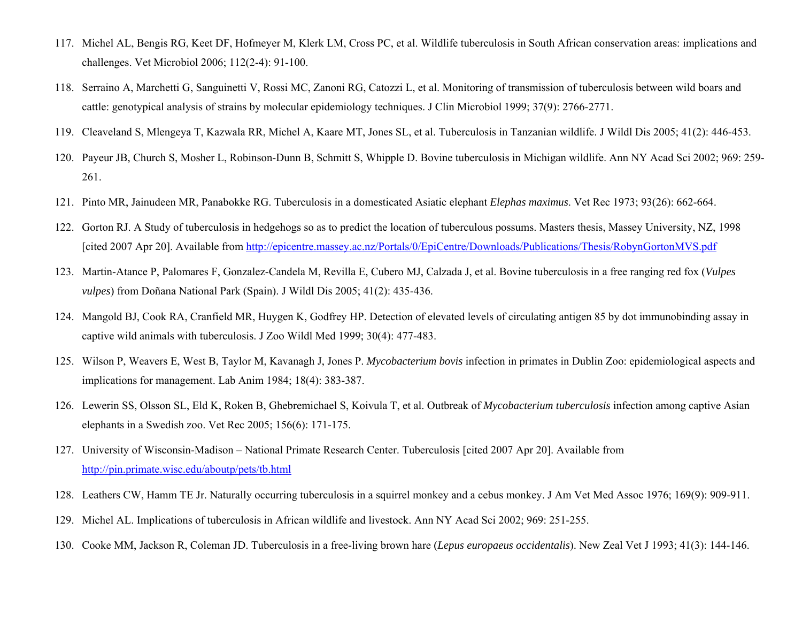- 117. Michel AL, Bengis RG, Keet DF, Hofmeyer M, Klerk LM, Cross PC, et al. Wildlife tuberculosis in South African conservation areas: implications and challenges. Vet Microbiol 2006; 112(2-4): 91-100.
- 118. Serraino A, Marchetti G, Sanguinetti V, Rossi MC, Zanoni RG, Catozzi L, et al. Monitoring of transmission of tuberculosis between wild boars and cattle: genotypical analysis of strains by molecular epidemiology techniques. J Clin Microbiol 1999; 37(9): 2766-2771.
- 119. Cleaveland S, Mlengeya T, Kazwala RR, Michel A, Kaare MT, Jones SL, et al. Tuberculosis in Tanzanian wildlife. J Wildl Dis 2005; 41(2): 446-453.
- 120. Payeur JB, Church S, Mosher L, Robinson-Dunn B, Schmitt S, Whipple D. Bovine tuberculosis in Michigan wildlife. Ann NY Acad Sci 2002; 969: 259- 261.
- 121. Pinto MR, Jainudeen MR, Panabokke RG. Tuberculosis in a domesticated Asiatic elephant *Elephas maximus*. Vet Rec 1973; 93(26): 662-664.
- 122. Gorton RJ. A Study of tuberculosis in hedgehogs so as to predict the location of tuberculous possums. Masters thesis, Massey University, NZ, 1998 [cited 2007 Apr 20]. Available from<http://epicentre.massey.ac.nz/Portals/0/EpiCentre/Downloads/Publications/Thesis/RobynGortonMVS.pdf>
- 123. Martin-Atance P, Palomares F, Gonzalez-Candela M, Revilla E, Cubero MJ, Calzada J, et al. Bovine tuberculosis in a free ranging red fox (*Vulpes vulpes*) from Doñana National Park (Spain). J Wildl Dis 2005; 41(2): 435-436.
- 124. Mangold BJ, Cook RA, Cranfield MR, Huygen K, Godfrey HP. Detection of elevated levels of circulating antigen 85 by dot immunobinding assay in captive wild animals with tuberculosis. J Zoo Wildl Med 1999; 30(4): 477-483.
- 125. Wilson P, Weavers E, West B, Taylor M, Kavanagh J, Jones P. *Mycobacterium bovis* infection in primates in Dublin Zoo: epidemiological aspects and implications for management. Lab Anim 1984; 18(4): 383-387.
- 126. Lewerin SS, Olsson SL, Eld K, Roken B, Ghebremichael S, Koivula T, et al. Outbreak of *Mycobacterium tuberculosis* infection among captive Asian elephants in a Swedish zoo. Vet Rec 2005; 156(6): 171-175.
- 127. University of Wisconsin-Madison National Primate Research Center. Tuberculosis [cited 2007 Apr 20]. Available from <http://pin.primate.wisc.edu/aboutp/pets/tb.html>
- 128. Leathers CW, Hamm TE Jr. Naturally occurring tuberculosis in a squirrel monkey and a cebus monkey. J Am Vet Med Assoc 1976; 169(9): 909-911.
- 129. Michel AL. Implications of tuberculosis in African wildlife and livestock. Ann NY Acad Sci 2002; 969: 251-255.
- 130. Cooke MM, Jackson R, Coleman JD. Tuberculosis in a free-living brown hare (*Lepus europaeus occidentalis*). New Zeal Vet J 1993; 41(3): 144-146.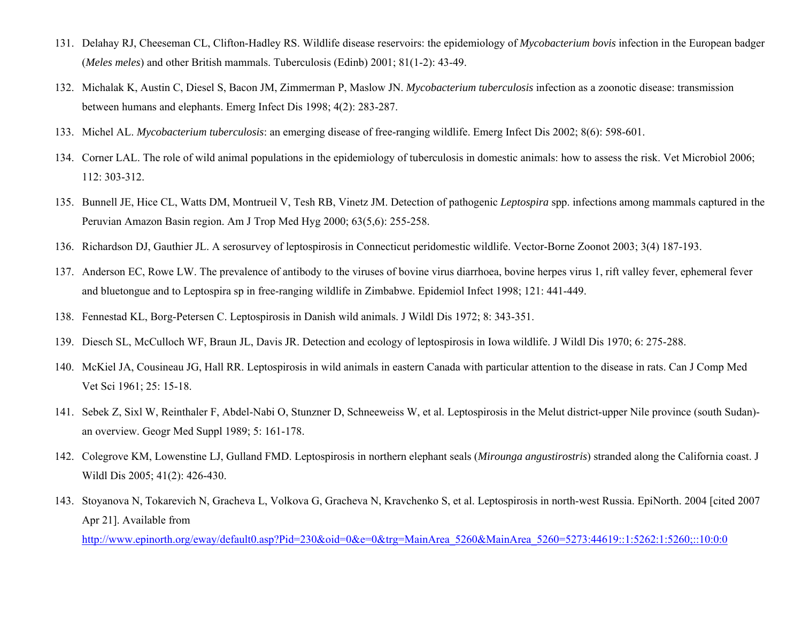- 131. Delahay RJ, Cheeseman CL, Clifton-Hadley RS. Wildlife disease reservoirs: the epidemiology of *Mycobacterium bovis* infection in the European badger (*Meles meles*) and other British mammals. Tuberculosis (Edinb) 2001; 81(1-2): 43-49.
- 132. Michalak K, Austin C, Diesel S, Bacon JM, Zimmerman P, Maslow JN. *Mycobacterium tuberculosis* infection as a zoonotic disease: transmission between humans and elephants. Emerg Infect Dis 1998; 4(2): 283-287.
- 133. Michel AL. *Mycobacterium tuberculosis*: an emerging disease of free-ranging wildlife. Emerg Infect Dis 2002; 8(6): 598-601.
- 134. Corner LAL. The role of wild animal populations in the epidemiology of tuberculosis in domestic animals: how to assess the risk. Vet Microbiol 2006; 112: 303-312.
- 135. Bunnell JE, Hice CL, Watts DM, Montrueil V, Tesh RB, Vinetz JM. Detection of pathogenic *Leptospira* spp. infections among mammals captured in the Peruvian Amazon Basin region. Am J Trop Med Hyg 2000; 63(5,6): 255-258.
- 136. Richardson DJ, Gauthier JL. A serosurvey of leptospirosis in Connecticut peridomestic wildlife. Vector-Borne Zoonot 2003; 3(4) 187-193.
- 137. Anderson EC, Rowe LW. The prevalence of antibody to the viruses of bovine virus diarrhoea, bovine herpes virus 1, rift valley fever, ephemeral fever and bluetongue and to Leptospira sp in free-ranging wildlife in Zimbabwe. Epidemiol Infect 1998; 121: 441-449.
- 138. Fennestad KL, Borg-Petersen C. Leptospirosis in Danish wild animals. J Wildl Dis 1972; 8: 343-351.
- 139. Diesch SL, McCulloch WF, Braun JL, Davis JR. Detection and ecology of leptospirosis in Iowa wildlife. J Wildl Dis 1970; 6: 275-288.
- 140. McKiel JA, Cousineau JG, Hall RR. Leptospirosis in wild animals in eastern Canada with particular attention to the disease in rats. Can J Comp Med Vet Sci 1961; 25: 15-18.
- 141. Sebek Z, Sixl W, Reinthaler F, Abdel-Nabi O, Stunzner D, Schneeweiss W, et al. Leptospirosis in the Melut district-upper Nile province (south Sudan) an overview. Geogr Med Suppl 1989; 5: 161-178.
- 142. Colegrove KM, Lowenstine LJ, Gulland FMD. Leptospirosis in northern elephant seals (*Mirounga angustirostris*) stranded along the California coast. J Wildl Dis 2005; 41(2): 426-430.
- 143. Stoyanova N, Tokarevich N, Gracheva L, Volkova G, Gracheva N, Kravchenko S, et al. Leptospirosis in north-west Russia. EpiNorth. 2004 [cited 2007 Apr 21]. Available from

[http://www.epinorth.org/eway/default0.asp?Pid=230&oid=0&e=0&trg=MainArea\\_5260&MainArea\\_5260=5273:44619::1:5262:1:5260;::10:0:0](http://www.epinorth.org/eway/default0.asp?Pid=230&oid=0&e=0&trg=MainArea_5260&MainArea_5260=5273:44619::1:5262:1:5260;::10:0:0)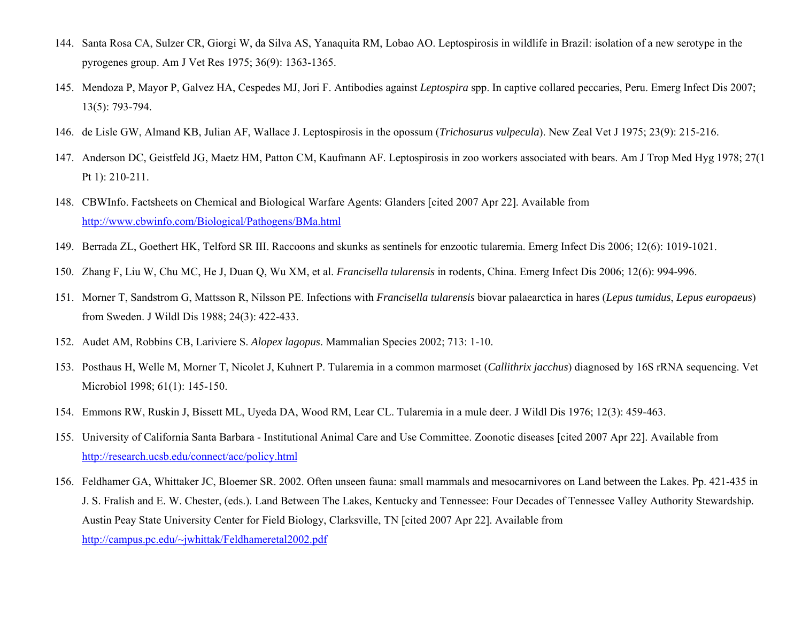- 144. Santa Rosa CA, Sulzer CR, Giorgi W, da Silva AS, Yanaquita RM, Lobao AO. Leptospirosis in wildlife in Brazil: isolation of a new serotype in the pyrogenes group. Am J Vet Res 1975; 36(9): 1363-1365.
- 145. Mendoza P, Mayor P, Galvez HA, Cespedes MJ, Jori F. Antibodies against *Leptospira* spp. In captive collared peccaries, Peru. Emerg Infect Dis 2007; 13(5): 793-794.
- 146. de Lisle GW, Almand KB, Julian AF, Wallace J. Leptospirosis in the opossum (*Trichosurus vulpecula*). New Zeal Vet J 1975; 23(9): 215-216.
- 147. Anderson DC, Geistfeld JG, Maetz HM, Patton CM, Kaufmann AF. Leptospirosis in zoo workers associated with bears. Am J Trop Med Hyg 1978; 27(1 Pt 1): 210-211.
- 148. CBWInfo. Factsheets on Chemical and Biological Warfare Agents: Glanders [cited 2007 Apr 22]. Available from <http://www.cbwinfo.com/Biological/Pathogens/BMa.html>
- 149. Berrada ZL, Goethert HK, Telford SR III. Raccoons and skunks as sentinels for enzootic tularemia. Emerg Infect Dis 2006; 12(6): 1019-1021.
- 150. Zhang F, Liu W, Chu MC, He J, Duan Q, Wu XM, et al. *Francisella tularensis* in rodents, China. Emerg Infect Dis 2006; 12(6): 994-996.
- 151. Morner T, Sandstrom G, Mattsson R, Nilsson PE. Infections with *Francisella tularensis* biovar palaearctica in hares (*Lepus tumidus*, *Lepus europaeus*) from Sweden. J Wildl Dis 1988; 24(3): 422-433.
- 152. Audet AM, Robbins CB, Lariviere S. *Alopex lagopus*. Mammalian Species 2002; 713: 1-10.
- 153. Posthaus H, Welle M, Morner T, Nicolet J, Kuhnert P. Tularemia in a common marmoset (*Callithrix jacchus*) diagnosed by 16S rRNA sequencing. Vet Microbiol 1998; 61(1): 145-150.
- 154. Emmons RW, Ruskin J, Bissett ML, Uyeda DA, Wood RM, Lear CL. Tularemia in a mule deer. J Wildl Dis 1976; 12(3): 459-463.
- 155. University of California Santa Barbara Institutional Animal Care and Use Committee. Zoonotic diseases [cited 2007 Apr 22]. Available from <http://research.ucsb.edu/connect/acc/policy.html>
- 156. Feldhamer GA, Whittaker JC, Bloemer SR. 2002. Often unseen fauna: small mammals and mesocarnivores on Land between the Lakes. Pp. 421-435 in J. S. Fralish and E. W. Chester, (eds.). Land Between The Lakes, Kentucky and Tennessee: Four Decades of Tennessee Valley Authority Stewardship. Austin Peay State University Center for Field Biology, Clarksville, TN [cited 2007 Apr 22]. Available from <http://campus.pc.edu/~jwhittak/Feldhameretal2002.pdf>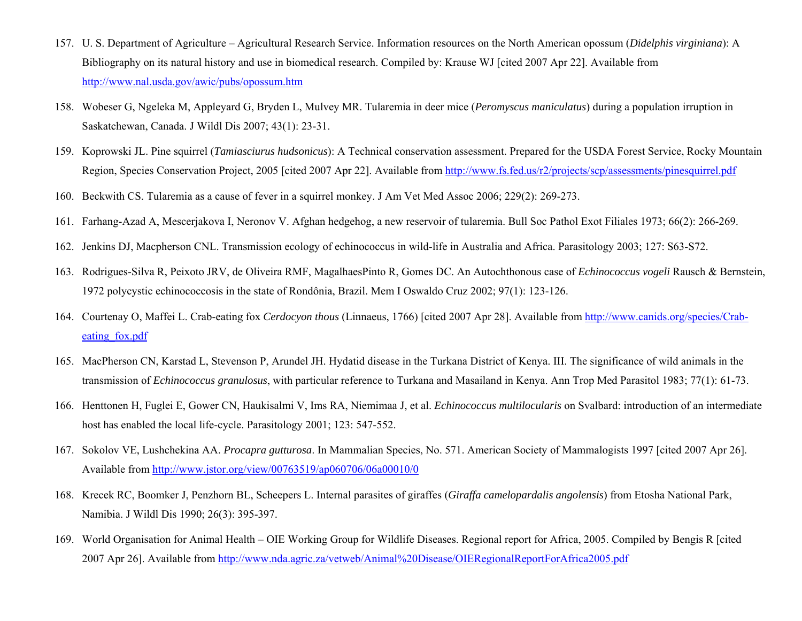- 157. U. S. Department of Agriculture Agricultural Research Service. Information resources on the North American opossum (*Didelphis virginiana*): A Bibliography on its natural history and use in biomedical research. Compiled by: Krause WJ [cited 2007 Apr 22]. Available from <http://www.nal.usda.gov/awic/pubs/opossum.htm>
- 158. Wobeser G, Ngeleka M, Appleyard G, Bryden L, Mulvey MR. Tularemia in deer mice (*Peromyscus maniculatus*) during a population irruption in Saskatchewan, Canada. J Wildl Dis 2007; 43(1): 23-31.
- 159. Koprowski JL. Pine squirrel (*Tamiasciurus hudsonicus*): A Technical conservation assessment. Prepared for the USDA Forest Service, Rocky Mountain Region, Species Conservation Project, 2005 [cited 2007 Apr 22]. Available from <http://www.fs.fed.us/r2/projects/scp/assessments/pinesquirrel.pdf>
- 160. Beckwith CS. Tularemia as a cause of fever in a squirrel monkey. J Am Vet Med Assoc 2006; 229(2): 269-273.
- 161. Farhang-Azad A, Mescerjakova I, Neronov V. Afghan hedgehog, a new reservoir of tularemia. Bull Soc Pathol Exot Filiales 1973; 66(2): 266-269.
- 162. Jenkins DJ, Macpherson CNL. Transmission ecology of echinococcus in wild-life in Australia and Africa. Parasitology 2003; 127: S63-S72.
- 163. Rodrigues-Silva R, Peixoto JRV, de Oliveira RMF, MagalhaesPinto R, Gomes DC. An Autochthonous case of *Echinococcus vogeli* Rausch & Bernstein, 1972 polycystic echinococcosis in the state of Rondônia, Brazil. Mem I Oswaldo Cruz 2002; 97(1): 123-126.
- 164. Courtenay O, Maffei L. Crab-eating fox *Cerdocyon thous* (Linnaeus, 1766) [cited 2007 Apr 28]. Available from [http://www.canids.org/species/Crab](http://www.canids.org/species/Crab-eating_fox.pdf)[eating\\_fox.pdf](http://www.canids.org/species/Crab-eating_fox.pdf)
- 165. MacPherson CN, Karstad L, Stevenson P, Arundel JH. Hydatid disease in the Turkana District of Kenya. III. The significance of wild animals in the transmission of *Echinococcus granulosus*, with particular reference to Turkana and Masailand in Kenya. Ann Trop Med Parasitol 1983; 77(1): 61-73.
- 166. Henttonen H, Fuglei E, Gower CN, Haukisalmi V, Ims RA, Niemimaa J, et al. *Echinococcus multilocularis* on Svalbard: introduction of an intermediate host has enabled the local life-cycle. Parasitology 2001; 123: 547-552.
- 167. Sokolov VE, Lushchekina AA. *Procapra gutturosa*. In Mammalian Species, No. 571. American Society of Mammalogists 1997 [cited 2007 Apr 26]. Available from <http://www.jstor.org/view/00763519/ap060706/06a00010/0>
- 168. Krecek RC, Boomker J, Penzhorn BL, Scheepers L. Internal parasites of giraffes (*Giraffa camelopardalis angolensis*) from Etosha National Park, Namibia. J Wildl Dis 1990; 26(3): 395-397.
- 169. World Organisation for Animal Health OIE Working Group for Wildlife Diseases. Regional report for Africa, 2005. Compiled by Bengis R [cited 2007 Apr 26]. Available from [http://www.nda.agric.za/vetweb/Animal%20Disease/OIERegionalReportForAfrica2005.pdf](http://www.nda.agric.za/vetweb/Animal Disease/OIERegionalReportForAfrica2005.pdf)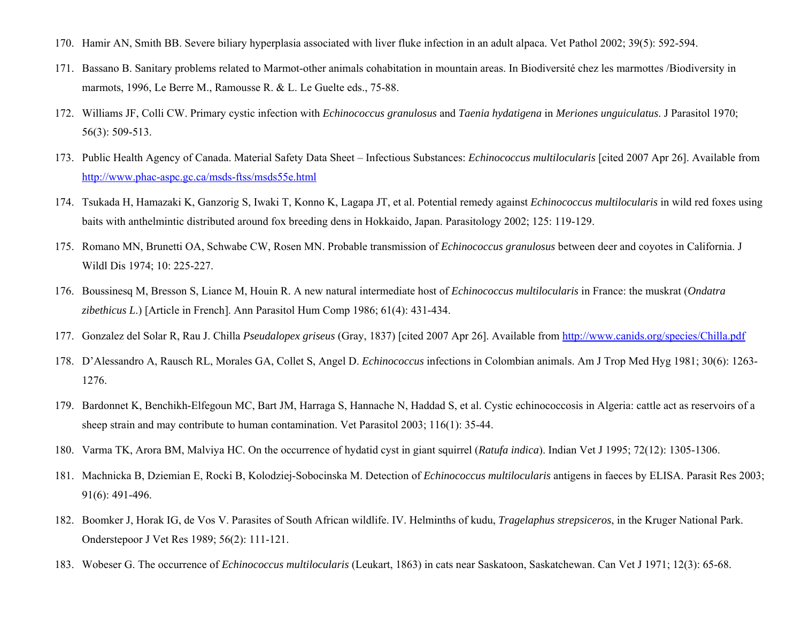- 170. Hamir AN, Smith BB. Severe biliary hyperplasia associated with liver fluke infection in an adult alpaca. Vet Pathol 2002; 39(5): 592-594.
- 171. Bassano B. Sanitary problems related to Marmot-other animals cohabitation in mountain areas. In Biodiversité chez les marmottes /Biodiversity in marmots, 1996, Le Berre M., Ramousse R. & L. Le Guelte eds., 75-88.
- 172. Williams JF, Colli CW. Primary cystic infection with *Echinococcus granulosus* and *Taenia hydatigena* in *Meriones unguiculatus*. J Parasitol 1970; 56(3): 509-513.
- 173. Public Health Agency of Canada. Material Safety Data Sheet Infectious Substances: *Echinococcus multilocularis* [cited 2007 Apr 26]. Available from <http://www.phac-aspc.gc.ca/msds-ftss/msds55e.html>
- 174. Tsukada H, Hamazaki K, Ganzorig S, Iwaki T, Konno K, Lagapa JT, et al. Potential remedy against *Echinococcus multilocularis* in wild red foxes using baits with anthelmintic distributed around fox breeding dens in Hokkaido, Japan. Parasitology 2002; 125: 119-129.
- 175. Romano MN, Brunetti OA, Schwabe CW, Rosen MN. Probable transmission of *Echinococcus granulosus* between deer and coyotes in California. J Wildl Dis 1974; 10: 225-227.
- 176. Boussinesq M, Bresson S, Liance M, Houin R. A new natural intermediate host of *Echinococcus multilocularis* in France: the muskrat (*Ondatra zibethicus L*.) [Article in French]. Ann Parasitol Hum Comp 1986; 61(4): 431-434.
- 177. Gonzalez del Solar R, Rau J. Chilla *Pseudalopex griseus* (Gray, 1837) [cited 2007 Apr 26]. Available from<http://www.canids.org/species/Chilla.pdf>
- 178. D'Alessandro A, Rausch RL, Morales GA, Collet S, Angel D. *Echinococcus* infections in Colombian animals. Am J Trop Med Hyg 1981; 30(6): 1263- 1276.
- 179. Bardonnet K, Benchikh-Elfegoun MC, Bart JM, Harraga S, Hannache N, Haddad S, et al. Cystic echinococcosis in Algeria: cattle act as reservoirs of a sheep strain and may contribute to human contamination. Vet Parasitol 2003; 116(1): 35-44.
- 180. Varma TK, Arora BM, Malviya HC. On the occurrence of hydatid cyst in giant squirrel (*Ratufa indica*). Indian Vet J 1995; 72(12): 1305-1306.
- 181. Machnicka B, Dziemian E, Rocki B, Kolodziej-Sobocinska M. Detection of *Echinococcus multilocularis* antigens in faeces by ELISA. Parasit Res 2003; 91(6): 491-496.
- 182. Boomker J, Horak IG, de Vos V. Parasites of South African wildlife. IV. Helminths of kudu, *Tragelaphus strepsiceros*, in the Kruger National Park. Onderstepoor J Vet Res 1989; 56(2): 111-121.
- 183. Wobeser G. The occurrence of *Echinococcus multilocularis* (Leukart, 1863) in cats near Saskatoon, Saskatchewan. Can Vet J 1971; 12(3): 65-68.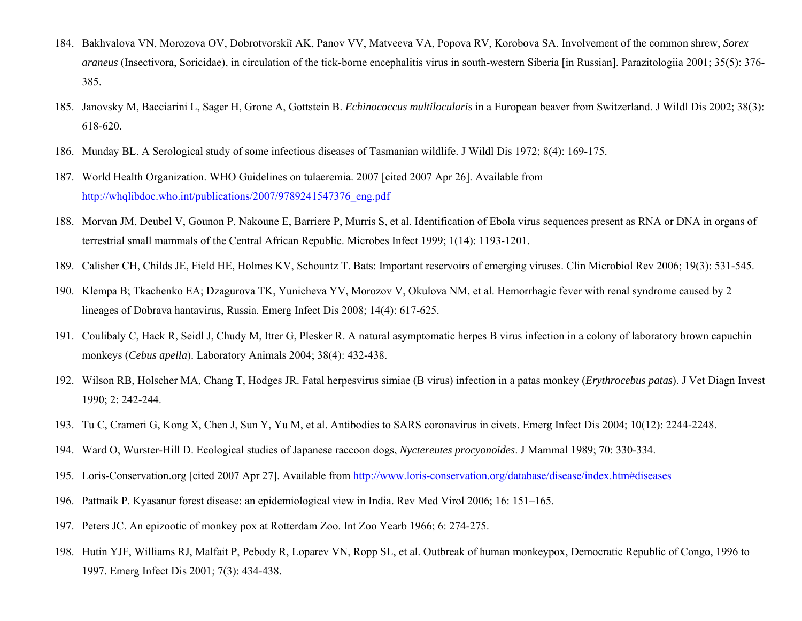- 184. Bakhvalova VN, Morozova OV, Dobrotvorskiĭ AK, Panov VV, Matveeva VA, Popova RV, Korobova SA. Involvement of the common shrew, *Sorex araneus* (Insectivora, Soricidae), in circulation of the tick-borne encephalitis virus in south-western Siberia [in Russian]. Parazitologiia 2001; 35(5): 376- 385.
- 185. Janovsky M, Bacciarini L, Sager H, Grone A, Gottstein B. *Echinococcus multilocularis* in a European beaver from Switzerland. J Wildl Dis 2002; 38(3): 618-620.
- 186. Munday BL. A Serological study of some infectious diseases of Tasmanian wildlife. J Wildl Dis 1972; 8(4): 169-175.
- 187. World Health Organization. WHO Guidelines on tulaeremia. 2007 [cited 2007 Apr 26]. Available from [http://whqlibdoc.who.int/publications/2007/9789241547376\\_eng.pdf](http://whqlibdoc.who.int/publications/2007/9789241547376_eng.pdf)
- 188. Morvan JM, Deubel V, Gounon P, Nakoune E, Barriere P, Murris S, et al. Identification of Ebola virus sequences present as RNA or DNA in organs of terrestrial small mammals of the Central African Republic. Microbes Infect 1999; 1(14): 1193-1201.
- 189. Calisher CH, Childs JE, Field HE, Holmes KV, Schountz T. Bats: Important reservoirs of emerging viruses. Clin Microbiol Rev 2006; 19(3): 531-545.
- 190. Klempa B; Tkachenko EA; Dzagurova TK, Yunicheva YV, Morozov V, Okulova NM, et al. Hemorrhagic fever with renal syndrome caused by 2 lineages of Dobrava hantavirus, Russia. Emerg Infect Dis 2008; 14(4): 617-625.
- 191. Coulibaly C, Hack R, Seidl J, Chudy M, Itter G, Plesker R. A natural asymptomatic herpes B virus infection in a colony of laboratory brown capuchin monkeys (*Cebus apella*). Laboratory Animals 2004; 38(4): 432-438.
- 192. Wilson RB, Holscher MA, Chang T, Hodges JR. Fatal herpesvirus simiae (B virus) infection in a patas monkey (*Erythrocebus patas*). J Vet Diagn Invest 1990; 2: 242-244.
- 193. Tu C, Crameri G, Kong X, Chen J, Sun Y, Yu M, et al. Antibodies to SARS coronavirus in civets. Emerg Infect Dis 2004; 10(12): 2244-2248.
- 194. Ward O, Wurster-Hill D. Ecological studies of Japanese raccoon dogs, *Nyctereutes procyonoides*. J Mammal 1989; 70: 330-334.
- 195. Loris-Conservation.org [cited 2007 Apr 27]. Available from <http://www.loris-conservation.org/database/disease/index.htm#diseases>
- 196. Pattnaik P. Kyasanur forest disease: an epidemiological view in India. Rev Med Virol 2006; 16: 151–165.
- 197. Peters JC. An epizootic of monkey pox at Rotterdam Zoo. Int Zoo Yearb 1966; 6: 274-275.
- 198. Hutin YJF, Williams RJ, Malfait P, Pebody R, Loparev VN, Ropp SL, et al. Outbreak of human monkeypox, Democratic Republic of Congo, 1996 to 1997. Emerg Infect Dis 2001; 7(3): 434-438.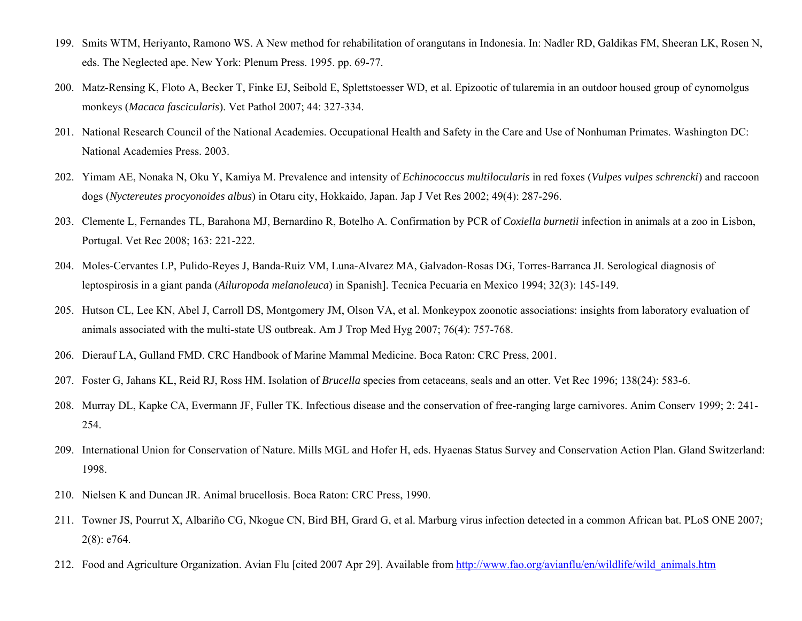- 199. Smits WTM, Heriyanto, Ramono WS. A New method for rehabilitation of orangutans in Indonesia. In: Nadler RD, Galdikas FM, Sheeran LK, Rosen N, eds. The Neglected ape. New York: Plenum Press. 1995. pp. 69-77.
- 200. Matz-Rensing K, Floto A, Becker T, Finke EJ, Seibold E, Splettstoesser WD, et al. Epizootic of tularemia in an outdoor housed group of cynomolgus monkeys (*Macaca fascicularis*). Vet Pathol 2007; 44: 327-334.
- 201. National Research Council of the National Academies. Occupational Health and Safety in the Care and Use of Nonhuman Primates. Washington DC: National Academies Press. 2003.
- 202. Yimam AE, Nonaka N, Oku Y, Kamiya M. Prevalence and intensity of *Echinococcus multilocularis* in red foxes (*Vulpes vulpes schrencki*) and raccoon dogs (*Nyctereutes procyonoides albus*) in Otaru city, Hokkaido, Japan. Jap J Vet Res 2002; 49(4): 287-296.
- 203. Clemente L, Fernandes TL, Barahona MJ, Bernardino R, Botelho A. Confirmation by PCR of *Coxiella burnetii* infection in animals at a zoo in Lisbon, Portugal. Vet Rec 2008; 163: 221-222.
- 204. Moles-Cervantes LP, Pulido-Reyes J, Banda-Ruiz VM, Luna-Alvarez MA, Galvadon-Rosas DG, Torres-Barranca JI. Serological diagnosis of leptospirosis in a giant panda (*Ailuropoda melanoleuca*) in Spanish]. Tecnica Pecuaria en Mexico 1994; 32(3): 145-149.
- 205. Hutson CL, Lee KN, Abel J, Carroll DS, Montgomery JM, Olson VA, et al. Monkeypox zoonotic associations: insights from laboratory evaluation of animals associated with the multi-state US outbreak. Am J Trop Med Hyg 2007; 76(4): 757-768.
- 206. Dierauf LA, Gulland FMD. CRC Handbook of Marine Mammal Medicine. Boca Raton: CRC Press, 2001.
- 207. Foster G, Jahans KL, Reid RJ, Ross HM. Isolation of *Brucella* species from cetaceans, seals and an otter. Vet Rec 1996; 138(24): 583-6.
- 208. Murray DL, Kapke CA, Evermann JF, Fuller TK. Infectious disease and the conservation of free-ranging large carnivores. Anim Conserv 1999; 2: 241- 254.
- 209. International Union for Conservation of Nature. Mills MGL and Hofer H, eds. Hyaenas Status Survey and Conservation Action Plan. Gland Switzerland: 1998.
- 210. Nielsen K and Duncan JR. Animal brucellosis. Boca Raton: CRC Press, 1990.
- 211. Towner JS, Pourrut X, Albariño CG, Nkogue CN, Bird BH, Grard G, et al. Marburg virus infection detected in a common African bat. PLoS ONE 2007; 2(8): e764.
- 212. Food and Agriculture Organization. Avian Flu [cited 2007 Apr 29]. Available from [http://www.fao.org/avianflu/en/wildlife/wild\\_animals.htm](http://www.fao.org/avianflu/en/wildlife/wild_animals.htm)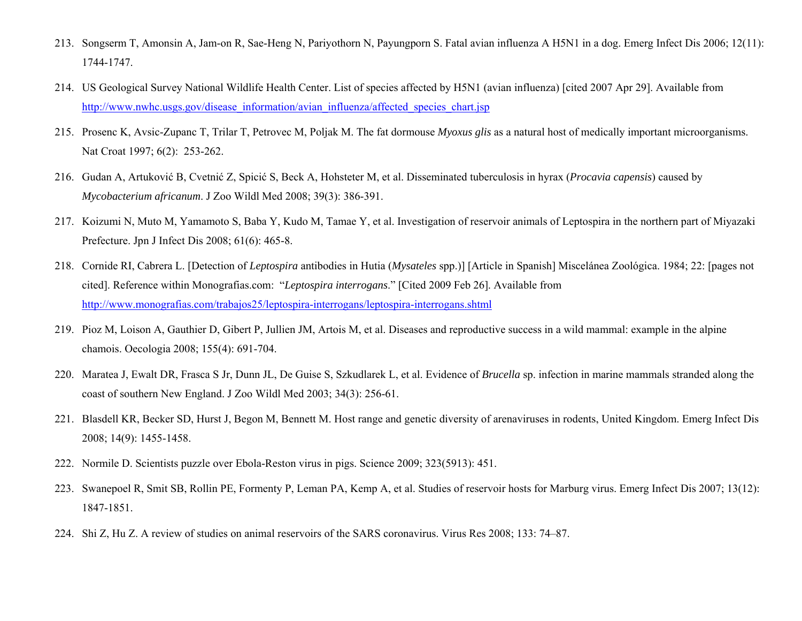- 213. Songserm T, Amonsin A, Jam-on R, Sae-Heng N, Pariyothorn N, Payungporn S. Fatal avian influenza A H5N1 in a dog. Emerg Infect Dis 2006; 12(11): 1744-1747.
- 214. US Geological Survey National Wildlife Health Center. List of species affected by H5N1 (avian influenza) [cited 2007 Apr 29]. Available from [http://www.nwhc.usgs.gov/disease\\_information/avian\\_influenza/affected\\_species\\_chart.jsp](http://www.nwhc.usgs.gov/disease_information/avian_influenza/affected_species_chart.jsp)
- 215. Prosenc K, Avsic-Zupanc T, Trilar T, Petrovec M, Poljak M. The fat dormouse *Myoxus glis* as a natural host of medically important microorganisms. Nat Croat 1997; 6(2): 253-262.
- 216. Gudan A, Artuković B, Cvetnić Z, Spicić S, Beck A, Hohsteter M, et al. Disseminated tuberculosis in hyrax (*Procavia capensis*) caused by *Mycobacterium africanum*. J Zoo Wildl Med 2008; 39(3): 386-391.
- 217. Koizumi N, Muto M, Yamamoto S, Baba Y, Kudo M, Tamae Y, et al. Investigation of reservoir animals of Leptospira in the northern part of Miyazaki Prefecture. Jpn J Infect Dis 2008; 61(6): 465-8.
- 218. Cornide RI, Cabrera L. [Detection of *Leptospira* antibodies in Hutia (*Mysateles* spp.)] [Article in Spanish] Miscelánea Zoológica. 1984; 22: [pages not cited]. Reference within Monografias.com: "*Leptospira interrogans*." [Cited 2009 Feb 26]. Available from <http://www.monografias.com/trabajos25/leptospira-interrogans/leptospira-interrogans.shtml>
- 219. Pioz M, Loison A, Gauthier D, Gibert P, Jullien JM, Artois M, et al. Diseases and reproductive success in a wild mammal: example in the alpine chamois. Oecologia 2008; 155(4): 691-704.
- 220. Maratea J, Ewalt DR, Frasca S Jr, Dunn JL, De Guise S, Szkudlarek L, et al. Evidence of *Brucella* sp. infection in marine mammals stranded along the coast of southern New England. J Zoo Wildl Med 2003; 34(3): 256-61.
- 221. Blasdell KR, Becker SD, Hurst J, Begon M, Bennett M. Host range and genetic diversity of arenaviruses in rodents, United Kingdom. Emerg Infect Dis 2008; 14(9): 1455-1458.
- 222. Normile D. Scientists puzzle over Ebola-Reston virus in pigs. Science 2009; 323(5913): 451.
- 223. Swanepoel R, Smit SB, Rollin PE, Formenty P, Leman PA, Kemp A, et al. Studies of reservoir hosts for Marburg virus. Emerg Infect Dis 2007; 13(12): 1847-1851.
- 224. Shi Z, Hu Z. A review of studies on animal reservoirs of the SARS coronavirus. Virus Res 2008; 133: 74–87.